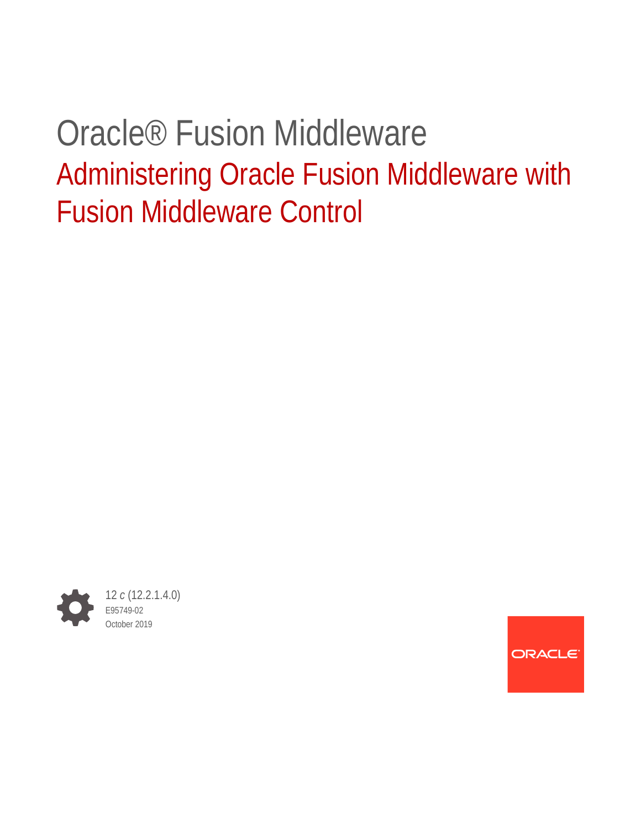# Oracle® Fusion Middleware Administering Oracle Fusion Middleware with Fusion Middleware Control



ORACLE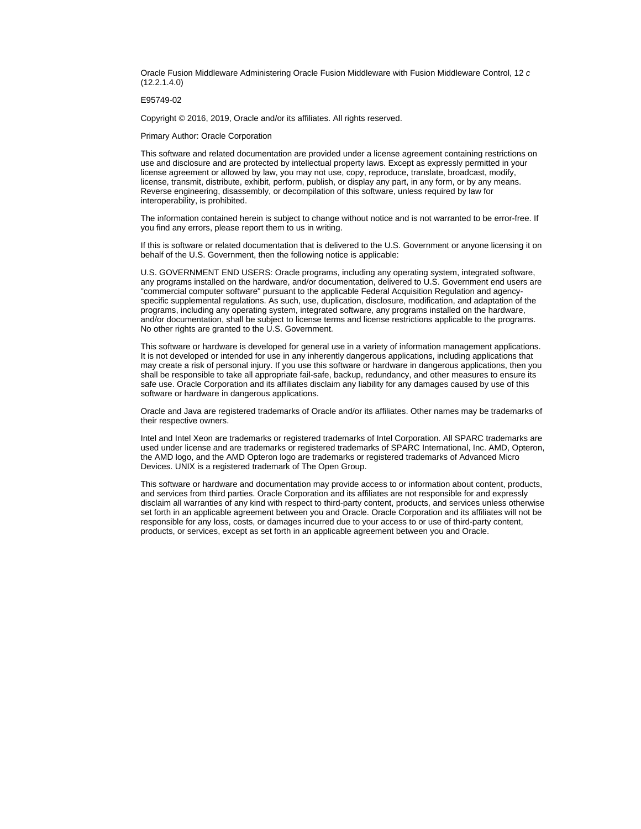Oracle Fusion Middleware Administering Oracle Fusion Middleware with Fusion Middleware Control, 12 *c* (12.2.1.4.0)

#### E95749-02

Copyright © 2016, 2019, Oracle and/or its affiliates. All rights reserved.

Primary Author: Oracle Corporation

This software and related documentation are provided under a license agreement containing restrictions on use and disclosure and are protected by intellectual property laws. Except as expressly permitted in your license agreement or allowed by law, you may not use, copy, reproduce, translate, broadcast, modify, license, transmit, distribute, exhibit, perform, publish, or display any part, in any form, or by any means. Reverse engineering, disassembly, or decompilation of this software, unless required by law for interoperability, is prohibited.

The information contained herein is subject to change without notice and is not warranted to be error-free. If you find any errors, please report them to us in writing.

If this is software or related documentation that is delivered to the U.S. Government or anyone licensing it on behalf of the U.S. Government, then the following notice is applicable:

U.S. GOVERNMENT END USERS: Oracle programs, including any operating system, integrated software, any programs installed on the hardware, and/or documentation, delivered to U.S. Government end users are "commercial computer software" pursuant to the applicable Federal Acquisition Regulation and agencyspecific supplemental regulations. As such, use, duplication, disclosure, modification, and adaptation of the programs, including any operating system, integrated software, any programs installed on the hardware, and/or documentation, shall be subject to license terms and license restrictions applicable to the programs. No other rights are granted to the U.S. Government.

This software or hardware is developed for general use in a variety of information management applications. It is not developed or intended for use in any inherently dangerous applications, including applications that may create a risk of personal injury. If you use this software or hardware in dangerous applications, then you shall be responsible to take all appropriate fail-safe, backup, redundancy, and other measures to ensure its safe use. Oracle Corporation and its affiliates disclaim any liability for any damages caused by use of this software or hardware in dangerous applications.

Oracle and Java are registered trademarks of Oracle and/or its affiliates. Other names may be trademarks of their respective owners.

Intel and Intel Xeon are trademarks or registered trademarks of Intel Corporation. All SPARC trademarks are used under license and are trademarks or registered trademarks of SPARC International, Inc. AMD, Opteron, the AMD logo, and the AMD Opteron logo are trademarks or registered trademarks of Advanced Micro Devices. UNIX is a registered trademark of The Open Group.

This software or hardware and documentation may provide access to or information about content, products, and services from third parties. Oracle Corporation and its affiliates are not responsible for and expressly disclaim all warranties of any kind with respect to third-party content, products, and services unless otherwise set forth in an applicable agreement between you and Oracle. Oracle Corporation and its affiliates will not be responsible for any loss, costs, or damages incurred due to your access to or use of third-party content, products, or services, except as set forth in an applicable agreement between you and Oracle.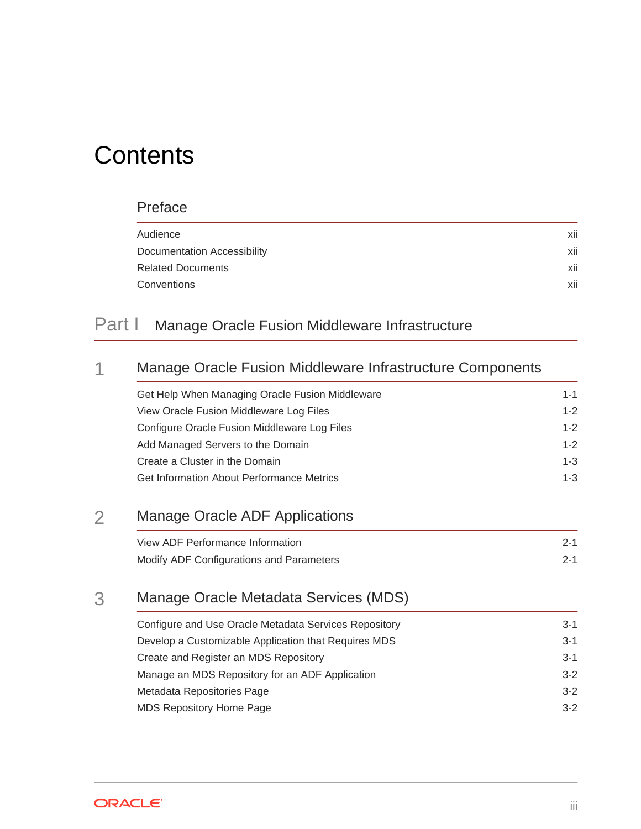# **Contents**

#### [Preface](#page-11-0)

| Audience                    | xii |
|-----------------------------|-----|
| Documentation Accessibility | xii |
| <b>Related Documents</b>    | xii |
| <b>Conventions</b>          | xii |
|                             |     |

#### Part | [Manage Oracle Fusion Middleware Infrastructure](#page-13-0)

#### 1 [Manage Oracle Fusion Middleware Infrastructure Components](#page-14-0)

| $1 - 1$ |
|---------|
| $1 - 2$ |
| $1 - 2$ |
| $1 - 2$ |
| $1 - 3$ |
| $1 - 3$ |
|         |

#### 2 [Manage Oracle ADF Applications](#page-17-0)

| View ADF Performance Information         |  |
|------------------------------------------|--|
| Modify ADF Configurations and Parameters |  |

#### 3 [Manage Oracle Metadata Services \(MDS\)](#page-18-0)

| Configure and Use Oracle Metadata Services Repository | $3-1$ |
|-------------------------------------------------------|-------|
| Develop a Customizable Application that Requires MDS  | $3-1$ |
| Create and Register an MDS Repository                 | $3-1$ |
| Manage an MDS Repository for an ADF Application       | $3-2$ |
| Metadata Repositories Page                            | $3-2$ |
| <b>MDS Repository Home Page</b>                       | $3-2$ |

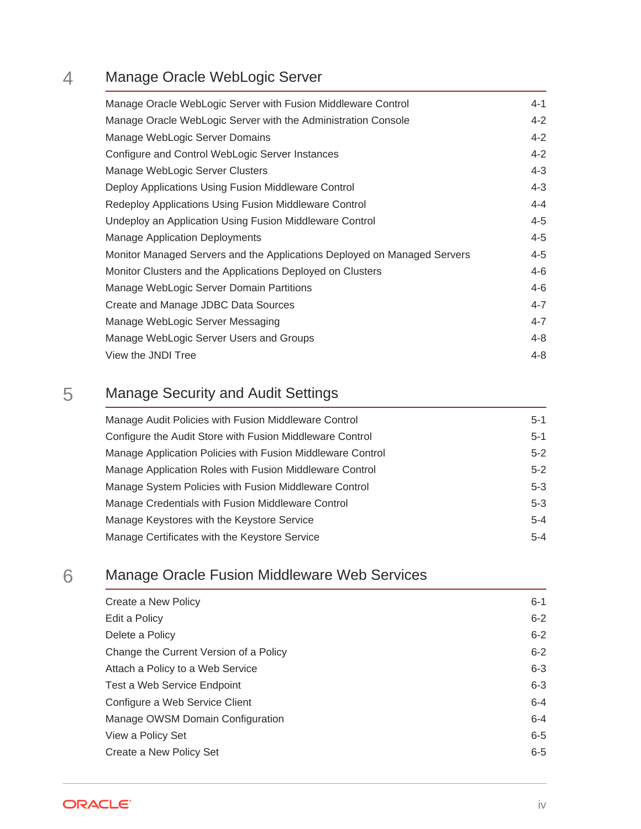#### 4 [Manage Oracle WebLogic Server](#page-21-0)

| Manage Oracle WebLogic Server with Fusion Middleware Control             | $4 - 1$ |
|--------------------------------------------------------------------------|---------|
| Manage Oracle WebLogic Server with the Administration Console            | $4 - 2$ |
| Manage WebLogic Server Domains                                           | $4 - 2$ |
| Configure and Control WebLogic Server Instances                          | $4 - 2$ |
| Manage WebLogic Server Clusters                                          | 4-3     |
| Deploy Applications Using Fusion Middleware Control                      | $4 - 3$ |
| Redeploy Applications Using Fusion Middleware Control                    | 4-4     |
| Undeploy an Application Using Fusion Middleware Control                  | 4-5     |
| <b>Manage Application Deployments</b>                                    | $4 - 5$ |
| Monitor Managed Servers and the Applications Deployed on Managed Servers | 4-5     |
| Monitor Clusters and the Applications Deployed on Clusters               | $4-6$   |
| Manage WebLogic Server Domain Partitions                                 | $4-6$   |
| Create and Manage JDBC Data Sources                                      | $4 - 7$ |
| Manage WebLogic Server Messaging                                         | $4 - 7$ |
| Manage WebLogic Server Users and Groups                                  | $4 - 8$ |
| View the JNDI Tree                                                       | $4 - 8$ |
|                                                                          |         |

#### 5 [Manage Security and Audit Settings](#page-29-0)

| Manage Audit Policies with Fusion Middleware Control       | $5 - 1$ |
|------------------------------------------------------------|---------|
| Configure the Audit Store with Fusion Middleware Control   | $5-1$   |
| Manage Application Policies with Fusion Middleware Control | $5-2$   |
| Manage Application Roles with Fusion Middleware Control    | $5-2$   |
| Manage System Policies with Fusion Middleware Control      | $5-3$   |
| Manage Credentials with Fusion Middleware Control          | $5-3$   |
| Manage Keystores with the Keystore Service                 | $5 - 4$ |
| Manage Certificates with the Keystore Service              | $5 - 4$ |

#### 6 [Manage Oracle Fusion Middleware Web Services](#page-34-0)

| Create a New Policy                    | $6 - 1$ |
|----------------------------------------|---------|
| Edit a Policy                          | $6 - 2$ |
| Delete a Policy                        | $6 - 2$ |
| Change the Current Version of a Policy | $6 - 2$ |
| Attach a Policy to a Web Service       | $6 - 3$ |
| Test a Web Service Endpoint            | $6 - 3$ |
| Configure a Web Service Client         | $6 - 4$ |
| Manage OWSM Domain Configuration       | $6 - 4$ |
| View a Policy Set                      | $6-5$   |
| Create a New Policy Set                | $6-5$   |
|                                        |         |

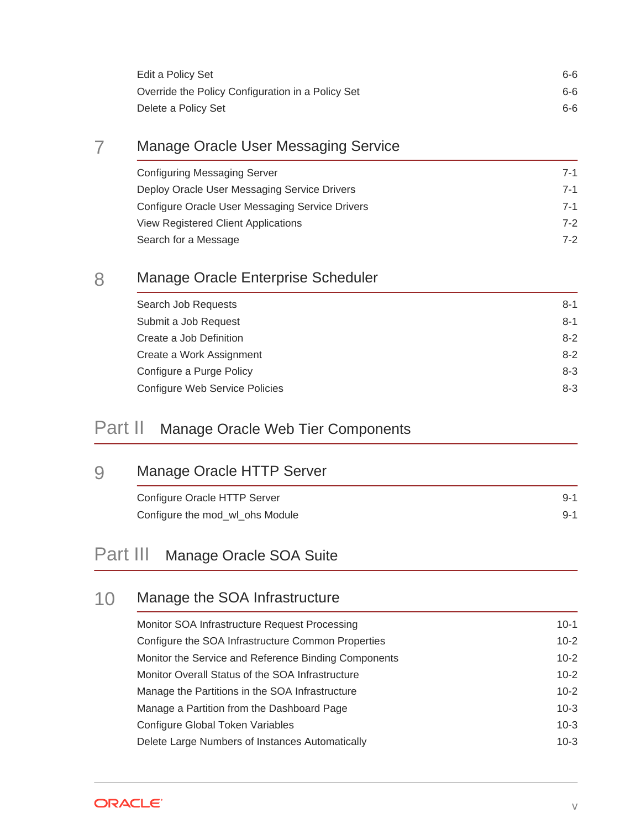| Edit a Policy Set                                 | $6-6$ |
|---------------------------------------------------|-------|
| Override the Policy Configuration in a Policy Set | .6-ნ  |
| Delete a Policy Set                               | .6-ნ  |

#### 7 [Manage Oracle User Messaging Service](#page-41-0)

| <b>Configuring Messaging Server</b><br>Deploy Oracle User Messaging Service Drivers<br>Configure Oracle User Messaging Service Drivers<br><b>View Registered Client Applications</b><br>Search for a Message |  |       |
|--------------------------------------------------------------------------------------------------------------------------------------------------------------------------------------------------------------|--|-------|
|                                                                                                                                                                                                              |  | $7-1$ |
|                                                                                                                                                                                                              |  | $7-1$ |
|                                                                                                                                                                                                              |  | $7-1$ |
|                                                                                                                                                                                                              |  | $7-2$ |
|                                                                                                                                                                                                              |  | $7-2$ |

#### 8 [Manage Oracle Enterprise Scheduler](#page-43-0)

| Search Job Requests            | $8-1$   |
|--------------------------------|---------|
| Submit a Job Request           | $8-1$   |
| Create a Job Definition        | $8-2$   |
| Create a Work Assignment       | $8 - 2$ |
| Configure a Purge Policy       | $8-3$   |
| Configure Web Service Policies | $8-3$   |

#### Part II [Manage Oracle Web Tier Components](#page-47-0)

## 9 [Manage Oracle HTTP Server](#page-48-0)

| Configure Oracle HTTP Server    | $9 - 1$ |
|---------------------------------|---------|
| Configure the mod_wl_ohs Module | $9 - 1$ |

#### Part III [Manage Oracle SOA Suite](#page-49-0)

#### 10 [Manage the SOA Infrastructure](#page-50-0)

| Monitor SOA Infrastructure Request Processing        | $10-1$ |
|------------------------------------------------------|--------|
| Configure the SOA Infrastructure Common Properties   | $10-2$ |
| Monitor the Service and Reference Binding Components | $10-2$ |
| Monitor Overall Status of the SOA Infrastructure     | $10-2$ |
| Manage the Partitions in the SOA Infrastructure      | $10-2$ |
| Manage a Partition from the Dashboard Page           | $10-3$ |
| Configure Global Token Variables                     | $10-3$ |
| Delete Large Numbers of Instances Automatically      | $10-3$ |
|                                                      |        |

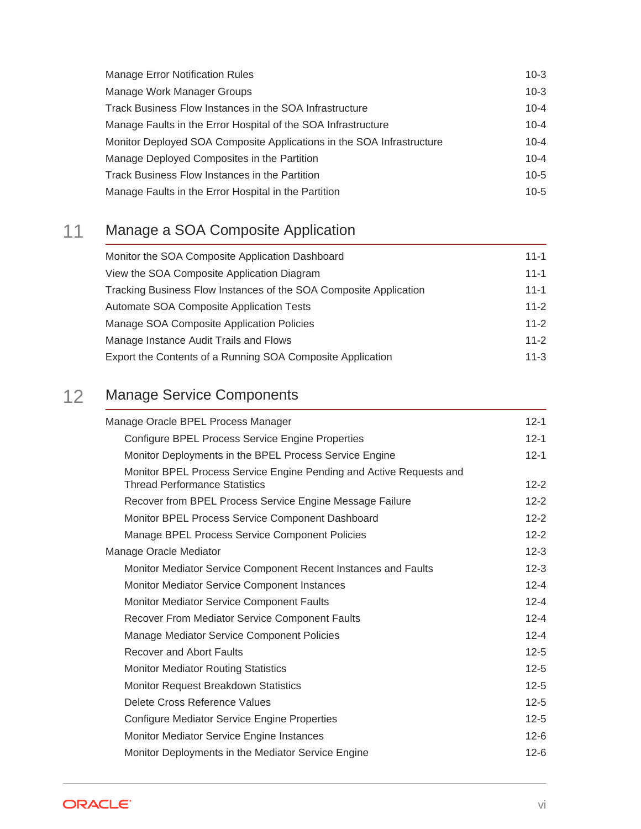| <b>Manage Error Notification Rules</b>                                | $10-3$   |
|-----------------------------------------------------------------------|----------|
| Manage Work Manager Groups                                            | $10-3$   |
| Track Business Flow Instances in the SOA Infrastructure               | $10 - 4$ |
| Manage Faults in the Error Hospital of the SOA Infrastructure         | $10 - 4$ |
| Monitor Deployed SOA Composite Applications in the SOA Infrastructure | $10 - 4$ |
| Manage Deployed Composites in the Partition                           | $10 - 4$ |
| Track Business Flow Instances in the Partition                        | $10 - 5$ |
| Manage Faults in the Error Hospital in the Partition                  | $10-5$   |

#### 11 [Manage a SOA Composite Application](#page-55-0)

| Monitor the SOA Composite Application Dashboard                   | $11 - 1$ |
|-------------------------------------------------------------------|----------|
| View the SOA Composite Application Diagram                        | $11 - 1$ |
| Tracking Business Flow Instances of the SOA Composite Application | $11 - 1$ |
| Automate SOA Composite Application Tests                          | $11-2$   |
| Manage SOA Composite Application Policies                         | $11-2$   |
| Manage Instance Audit Trails and Flows                            | $11 - 2$ |
| Export the Contents of a Running SOA Composite Application        | $11 - 3$ |
|                                                                   |          |

## 12 [Manage Service Components](#page-58-0)

| Manage Oracle BPEL Process Manager                                                                          | $12 - 1$ |
|-------------------------------------------------------------------------------------------------------------|----------|
| Configure BPEL Process Service Engine Properties                                                            | $12 - 1$ |
| Monitor Deployments in the BPEL Process Service Engine                                                      | $12 - 1$ |
| Monitor BPEL Process Service Engine Pending and Active Requests and<br><b>Thread Performance Statistics</b> | $12 - 2$ |
| Recover from BPEL Process Service Engine Message Failure                                                    | $12 - 2$ |
| Monitor BPEL Process Service Component Dashboard                                                            | $12 - 2$ |
| Manage BPEL Process Service Component Policies                                                              | $12 - 2$ |
| Manage Oracle Mediator                                                                                      | $12 - 3$ |
| Monitor Mediator Service Component Recent Instances and Faults                                              | $12-3$   |
| Monitor Mediator Service Component Instances                                                                | $12 - 4$ |
| <b>Monitor Mediator Service Component Faults</b>                                                            | $12 - 4$ |
| Recover From Mediator Service Component Faults                                                              | $12 - 4$ |
| Manage Mediator Service Component Policies                                                                  | $12 - 4$ |
| <b>Recover and Abort Faults</b>                                                                             | $12 - 5$ |
| <b>Monitor Mediator Routing Statistics</b>                                                                  | $12 - 5$ |
| Monitor Request Breakdown Statistics                                                                        | $12 - 5$ |
| Delete Cross Reference Values                                                                               | $12 - 5$ |
| <b>Configure Mediator Service Engine Properties</b>                                                         | $12 - 5$ |
| Monitor Mediator Service Engine Instances                                                                   | $12 - 6$ |
| Monitor Deployments in the Mediator Service Engine                                                          | $12 - 6$ |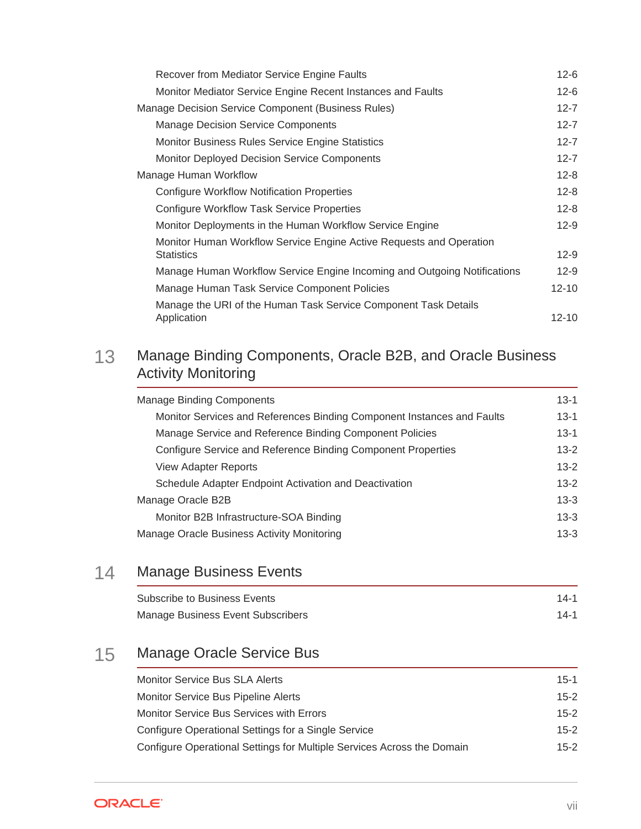| Recover from Mediator Service Engine Faults                              | $12-6$    |
|--------------------------------------------------------------------------|-----------|
| Monitor Mediator Service Engine Recent Instances and Faults              | $12-6$    |
| Manage Decision Service Component (Business Rules)                       | $12 - 7$  |
| <b>Manage Decision Service Components</b>                                | $12 - 7$  |
| <b>Monitor Business Rules Service Engine Statistics</b>                  | $12 - 7$  |
| <b>Monitor Deployed Decision Service Components</b>                      | $12 - 7$  |
| Manage Human Workflow                                                    | $12 - 8$  |
| <b>Configure Workflow Notification Properties</b>                        | $12 - 8$  |
| <b>Configure Workflow Task Service Properties</b>                        | $12 - 8$  |
| Monitor Deployments in the Human Workflow Service Engine                 | $12-9$    |
| Monitor Human Workflow Service Engine Active Requests and Operation      |           |
| <b>Statistics</b>                                                        | $12-9$    |
| Manage Human Workflow Service Engine Incoming and Outgoing Notifications | $12-9$    |
| Manage Human Task Service Component Policies                             | $12 - 10$ |
| Manage the URI of the Human Task Service Component Task Details          |           |
| Application                                                              | $12 - 10$ |

#### 13 [Manage Binding Components, Oracle B2B, and Oracle Business](#page-68-0) [Activity Monitoring](#page-68-0)

| <b>Manage Binding Components</b>                                       | 13-1   |
|------------------------------------------------------------------------|--------|
| Monitor Services and References Binding Component Instances and Faults | $13-1$ |
| Manage Service and Reference Binding Component Policies                | $13-1$ |
| Configure Service and Reference Binding Component Properties           | $13-2$ |
| <b>View Adapter Reports</b>                                            | $13-2$ |
| Schedule Adapter Endpoint Activation and Deactivation                  | $13-2$ |
| Manage Oracle B2B                                                      | $13-3$ |
| Monitor B2B Infrastructure-SOA Binding                                 | $13-3$ |
| Manage Oracle Business Activity Monitoring                             | $13-3$ |

#### 14 [Manage Business Events](#page-72-0)

| Subscribe to Business Events      | $14-1$ |
|-----------------------------------|--------|
| Manage Business Event Subscribers | $14-1$ |

#### 15 [Manage Oracle Service Bus](#page-73-0)

| <b>Monitor Service Bus SLA Alerts</b>                                  | $15 - 1$ |
|------------------------------------------------------------------------|----------|
| Monitor Service Bus Pipeline Alerts                                    | $15-2$   |
| Monitor Service Bus Services with Errors                               | $15-2$   |
| Configure Operational Settings for a Single Service                    | $15-2$   |
| Configure Operational Settings for Multiple Services Across the Domain | $15 - 2$ |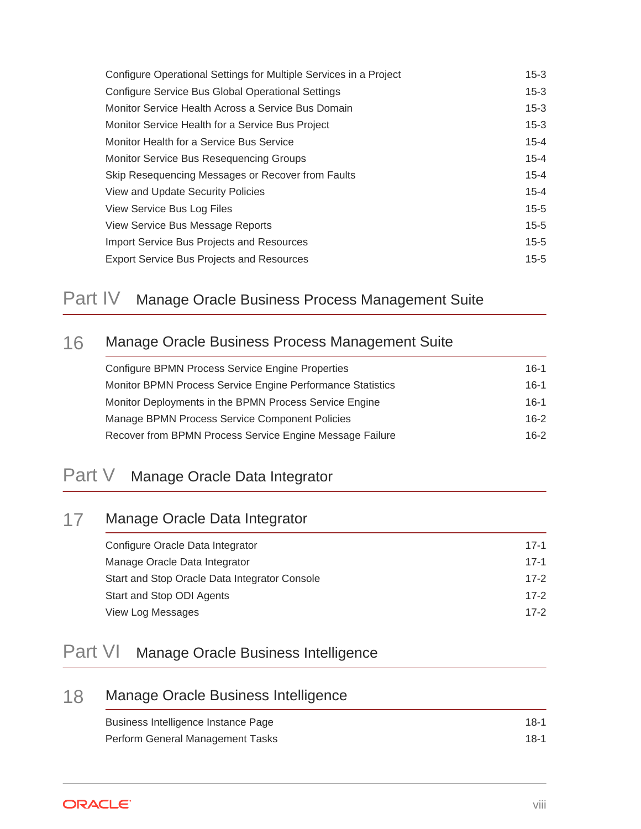| Configure Operational Settings for Multiple Services in a Project | $15-3$   |
|-------------------------------------------------------------------|----------|
| Configure Service Bus Global Operational Settings                 | $15-3$   |
| Monitor Service Health Across a Service Bus Domain                | $15 - 3$ |
| Monitor Service Health for a Service Bus Project                  | $15-3$   |
| Monitor Health for a Service Bus Service                          | $15 - 4$ |
| <b>Monitor Service Bus Resequencing Groups</b>                    | $15 - 4$ |
| Skip Resequencing Messages or Recover from Faults                 | $15 - 4$ |
| View and Update Security Policies                                 | $15 - 4$ |
| View Service Bus Log Files                                        | $15 - 5$ |
| View Service Bus Message Reports                                  | $15 - 5$ |
| <b>Import Service Bus Projects and Resources</b>                  | $15 - 5$ |
| <b>Export Service Bus Projects and Resources</b>                  | $15 - 5$ |

#### Part IV [Manage Oracle Business Process Management Suite](#page-78-0)

#### 16 [Manage Oracle Business Process Management Suite](#page-79-0)

| Configure BPMN Process Service Engine Properties           | $16-1$ |
|------------------------------------------------------------|--------|
| Monitor BPMN Process Service Engine Performance Statistics | 16-1   |
| Monitor Deployments in the BPMN Process Service Engine     | 16-1   |
| Manage BPMN Process Service Component Policies             | $16-2$ |
| Recover from BPMN Process Service Engine Message Failure   | $16-2$ |

#### Part V [Manage Oracle Data Integrator](#page-81-0)

#### 17 [Manage Oracle Data Integrator](#page-82-0)

| Configure Oracle Data Integrator              | $17-1$ |
|-----------------------------------------------|--------|
| Manage Oracle Data Integrator                 | $17-1$ |
| Start and Stop Oracle Data Integrator Console | $17-2$ |
| Start and Stop ODI Agents                     | $17-2$ |
| View Log Messages                             | 17-2   |
|                                               |        |

#### Part VI [Manage Oracle Business Intelligence](#page-85-0)

#### 18 [Manage Oracle Business Intelligence](#page-86-0)

| Business Intelligence Instance Page | $18-1$ |
|-------------------------------------|--------|
| Perform General Management Tasks    | $18-1$ |

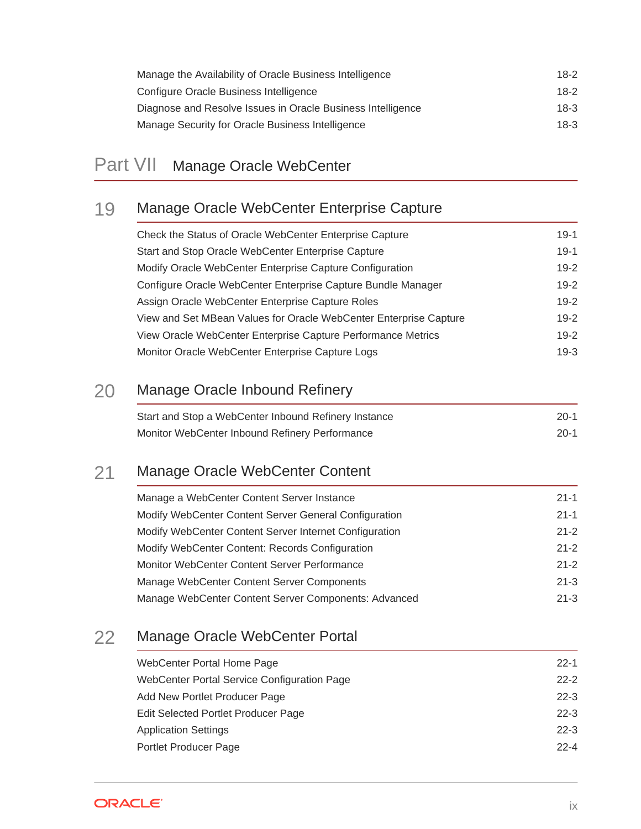| Manage the Availability of Oracle Business Intelligence     | 18-2 |
|-------------------------------------------------------------|------|
| Configure Oracle Business Intelligence                      | 18-2 |
| Diagnose and Resolve Issues in Oracle Business Intelligence | 18-3 |
| Manage Security for Oracle Business Intelligence            | 18-3 |

#### Part VII [Manage Oracle WebCenter](#page-89-0)

#### 19 [Manage Oracle WebCenter Enterprise Capture](#page-90-0)

| Check the Status of Oracle WebCenter Enterprise Capture           | $19-1$ |
|-------------------------------------------------------------------|--------|
| Start and Stop Oracle WebCenter Enterprise Capture                | $19-1$ |
| Modify Oracle WebCenter Enterprise Capture Configuration          | $19-2$ |
| Configure Oracle WebCenter Enterprise Capture Bundle Manager      | $19-2$ |
| Assign Oracle WebCenter Enterprise Capture Roles                  | $19-2$ |
| View and Set MBean Values for Oracle WebCenter Enterprise Capture | $19-2$ |
| View Oracle WebCenter Enterprise Capture Performance Metrics      | $19-2$ |
| Monitor Oracle WebCenter Enterprise Capture Logs                  | $19-3$ |

#### 20 [Manage Oracle Inbound Refinery](#page-93-0)

| Start and Stop a WebCenter Inbound Refinery Instance | 20-1   |
|------------------------------------------------------|--------|
| Monitor WebCenter Inbound Refinery Performance       | $20-1$ |

#### 21 [Manage Oracle WebCenter Content](#page-95-0)

| Manage a WebCenter Content Server Instance             | $21 - 1$ |
|--------------------------------------------------------|----------|
| Modify WebCenter Content Server General Configuration  | $21 - 1$ |
| Modify WebCenter Content Server Internet Configuration | $21 - 2$ |
| Modify WebCenter Content: Records Configuration        | $21 - 2$ |
| Monitor WebCenter Content Server Performance           | $21 - 2$ |
| Manage WebCenter Content Server Components             | $21 - 3$ |
| Manage WebCenter Content Server Components: Advanced   | $21 - 3$ |
|                                                        |          |

#### 22 [Manage Oracle WebCenter Portal](#page-98-0)

| WebCenter Portal Home Page                  | $22 - 1$ |
|---------------------------------------------|----------|
| WebCenter Portal Service Configuration Page | $22 - 2$ |
| Add New Portlet Producer Page               | $22 - 3$ |
| Edit Selected Portlet Producer Page         | $22 - 3$ |
| <b>Application Settings</b>                 | $22 - 3$ |
| Portlet Producer Page                       | 22-4     |
|                                             |          |

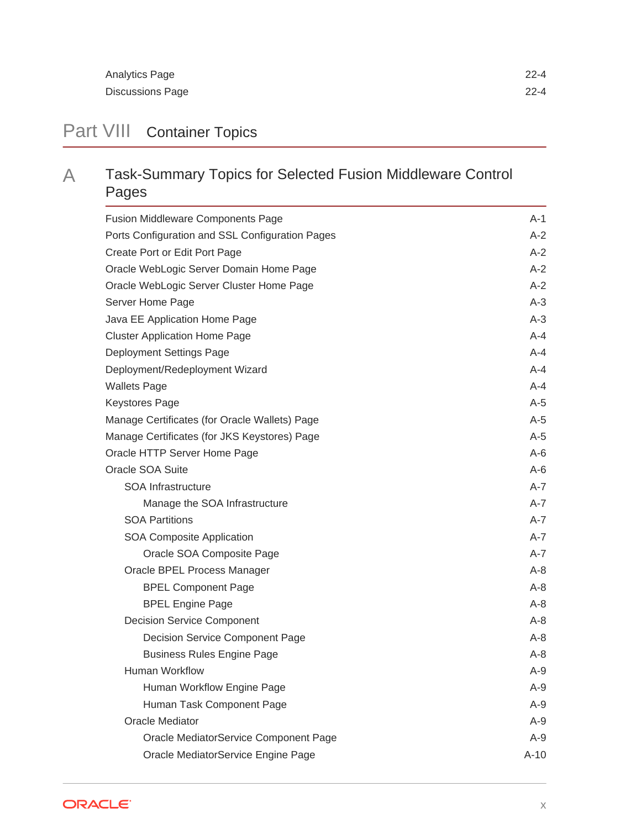# Part VIII [Container Topics](#page-102-0)

#### A [Task-Summary Topics for Selected Fusion Middleware Control](#page-103-0) [Pages](#page-103-0)

| <b>Fusion Middleware Components Page</b><br>$A-1$        |
|----------------------------------------------------------|
| $A-2$<br>Ports Configuration and SSL Configuration Pages |
| Create Port or Edit Port Page<br>$A-2$                   |
| Oracle WebLogic Server Domain Home Page<br>$A-2$         |
| Oracle WebLogic Server Cluster Home Page<br>$A-2$        |
| Server Home Page<br>$A-3$                                |
| Java EE Application Home Page<br>$A-3$                   |
| <b>Cluster Application Home Page</b><br>$A - 4$          |
| Deployment Settings Page<br>A-4                          |
| Deployment/Redeployment Wizard<br>A-4                    |
| <b>Wallets Page</b><br>A-4                               |
| <b>Keystores Page</b><br>$A-5$                           |
| Manage Certificates (for Oracle Wallets) Page<br>$A-5$   |
| Manage Certificates (for JKS Keystores) Page<br>$A-5$    |
| Oracle HTTP Server Home Page<br>$A-6$                    |
| Oracle SOA Suite<br>$A-6$                                |
| SOA Infrastructure<br>A-7                                |
| Manage the SOA Infrastructure<br>$A-7$                   |
| <b>SOA Partitions</b><br>A-7                             |
| SOA Composite Application<br>A-7                         |
| Oracle SOA Composite Page<br>A-7                         |
| Oracle BPEL Process Manager<br>$A - 8$                   |
| <b>BPEL Component Page</b><br>$A - 8$                    |
| <b>BPEL Engine Page</b><br>$A - 8$                       |
| <b>Decision Service Component</b><br>$A - 8$             |
| <b>Decision Service Component Page</b><br>$A - 8$        |
| <b>Business Rules Engine Page</b><br>A-8                 |
| <b>Human Workflow</b><br>$A-9$                           |
| Human Workflow Engine Page<br>$A-9$                      |
| Human Task Component Page<br>$A-9$                       |
| Oracle Mediator<br>$A-9$                                 |
| Oracle MediatorService Component Page<br>$A-9$           |
| Oracle MediatorService Engine Page<br>$A-10$             |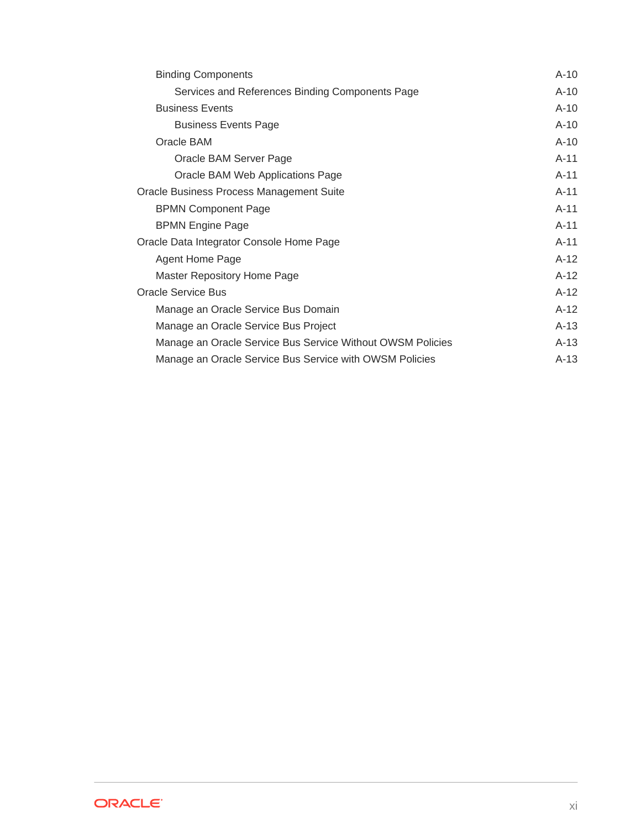| <b>Binding Components</b>                                  | $A-10$ |
|------------------------------------------------------------|--------|
| Services and References Binding Components Page            | $A-10$ |
| <b>Business Events</b>                                     | $A-10$ |
| <b>Business Events Page</b>                                | $A-10$ |
| Oracle BAM                                                 | $A-10$ |
| Oracle BAM Server Page                                     | $A-11$ |
| Oracle BAM Web Applications Page                           | $A-11$ |
| Oracle Business Process Management Suite                   | $A-11$ |
| <b>BPMN Component Page</b>                                 | $A-11$ |
| <b>BPMN Engine Page</b>                                    | $A-11$ |
| Oracle Data Integrator Console Home Page                   | $A-11$ |
| Agent Home Page                                            | $A-12$ |
| <b>Master Repository Home Page</b>                         | $A-12$ |
| <b>Oracle Service Bus</b>                                  | $A-12$ |
| Manage an Oracle Service Bus Domain                        | $A-12$ |
| Manage an Oracle Service Bus Project                       | $A-13$ |
| Manage an Oracle Service Bus Service Without OWSM Policies | $A-13$ |
| Manage an Oracle Service Bus Service with OWSM Policies    | $A-13$ |

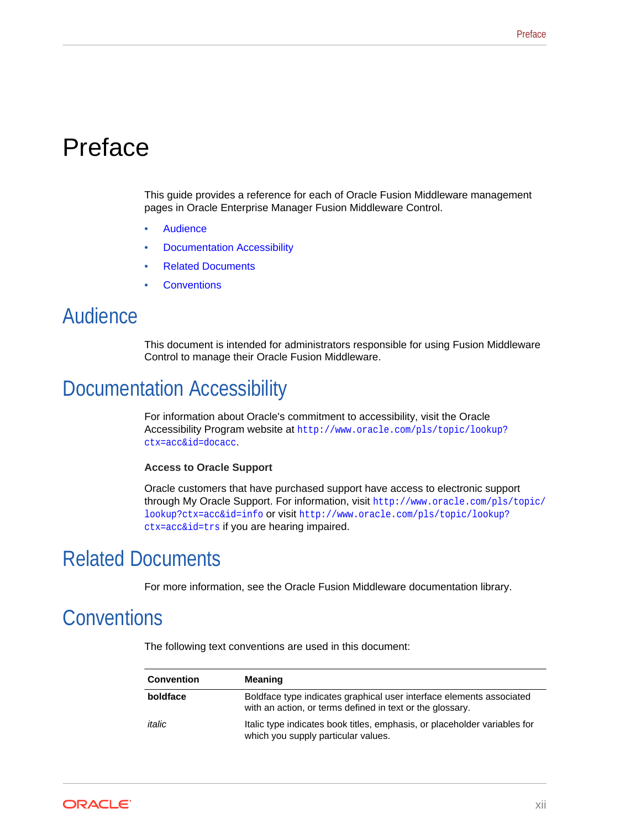# <span id="page-11-0"></span>Preface

This guide provides a reference for each of Oracle Fusion Middleware management pages in Oracle Enterprise Manager Fusion Middleware Control.

- **Audience**
- Documentation Accessibility
- Related Documents
- **Conventions**

#### Audience

This document is intended for administrators responsible for using Fusion Middleware Control to manage their Oracle Fusion Middleware.

### Documentation Accessibility

For information about Oracle's commitment to accessibility, visit the Oracle Accessibility Program website at [http://www.oracle.com/pls/topic/lookup?](http://www.oracle.com/pls/topic/lookup?ctx=acc&id=docacc) [ctx=acc&id=docacc](http://www.oracle.com/pls/topic/lookup?ctx=acc&id=docacc).

#### **Access to Oracle Support**

Oracle customers that have purchased support have access to electronic support through My Oracle Support. For information, visit [http://www.oracle.com/pls/topic/](http://www.oracle.com/pls/topic/lookup?ctx=acc&id=info) [lookup?ctx=acc&id=info](http://www.oracle.com/pls/topic/lookup?ctx=acc&id=info) or visit [http://www.oracle.com/pls/topic/lookup?](http://www.oracle.com/pls/topic/lookup?ctx=acc&id=trs) [ctx=acc&id=trs](http://www.oracle.com/pls/topic/lookup?ctx=acc&id=trs) if you are hearing impaired.

# Related Documents

For more information, see the Oracle Fusion Middleware documentation library.

#### **Conventions**

The following text conventions are used in this document:

| <b>Convention</b> | <b>Meaning</b>                                                                                                                    |
|-------------------|-----------------------------------------------------------------------------------------------------------------------------------|
| boldface          | Boldface type indicates graphical user interface elements associated<br>with an action, or terms defined in text or the glossary. |
| italic            | Italic type indicates book titles, emphasis, or placeholder variables for<br>which you supply particular values.                  |

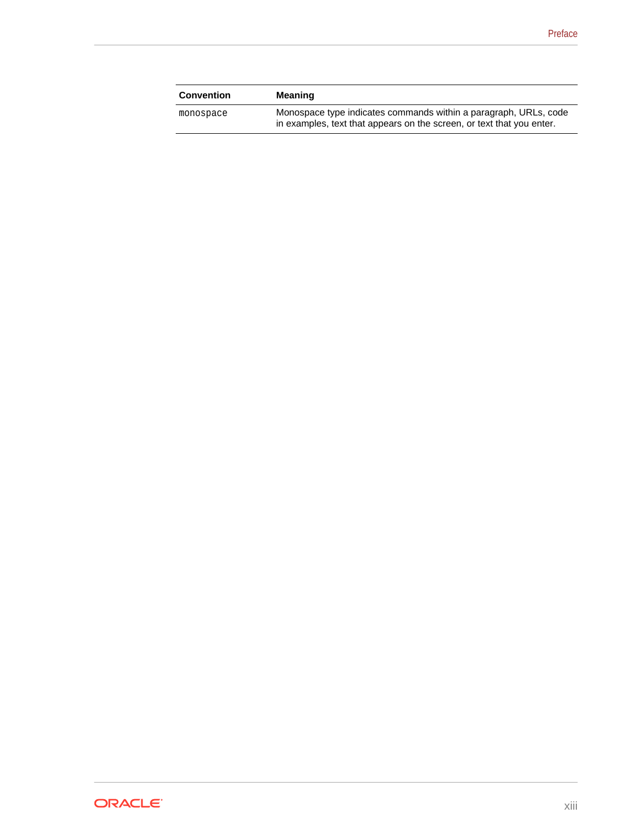| <b>Convention</b> | Meaning                                                                                                                                   |
|-------------------|-------------------------------------------------------------------------------------------------------------------------------------------|
| monospace         | Monospace type indicates commands within a paragraph, URLs, code<br>in examples, text that appears on the screen, or text that you enter. |

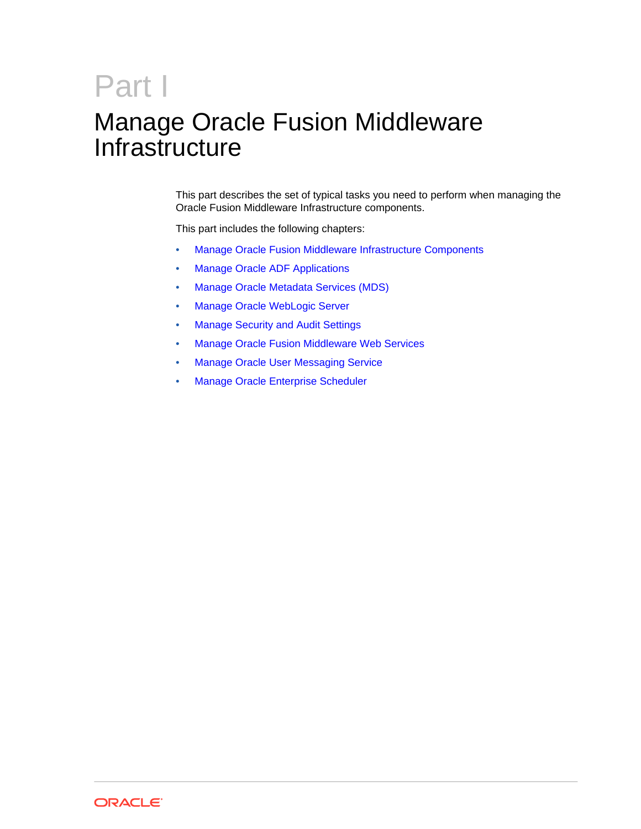# <span id="page-13-0"></span>Part I Manage Oracle Fusion Middleware **Infrastructure**

This part describes the set of typical tasks you need to perform when managing the Oracle Fusion Middleware Infrastructure components.

This part includes the following chapters:

- [Manage Oracle Fusion Middleware Infrastructure Components](#page-14-0)
- [Manage Oracle ADF Applications](#page-17-0)
- [Manage Oracle Metadata Services \(MDS\)](#page-18-0)
- [Manage Oracle WebLogic Server](#page-21-0)
- [Manage Security and Audit Settings](#page-29-0)
- [Manage Oracle Fusion Middleware Web Services](#page-34-0)
- [Manage Oracle User Messaging Service](#page-41-0)
- [Manage Oracle Enterprise Scheduler](#page-43-0)

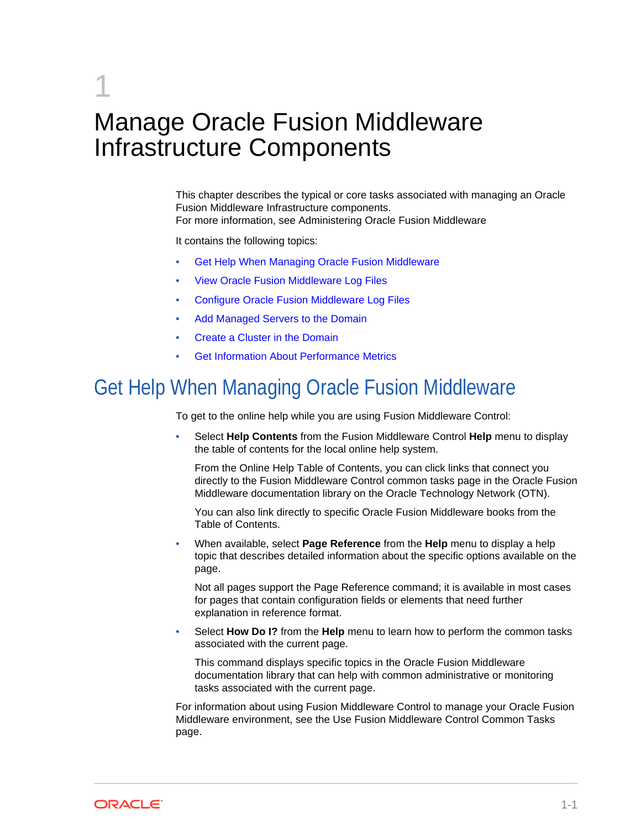# <span id="page-14-0"></span>1 Manage Oracle Fusion Middleware Infrastructure Components

This chapter describes the typical or core tasks associated with managing an Oracle Fusion Middleware Infrastructure components. For more information, see Administering Oracle Fusion Middleware

It contains the following topics:

- Get Help When Managing Oracle Fusion Middleware
- [View Oracle Fusion Middleware Log Files](#page-15-0)
- [Configure Oracle Fusion Middleware Log Files](#page-15-0)
- [Add Managed Servers to the Domain](#page-15-0)
- [Create a Cluster in the Domain](#page-16-0)
- [Get Information About Performance Metrics](#page-16-0)

# Get Help When Managing Oracle Fusion Middleware

To get to the online help while you are using Fusion Middleware Control:

• Select **Help Contents** from the Fusion Middleware Control **Help** menu to display the table of contents for the local online help system.

From the Online Help Table of Contents, you can click links that connect you directly to the Fusion Middleware Control common tasks page in the Oracle Fusion Middleware documentation library on the Oracle Technology Network (OTN).

You can also link directly to specific Oracle Fusion Middleware books from the Table of Contents.

• When available, select **Page Reference** from the **Help** menu to display a help topic that describes detailed information about the specific options available on the page.

Not all pages support the Page Reference command; it is available in most cases for pages that contain configuration fields or elements that need further explanation in reference format.

• Select **How Do I?** from the **Help** menu to learn how to perform the common tasks associated with the current page.

This command displays specific topics in the Oracle Fusion Middleware documentation library that can help with common administrative or monitoring tasks associated with the current page.

For information about using Fusion Middleware Control to manage your Oracle Fusion Middleware environment, see the Use Fusion Middleware Control Common Tasks page.

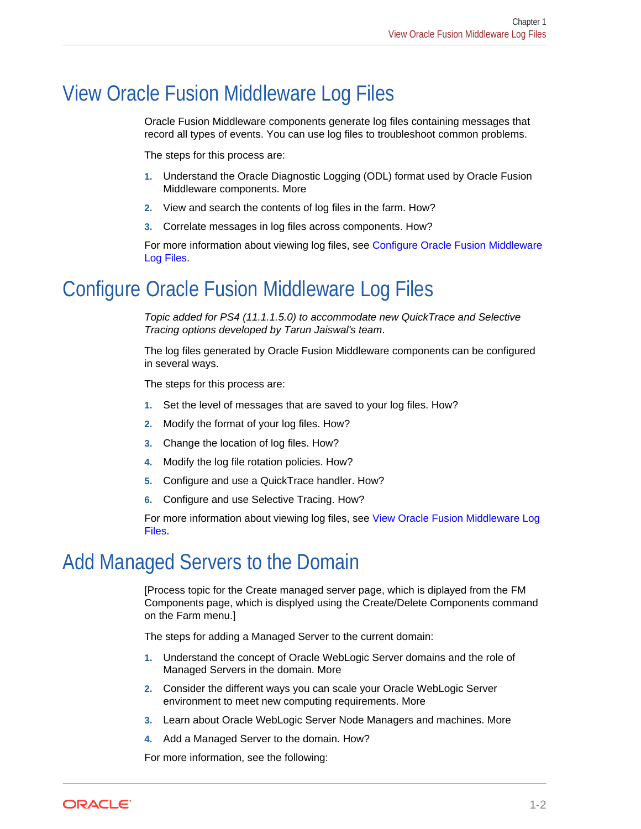# <span id="page-15-0"></span>View Oracle Fusion Middleware Log Files

Oracle Fusion Middleware components generate log files containing messages that record all types of events. You can use log files to troubleshoot common problems.

The steps for this process are:

- **1.** Understand the Oracle Diagnostic Logging (ODL) format used by Oracle Fusion Middleware components. More
- **2.** View and search the contents of log files in the farm. How?
- **3.** Correlate messages in log files across components. How?

For more information about viewing log files, see Configure Oracle Fusion Middleware Log Files.

# Configure Oracle Fusion Middleware Log Files

*Topic added for PS4 (11.1.1.5.0) to accommodate new QuickTrace and Selective Tracing options developed by Tarun Jaiswal's team*.

The log files generated by Oracle Fusion Middleware components can be configured in several ways.

The steps for this process are:

- **1.** Set the level of messages that are saved to your log files. How?
- **2.** Modify the format of your log files. How?
- **3.** Change the location of log files. How?
- **4.** Modify the log file rotation policies. How?
- **5.** Configure and use a QuickTrace handler. How?
- **6.** Configure and use Selective Tracing. How?

For more information about viewing log files, see View Oracle Fusion Middleware Log Files.

## Add Managed Servers to the Domain

[Process topic for the Create managed server page, which is diplayed from the FM Components page, which is displyed using the Create/Delete Components command on the Farm menu.]

The steps for adding a Managed Server to the current domain:

- **1.** Understand the concept of Oracle WebLogic Server domains and the role of Managed Servers in the domain. More
- **2.** Consider the different ways you can scale your Oracle WebLogic Server environment to meet new computing requirements. More
- **3.** Learn about Oracle WebLogic Server Node Managers and machines. More
- **4.** Add a Managed Server to the domain. How?

For more information, see the following:

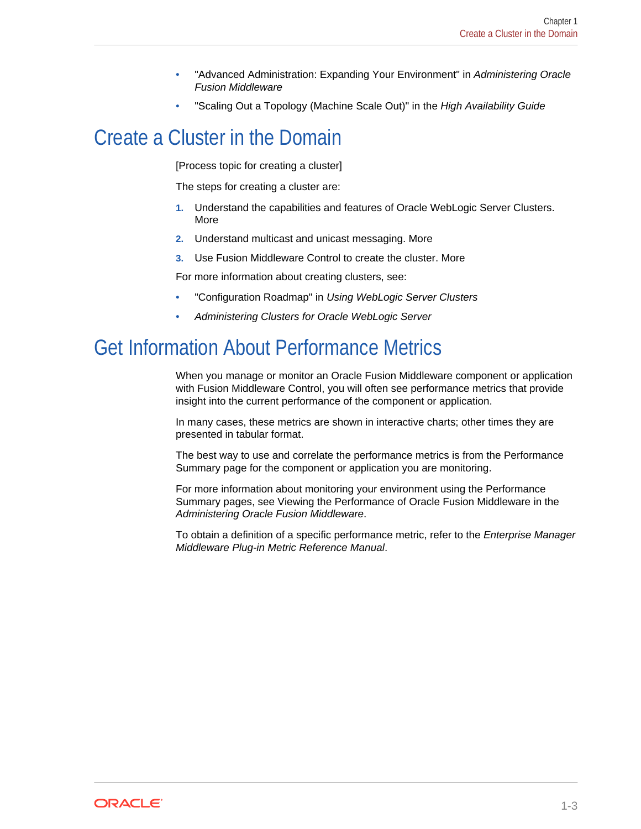- "Advanced Administration: Expanding Your Environment" in *Administering Oracle Fusion Middleware*
- "Scaling Out a Topology (Machine Scale Out)" in the *High Availability Guide*

# <span id="page-16-0"></span>Create a Cluster in the Domain

[Process topic for creating a cluster]

The steps for creating a cluster are:

- **1.** Understand the capabilities and features of Oracle WebLogic Server Clusters. More
- **2.** Understand multicast and unicast messaging. More
- **3.** Use Fusion Middleware Control to create the cluster. More

For more information about creating clusters, see:

- "Configuration Roadmap" in *Using WebLogic Server Clusters*
- *Administering Clusters for Oracle WebLogic Server*

#### Get Information About Performance Metrics

When you manage or monitor an Oracle Fusion Middleware component or application with Fusion Middleware Control, you will often see performance metrics that provide insight into the current performance of the component or application.

In many cases, these metrics are shown in interactive charts; other times they are presented in tabular format.

The best way to use and correlate the performance metrics is from the Performance Summary page for the component or application you are monitoring.

For more information about monitoring your environment using the Performance Summary pages, see Viewing the Performance of Oracle Fusion Middleware in the *Administering Oracle Fusion Middleware*.

To obtain a definition of a specific performance metric, refer to the *Enterprise Manager Middleware Plug-in Metric Reference Manual*.

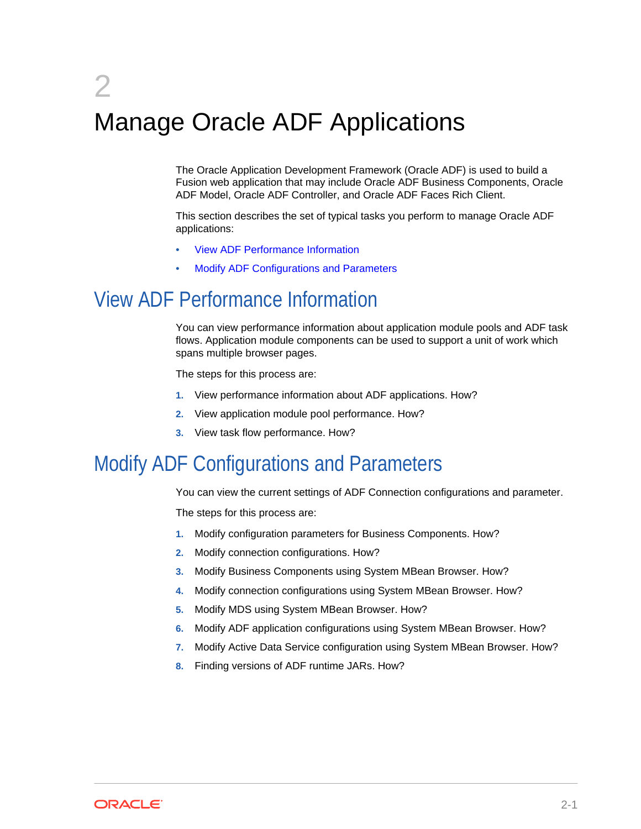# <span id="page-17-0"></span>2 Manage Oracle ADF Applications

The Oracle Application Development Framework (Oracle ADF) is used to build a Fusion web application that may include Oracle ADF Business Components, Oracle ADF Model, Oracle ADF Controller, and Oracle ADF Faces Rich Client.

This section describes the set of typical tasks you perform to manage Oracle ADF applications:

- View ADF Performance Information
- Modify ADF Configurations and Parameters

# View ADF Performance Information

You can view performance information about application module pools and ADF task flows. Application module components can be used to support a unit of work which spans multiple browser pages.

The steps for this process are:

- **1.** View performance information about ADF applications. How?
- **2.** View application module pool performance. How?
- **3.** View task flow performance. How?

## Modify ADF Configurations and Parameters

You can view the current settings of ADF Connection configurations and parameter.

The steps for this process are:

- **1.** Modify configuration parameters for Business Components. How?
- **2.** Modify connection configurations. How?
- **3.** Modify Business Components using System MBean Browser. How?
- **4.** Modify connection configurations using System MBean Browser. How?
- **5.** Modify MDS using System MBean Browser. How?
- **6.** Modify ADF application configurations using System MBean Browser. How?
- **7.** Modify Active Data Service configuration using System MBean Browser. How?
- **8.** Finding versions of ADF runtime JARs. How?

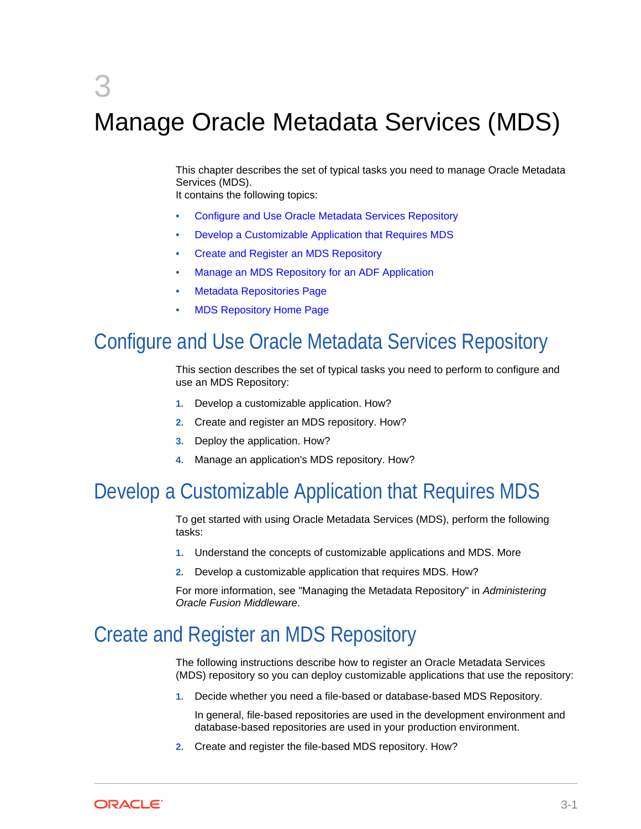# <span id="page-18-0"></span>3 Manage Oracle Metadata Services (MDS)

This chapter describes the set of typical tasks you need to manage Oracle Metadata Services (MDS).

It contains the following topics:

- Configure and Use Oracle Metadata Services Repository
- Develop a Customizable Application that Requires MDS
- Create and Register an MDS Repository
- [Manage an MDS Repository for an ADF Application](#page-19-0)
- [Metadata Repositories Page](#page-19-0)
- [MDS Repository Home Page](#page-19-0)

## Configure and Use Oracle Metadata Services Repository

This section describes the set of typical tasks you need to perform to configure and use an MDS Repository:

- **1.** Develop a customizable application. How?
- **2.** Create and register an MDS repository. How?
- **3.** Deploy the application. How?
- **4.** Manage an application's MDS repository. How?

# Develop a Customizable Application that Requires MDS

To get started with using Oracle Metadata Services (MDS), perform the following tasks:

- **1.** Understand the concepts of customizable applications and MDS. More
- **2.** Develop a customizable application that requires MDS. How?

For more information, see "Managing the Metadata Repository" in *Administering Oracle Fusion Middleware*.

## Create and Register an MDS Repository

The following instructions describe how to register an Oracle Metadata Services (MDS) repository so you can deploy customizable applications that use the repository:

**1.** Decide whether you need a file-based or database-based MDS Repository.

In general, file-based repositories are used in the development environment and database-based repositories are used in your production environment.

**2.** Create and register the file-based MDS repository. How?

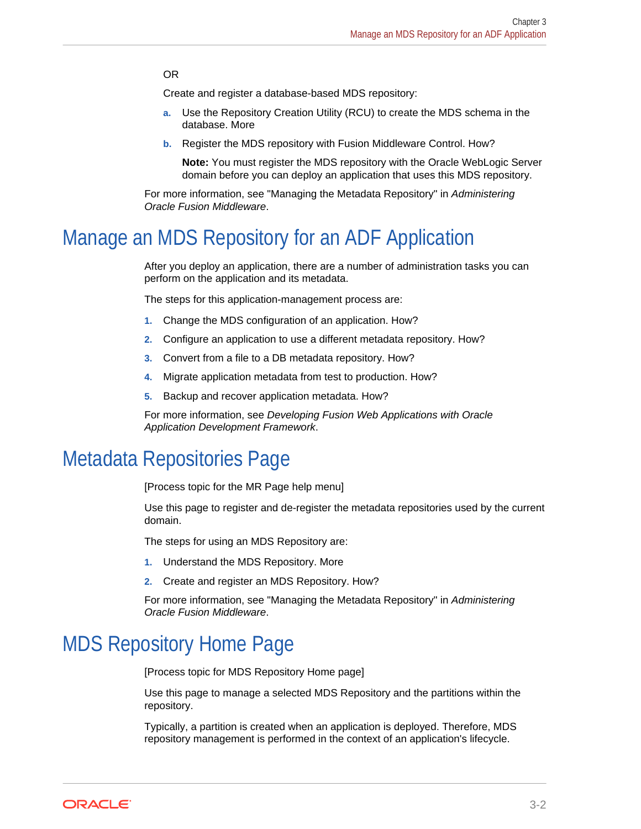#### <span id="page-19-0"></span>OR

Create and register a database-based MDS repository:

- **a.** Use the Repository Creation Utility (RCU) to create the MDS schema in the database. More
- **b.** Register the MDS repository with Fusion Middleware Control. How?

**Note:** You must register the MDS repository with the Oracle WebLogic Server domain before you can deploy an application that uses this MDS repository.

For more information, see "Managing the Metadata Repository" in *Administering Oracle Fusion Middleware*.

### Manage an MDS Repository for an ADF Application

After you deploy an application, there are a number of administration tasks you can perform on the application and its metadata.

The steps for this application-management process are:

- **1.** Change the MDS configuration of an application. How?
- **2.** Configure an application to use a different metadata repository. How?
- **3.** Convert from a file to a DB metadata repository. How?
- **4.** Migrate application metadata from test to production. How?
- **5.** Backup and recover application metadata. How?

For more information, see *Developing Fusion Web Applications with Oracle Application Development Framework*.

#### Metadata Repositories Page

[Process topic for the MR Page help menu]

Use this page to register and de-register the metadata repositories used by the current domain.

The steps for using an MDS Repository are:

- **1.** Understand the MDS Repository. More
- **2.** Create and register an MDS Repository. How?

For more information, see "Managing the Metadata Repository" in *Administering Oracle Fusion Middleware*.

#### MDS Repository Home Page

[Process topic for MDS Repository Home page]

Use this page to manage a selected MDS Repository and the partitions within the repository.

Typically, a partition is created when an application is deployed. Therefore, MDS repository management is performed in the context of an application's lifecycle.

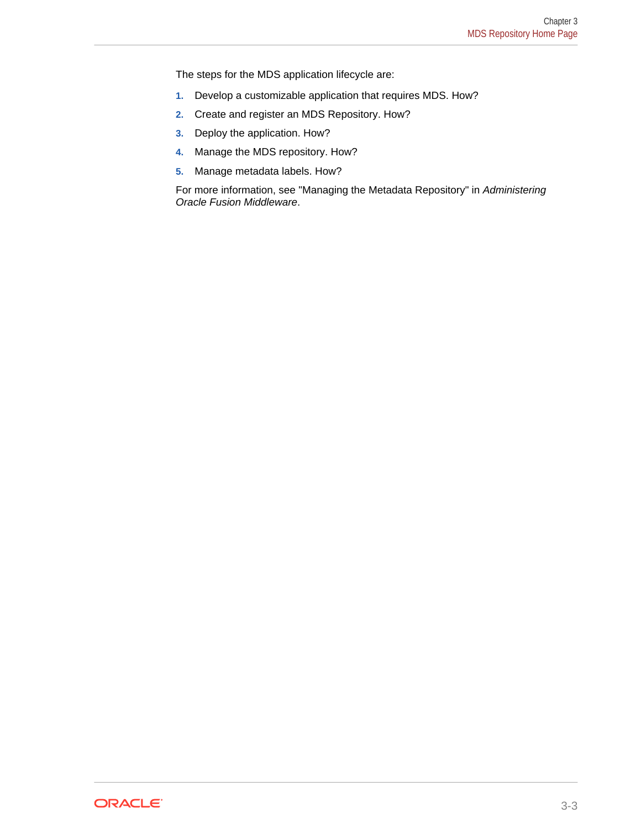The steps for the MDS application lifecycle are:

- **1.** Develop a customizable application that requires MDS. How?
- **2.** Create and register an MDS Repository. How?
- **3.** Deploy the application. How?
- **4.** Manage the MDS repository. How?
- **5.** Manage metadata labels. How?

For more information, see "Managing the Metadata Repository" in *Administering Oracle Fusion Middleware*.

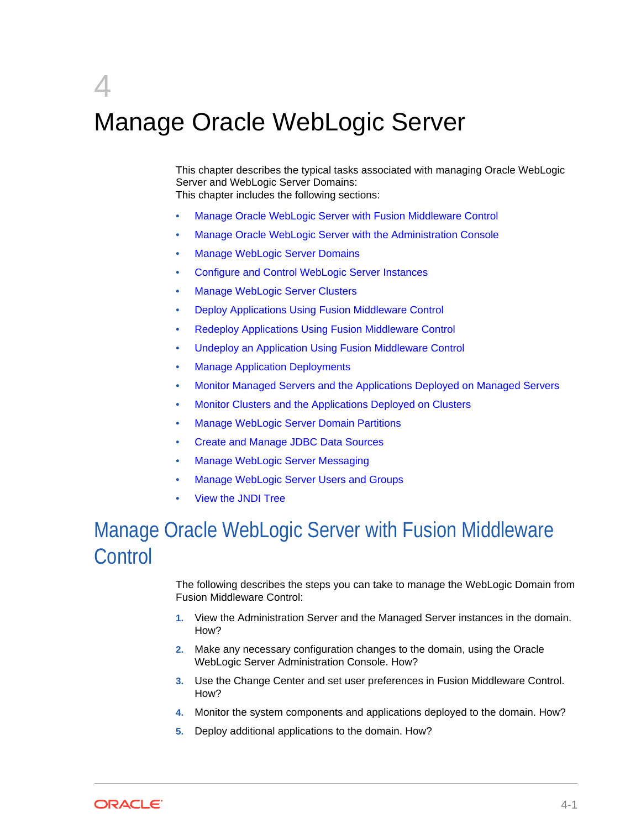# <span id="page-21-0"></span>4 Manage Oracle WebLogic Server

This chapter describes the typical tasks associated with managing Oracle WebLogic Server and WebLogic Server Domains: This chapter includes the following sections:

- Manage Oracle WebLogic Server with Fusion Middleware Control
- [Manage Oracle WebLogic Server with the Administration Console](#page-22-0)
- [Manage WebLogic Server Domains](#page-22-0)
- [Configure and Control WebLogic Server Instances](#page-22-0)
- [Manage WebLogic Server Clusters](#page-23-0)
- [Deploy Applications Using Fusion Middleware Control](#page-23-0)
- [Redeploy Applications Using Fusion Middleware Control](#page-24-0)
- [Undeploy an Application Using Fusion Middleware Control](#page-25-0)
- **[Manage Application Deployments](#page-25-0)**
- [Monitor Managed Servers and the Applications Deployed on Managed Servers](#page-25-0)
- [Monitor Clusters and the Applications Deployed on Clusters](#page-26-0)
- [Manage WebLogic Server Domain Partitions](#page-26-0)
- [Create and Manage JDBC Data Sources](#page-27-0)
- [Manage WebLogic Server Messaging](#page-27-0)
- [Manage WebLogic Server Users and Groups](#page-28-0)
- [View the JNDI Tree](#page-28-0)

# Manage Oracle WebLogic Server with Fusion Middleware **Control**

The following describes the steps you can take to manage the WebLogic Domain from Fusion Middleware Control:

- **1.** View the Administration Server and the Managed Server instances in the domain. H<sub>ow</sub>?
- **2.** Make any necessary configuration changes to the domain, using the Oracle WebLogic Server Administration Console. How?
- **3.** Use the Change Center and set user preferences in Fusion Middleware Control. How?
- **4.** Monitor the system components and applications deployed to the domain. How?
- **5.** Deploy additional applications to the domain. How?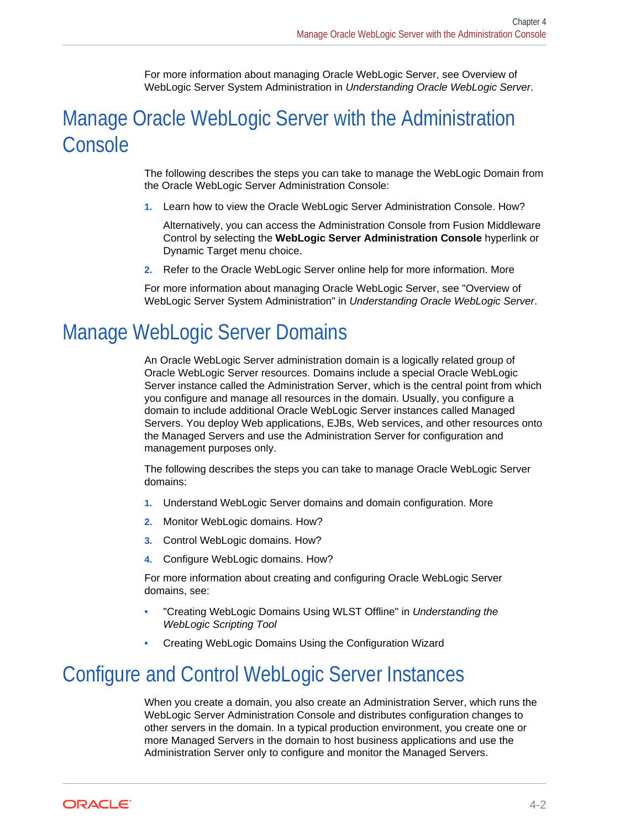For more information about managing Oracle WebLogic Server, see Overview of WebLogic Server System Administration in *Understanding Oracle WebLogic Server*.

# <span id="page-22-0"></span>Manage Oracle WebLogic Server with the Administration **Console**

The following describes the steps you can take to manage the WebLogic Domain from the Oracle WebLogic Server Administration Console:

**1.** Learn how to view the Oracle WebLogic Server Administration Console. How?

Alternatively, you can access the Administration Console from Fusion Middleware Control by selecting the **WebLogic Server Administration Console** hyperlink or Dynamic Target menu choice.

**2.** Refer to the Oracle WebLogic Server online help for more information. More

For more information about managing Oracle WebLogic Server, see "Overview of WebLogic Server System Administration" in *Understanding Oracle WebLogic Server*.

## Manage WebLogic Server Domains

An Oracle WebLogic Server administration domain is a logically related group of Oracle WebLogic Server resources. Domains include a special Oracle WebLogic Server instance called the Administration Server, which is the central point from which you configure and manage all resources in the domain. Usually, you configure a domain to include additional Oracle WebLogic Server instances called Managed Servers. You deploy Web applications, EJBs, Web services, and other resources onto the Managed Servers and use the Administration Server for configuration and management purposes only.

The following describes the steps you can take to manage Oracle WebLogic Server domains:

- **1.** Understand WebLogic Server domains and domain configuration. More
- **2.** Monitor WebLogic domains. How?
- **3.** Control WebLogic domains. How?
- **4.** Configure WebLogic domains. How?

For more information about creating and configuring Oracle WebLogic Server domains, see:

- "Creating WebLogic Domains Using WLST Offline" in *Understanding the WebLogic Scripting Tool*
- Creating WebLogic Domains Using the Configuration Wizard

## Configure and Control WebLogic Server Instances

When you create a domain, you also create an Administration Server, which runs the WebLogic Server Administration Console and distributes configuration changes to other servers in the domain. In a typical production environment, you create one or more Managed Servers in the domain to host business applications and use the Administration Server only to configure and monitor the Managed Servers.

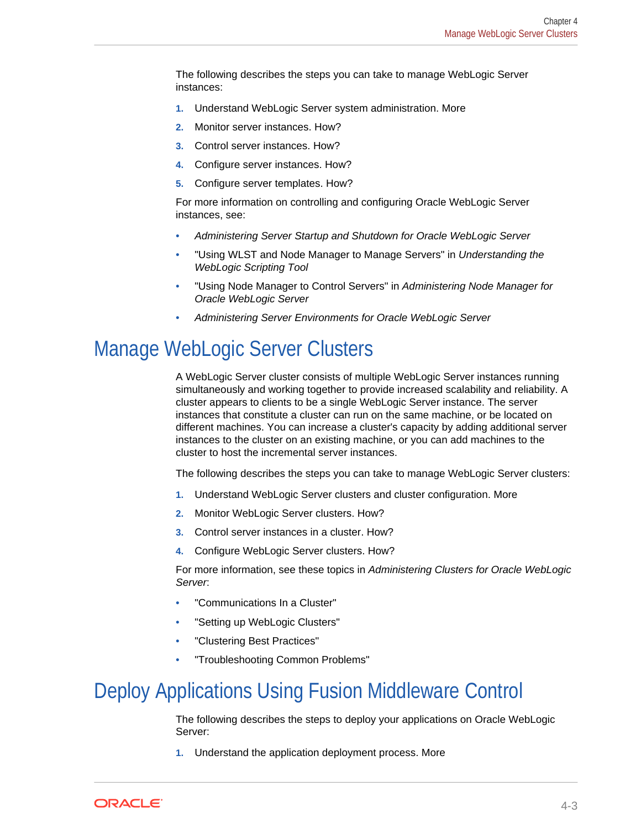<span id="page-23-0"></span>The following describes the steps you can take to manage WebLogic Server instances:

- **1.** Understand WebLogic Server system administration. More
- **2.** Monitor server instances. How?
- **3.** Control server instances. How?
- **4.** Configure server instances. How?
- **5.** Configure server templates. How?

For more information on controlling and configuring Oracle WebLogic Server instances, see:

- *Administering Server Startup and Shutdown for Oracle WebLogic Server*
- "Using WLST and Node Manager to Manage Servers" in *Understanding the WebLogic Scripting Tool*
- "Using Node Manager to Control Servers" in *Administering Node Manager for Oracle WebLogic Server*
- *Administering Server Environments for Oracle WebLogic Server*

# Manage WebLogic Server Clusters

A WebLogic Server cluster consists of multiple WebLogic Server instances running simultaneously and working together to provide increased scalability and reliability. A cluster appears to clients to be a single WebLogic Server instance. The server instances that constitute a cluster can run on the same machine, or be located on different machines. You can increase a cluster's capacity by adding additional server instances to the cluster on an existing machine, or you can add machines to the cluster to host the incremental server instances.

The following describes the steps you can take to manage WebLogic Server clusters:

- **1.** Understand WebLogic Server clusters and cluster configuration. More
- **2.** Monitor WebLogic Server clusters. How?
- **3.** Control server instances in a cluster. How?
- **4.** Configure WebLogic Server clusters. How?

For more information, see these topics in *Administering Clusters for Oracle WebLogic Server*:

- "Communications In a Cluster"
- "Setting up WebLogic Clusters"
- "Clustering Best Practices"
- "Troubleshooting Common Problems"

# Deploy Applications Using Fusion Middleware Control

The following describes the steps to deploy your applications on Oracle WebLogic Server:

**1.** Understand the application deployment process. More

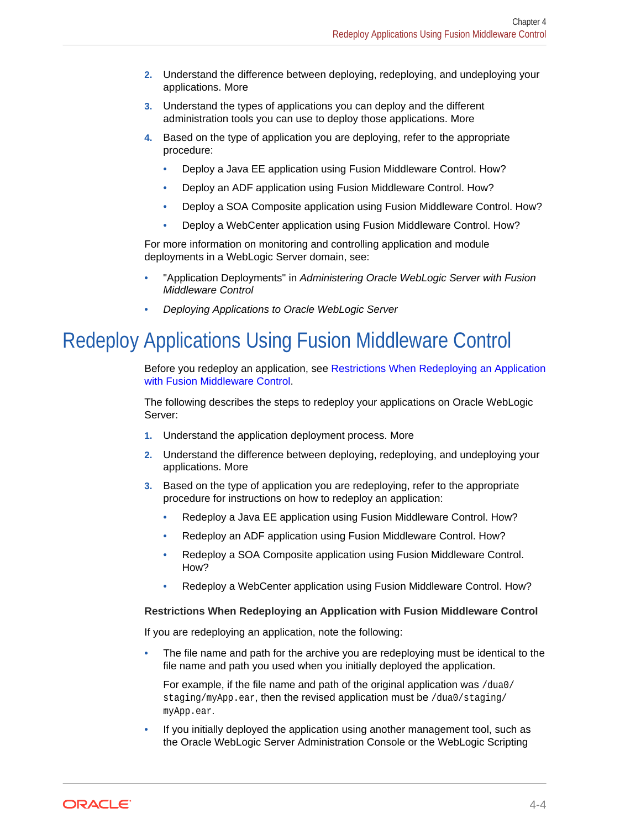- <span id="page-24-0"></span>**2.** Understand the difference between deploying, redeploying, and undeploying your applications. More
- **3.** Understand the types of applications you can deploy and the different administration tools you can use to deploy those applications. More
- **4.** Based on the type of application you are deploying, refer to the appropriate procedure:
	- Deploy a Java EE application using Fusion Middleware Control. How?
	- Deploy an ADF application using Fusion Middleware Control. How?
	- Deploy a SOA Composite application using Fusion Middleware Control. How?
	- Deploy a WebCenter application using Fusion Middleware Control. How?

For more information on monitoring and controlling application and module deployments in a WebLogic Server domain, see:

- "Application Deployments" in *Administering Oracle WebLogic Server with Fusion Middleware Control*
- *Deploying Applications to Oracle WebLogic Server*

# Redeploy Applications Using Fusion Middleware Control

Before you redeploy an application, see Restrictions When Redeploying an Application with Fusion Middleware Control.

The following describes the steps to redeploy your applications on Oracle WebLogic Server:

- **1.** Understand the application deployment process. More
- **2.** Understand the difference between deploying, redeploying, and undeploying your applications. More
- **3.** Based on the type of application you are redeploying, refer to the appropriate procedure for instructions on how to redeploy an application:
	- Redeploy a Java EE application using Fusion Middleware Control. How?
	- Redeploy an ADF application using Fusion Middleware Control. How?
	- Redeploy a SOA Composite application using Fusion Middleware Control. How?
	- Redeploy a WebCenter application using Fusion Middleware Control. How?

#### **Restrictions When Redeploying an Application with Fusion Middleware Control**

If you are redeploying an application, note the following:

• The file name and path for the archive you are redeploying must be identical to the file name and path you used when you initially deployed the application.

For example, if the file name and path of the original application was /dua0/ staging/myApp.ear, then the revised application must be /dua0/staging/ myApp.ear.

• If you initially deployed the application using another management tool, such as the Oracle WebLogic Server Administration Console or the WebLogic Scripting

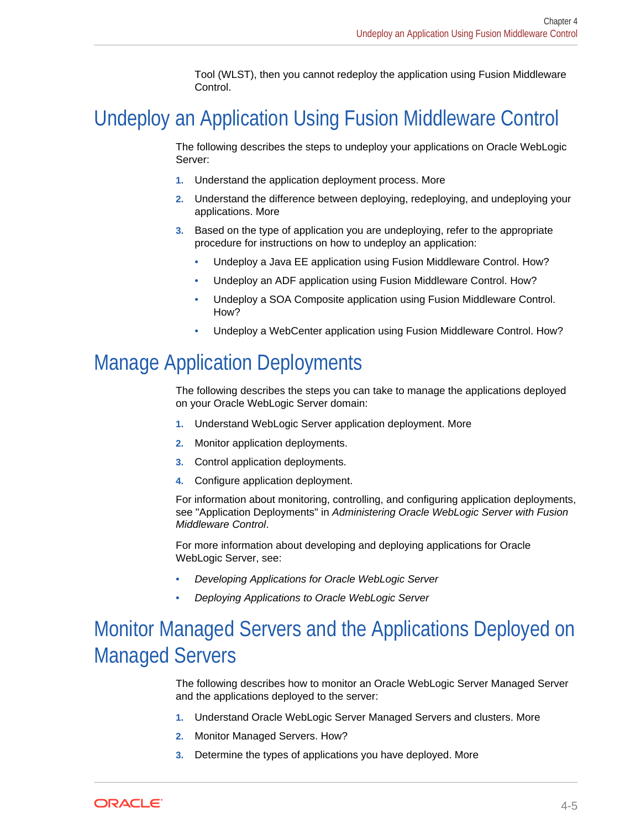Tool (WLST), then you cannot redeploy the application using Fusion Middleware Control.

# <span id="page-25-0"></span>Undeploy an Application Using Fusion Middleware Control

The following describes the steps to undeploy your applications on Oracle WebLogic Server:

- **1.** Understand the application deployment process. More
- **2.** Understand the difference between deploying, redeploying, and undeploying your applications. More
- **3.** Based on the type of application you are undeploying, refer to the appropriate procedure for instructions on how to undeploy an application:
	- Undeploy a Java EE application using Fusion Middleware Control. How?
	- Undeploy an ADF application using Fusion Middleware Control. How?
	- Undeploy a SOA Composite application using Fusion Middleware Control. How?
	- Undeploy a WebCenter application using Fusion Middleware Control. How?

# Manage Application Deployments

The following describes the steps you can take to manage the applications deployed on your Oracle WebLogic Server domain:

- **1.** Understand WebLogic Server application deployment. More
- **2.** Monitor application deployments.
- **3.** Control application deployments.
- **4.** Configure application deployment.

For information about monitoring, controlling, and configuring application deployments, see "Application Deployments" in *Administering Oracle WebLogic Server with Fusion Middleware Control*.

For more information about developing and deploying applications for Oracle WebLogic Server, see:

- *Developing Applications for Oracle WebLogic Server*
- *Deploying Applications to Oracle WebLogic Server*

# Monitor Managed Servers and the Applications Deployed on Managed Servers

The following describes how to monitor an Oracle WebLogic Server Managed Server and the applications deployed to the server:

- **1.** Understand Oracle WebLogic Server Managed Servers and clusters. More
- **2.** Monitor Managed Servers. How?
- **3.** Determine the types of applications you have deployed. More

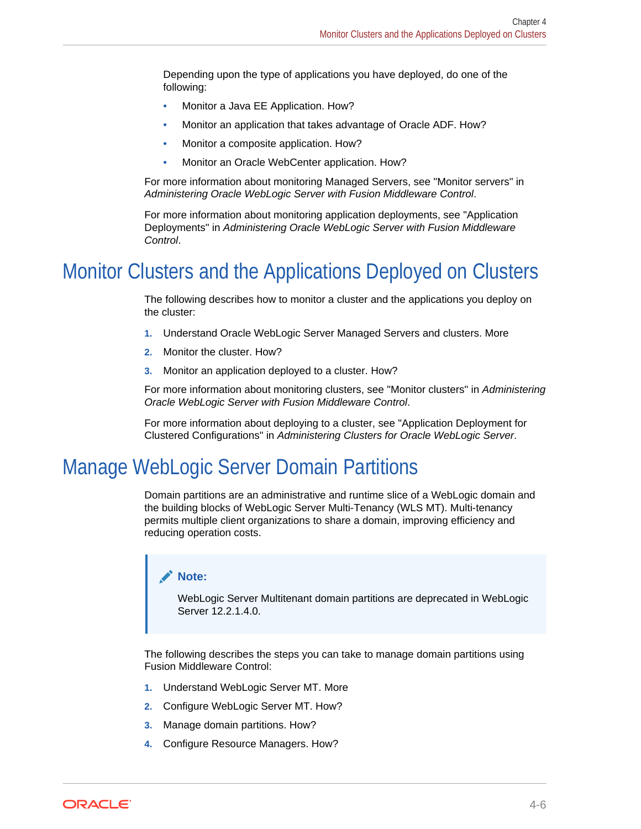<span id="page-26-0"></span>Depending upon the type of applications you have deployed, do one of the following:

- Monitor a Java EE Application. How?
- Monitor an application that takes advantage of Oracle ADF. How?
- Monitor a composite application. How?
- Monitor an Oracle WebCenter application. How?

For more information about monitoring Managed Servers, see "Monitor servers" in *Administering Oracle WebLogic Server with Fusion Middleware Control*.

For more information about monitoring application deployments, see "Application Deployments" in *Administering Oracle WebLogic Server with Fusion Middleware Control*.

## Monitor Clusters and the Applications Deployed on Clusters

The following describes how to monitor a cluster and the applications you deploy on the cluster:

- **1.** Understand Oracle WebLogic Server Managed Servers and clusters. More
- **2.** Monitor the cluster. How?
- **3.** Monitor an application deployed to a cluster. How?

For more information about monitoring clusters, see "Monitor clusters" in *Administering Oracle WebLogic Server with Fusion Middleware Control*.

For more information about deploying to a cluster, see "Application Deployment for Clustered Configurations" in *Administering Clusters for Oracle WebLogic Server*.

#### Manage WebLogic Server Domain Partitions

Domain partitions are an administrative and runtime slice of a WebLogic domain and the building blocks of WebLogic Server Multi-Tenancy (WLS MT). Multi-tenancy permits multiple client organizations to share a domain, improving efficiency and reducing operation costs.

#### **Note:**

WebLogic Server Multitenant domain partitions are deprecated in WebLogic Server 12.2.1.4.0.

The following describes the steps you can take to manage domain partitions using Fusion Middleware Control:

- **1.** Understand WebLogic Server MT. More
- **2.** Configure WebLogic Server MT. How?
- **3.** Manage domain partitions. How?
- **4.** Configure Resource Managers. How?

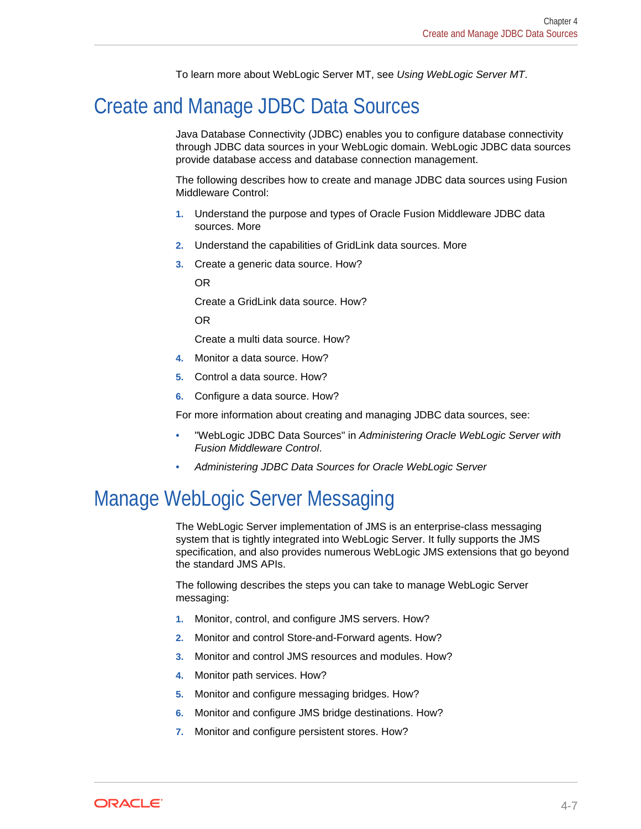To learn more about WebLogic Server MT, see *Using WebLogic Server MT*.

## <span id="page-27-0"></span>Create and Manage JDBC Data Sources

Java Database Connectivity (JDBC) enables you to configure database connectivity through JDBC data sources in your WebLogic domain. WebLogic JDBC data sources provide database access and database connection management.

The following describes how to create and manage JDBC data sources using Fusion Middleware Control:

- **1.** Understand the purpose and types of Oracle Fusion Middleware JDBC data sources. More
- **2.** Understand the capabilities of GridLink data sources. More
- **3.** Create a generic data source. How?

OR

Create a GridLink data source. How?

OR

Create a multi data source. How?

- **4.** Monitor a data source. How?
- **5.** Control a data source. How?
- **6.** Configure a data source. How?

For more information about creating and managing JDBC data sources, see:

- "WebLogic JDBC Data Sources" in *Administering Oracle WebLogic Server with Fusion Middleware Control*.
- *Administering JDBC Data Sources for Oracle WebLogic Server*

# Manage WebLogic Server Messaging

The WebLogic Server implementation of JMS is an enterprise-class messaging system that is tightly integrated into WebLogic Server. It fully supports the JMS specification, and also provides numerous WebLogic JMS extensions that go beyond the standard JMS APIs.

The following describes the steps you can take to manage WebLogic Server messaging:

- **1.** Monitor, control, and configure JMS servers. How?
- **2.** Monitor and control Store-and-Forward agents. How?
- **3.** Monitor and control JMS resources and modules. How?
- **4.** Monitor path services. How?
- **5.** Monitor and configure messaging bridges. How?
- **6.** Monitor and configure JMS bridge destinations. How?
- **7.** Monitor and configure persistent stores. How?

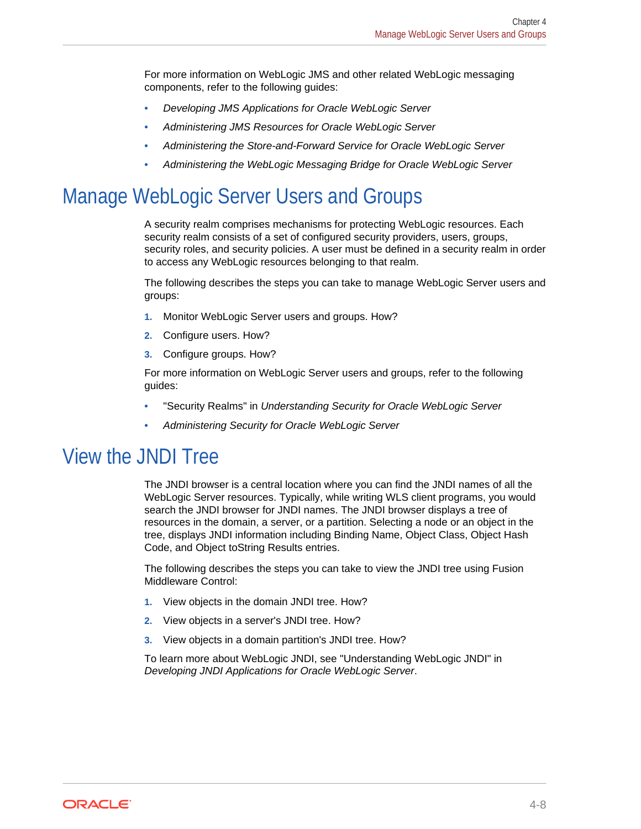<span id="page-28-0"></span>For more information on WebLogic JMS and other related WebLogic messaging components, refer to the following guides:

- *Developing JMS Applications for Oracle WebLogic Server*
- *Administering JMS Resources for Oracle WebLogic Server*
- *Administering the Store-and-Forward Service for Oracle WebLogic Server*
- *Administering the WebLogic Messaging Bridge for Oracle WebLogic Server*

#### Manage WebLogic Server Users and Groups

A security realm comprises mechanisms for protecting WebLogic resources. Each security realm consists of a set of configured security providers, users, groups, security roles, and security policies. A user must be defined in a security realm in order to access any WebLogic resources belonging to that realm.

The following describes the steps you can take to manage WebLogic Server users and groups:

- **1.** Monitor WebLogic Server users and groups. How?
- **2.** Configure users. How?
- **3.** Configure groups. How?

For more information on WebLogic Server users and groups, refer to the following guides:

- "Security Realms" in *Understanding Security for Oracle WebLogic Server*
- *Administering Security for Oracle WebLogic Server*

## View the JNDI Tree

The JNDI browser is a central location where you can find the JNDI names of all the WebLogic Server resources. Typically, while writing WLS client programs, you would search the JNDI browser for JNDI names. The JNDI browser displays a tree of resources in the domain, a server, or a partition. Selecting a node or an object in the tree, displays JNDI information including Binding Name, Object Class, Object Hash Code, and Object toString Results entries.

The following describes the steps you can take to view the JNDI tree using Fusion Middleware Control:

- **1.** View objects in the domain JNDI tree. How?
- **2.** View objects in a server's JNDI tree. How?
- **3.** View objects in a domain partition's JNDI tree. How?

To learn more about WebLogic JNDI, see "Understanding WebLogic JNDI" in *Developing JNDI Applications for Oracle WebLogic Server*.

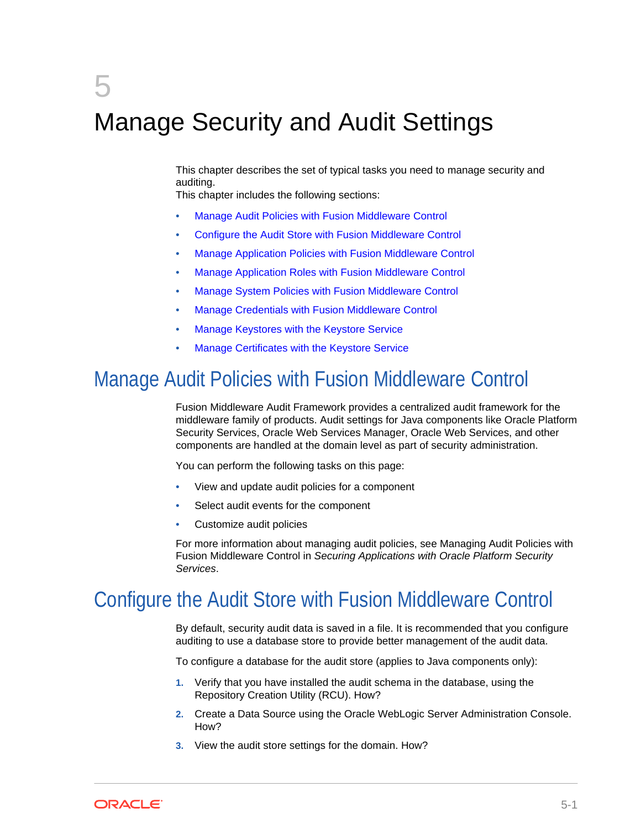# Manage Security and Audit Settings

This chapter describes the set of typical tasks you need to manage security and auditing.

This chapter includes the following sections:

- Manage Audit Policies with Fusion Middleware Control
- Configure the Audit Store with Fusion Middleware Control
- [Manage Application Policies with Fusion Middleware Control](#page-30-0)
- [Manage Application Roles with Fusion Middleware Control](#page-30-0)
- [Manage System Policies with Fusion Middleware Control](#page-31-0)
- [Manage Credentials with Fusion Middleware Control](#page-31-0)
- [Manage Keystores with the Keystore Service](#page-32-0)
- [Manage Certificates with the Keystore Service](#page-32-0)

# Manage Audit Policies with Fusion Middleware Control

Fusion Middleware Audit Framework provides a centralized audit framework for the middleware family of products. Audit settings for Java components like Oracle Platform Security Services, Oracle Web Services Manager, Oracle Web Services, and other components are handled at the domain level as part of security administration.

You can perform the following tasks on this page:

- View and update audit policies for a component
- Select audit events for the component
- Customize audit policies

For more information about managing audit policies, see Managing Audit Policies with Fusion Middleware Control in *Securing Applications with Oracle Platform Security Services*.

### Configure the Audit Store with Fusion Middleware Control

By default, security audit data is saved in a file. It is recommended that you configure auditing to use a database store to provide better management of the audit data.

To configure a database for the audit store (applies to Java components only):

- **1.** Verify that you have installed the audit schema in the database, using the Repository Creation Utility (RCU). How?
- **2.** Create a Data Source using the Oracle WebLogic Server Administration Console. How?
- **3.** View the audit store settings for the domain. How?

<span id="page-29-0"></span>5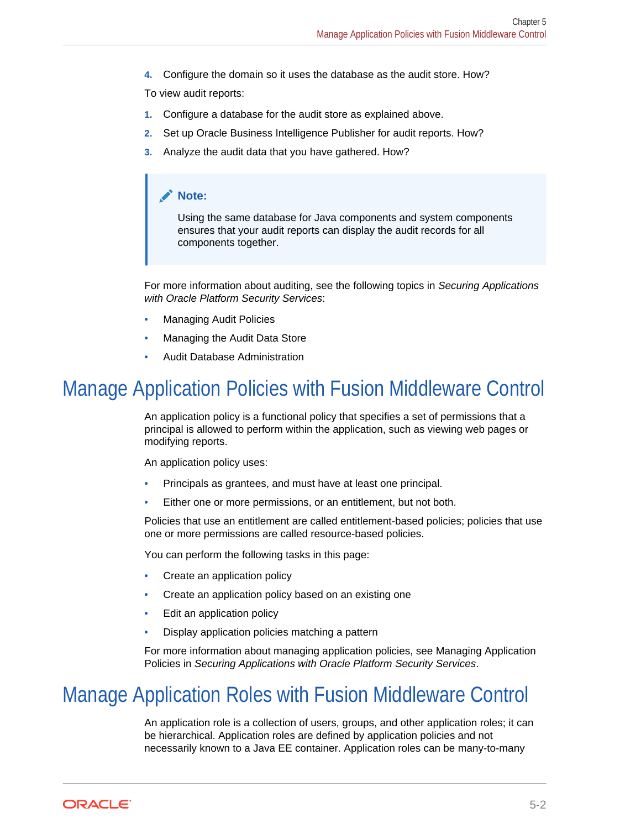<span id="page-30-0"></span>**4.** Configure the domain so it uses the database as the audit store. How?

To view audit reports:

- **1.** Configure a database for the audit store as explained above.
- **2.** Set up Oracle Business Intelligence Publisher for audit reports. How?
- **3.** Analyze the audit data that you have gathered. How?

#### **Note:**

Using the same database for Java components and system components ensures that your audit reports can display the audit records for all components together.

For more information about auditing, see the following topics in *Securing Applications with Oracle Platform Security Services*:

- Managing Audit Policies
- Managing the Audit Data Store
- Audit Database Administration

#### Manage Application Policies with Fusion Middleware Control

An application policy is a functional policy that specifies a set of permissions that a principal is allowed to perform within the application, such as viewing web pages or modifying reports.

An application policy uses:

- Principals as grantees, and must have at least one principal.
- Either one or more permissions, or an entitlement, but not both.

Policies that use an entitlement are called entitlement-based policies; policies that use one or more permissions are called resource-based policies.

You can perform the following tasks in this page:

- Create an application policy
- Create an application policy based on an existing one
- Edit an application policy
- Display application policies matching a pattern

For more information about managing application policies, see Managing Application Policies in *Securing Applications with Oracle Platform Security Services*.

#### Manage Application Roles with Fusion Middleware Control

An application role is a collection of users, groups, and other application roles; it can be hierarchical. Application roles are defined by application policies and not necessarily known to a Java EE container. Application roles can be many-to-many

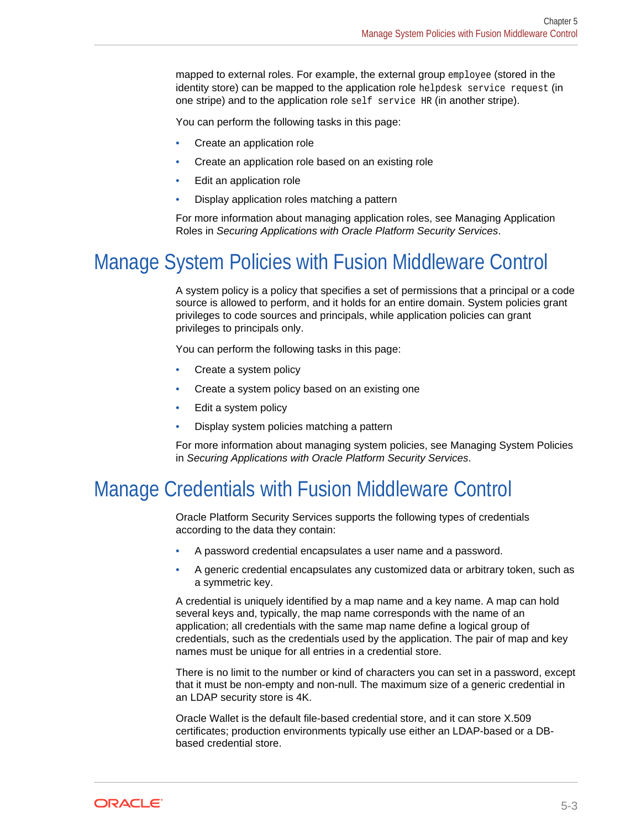<span id="page-31-0"></span>mapped to external roles. For example, the external group employee (stored in the identity store) can be mapped to the application role helpdesk service request (in one stripe) and to the application role self service HR (in another stripe).

You can perform the following tasks in this page:

- Create an application role
- Create an application role based on an existing role
- Edit an application role
- Display application roles matching a pattern

For more information about managing application roles, see Managing Application Roles in *Securing Applications with Oracle Platform Security Services*.

# Manage System Policies with Fusion Middleware Control

A system policy is a policy that specifies a set of permissions that a principal or a code source is allowed to perform, and it holds for an entire domain. System policies grant privileges to code sources and principals, while application policies can grant privileges to principals only.

You can perform the following tasks in this page:

- Create a system policy
- Create a system policy based on an existing one
- Edit a system policy
- Display system policies matching a pattern

For more information about managing system policies, see Managing System Policies in *Securing Applications with Oracle Platform Security Services*.

# Manage Credentials with Fusion Middleware Control

Oracle Platform Security Services supports the following types of credentials according to the data they contain:

- A password credential encapsulates a user name and a password.
- A generic credential encapsulates any customized data or arbitrary token, such as a symmetric key.

A credential is uniquely identified by a map name and a key name. A map can hold several keys and, typically, the map name corresponds with the name of an application; all credentials with the same map name define a logical group of credentials, such as the credentials used by the application. The pair of map and key names must be unique for all entries in a credential store.

There is no limit to the number or kind of characters you can set in a password, except that it must be non-empty and non-null. The maximum size of a generic credential in an LDAP security store is 4K.

Oracle Wallet is the default file-based credential store, and it can store X.509 certificates; production environments typically use either an LDAP-based or a DBbased credential store.

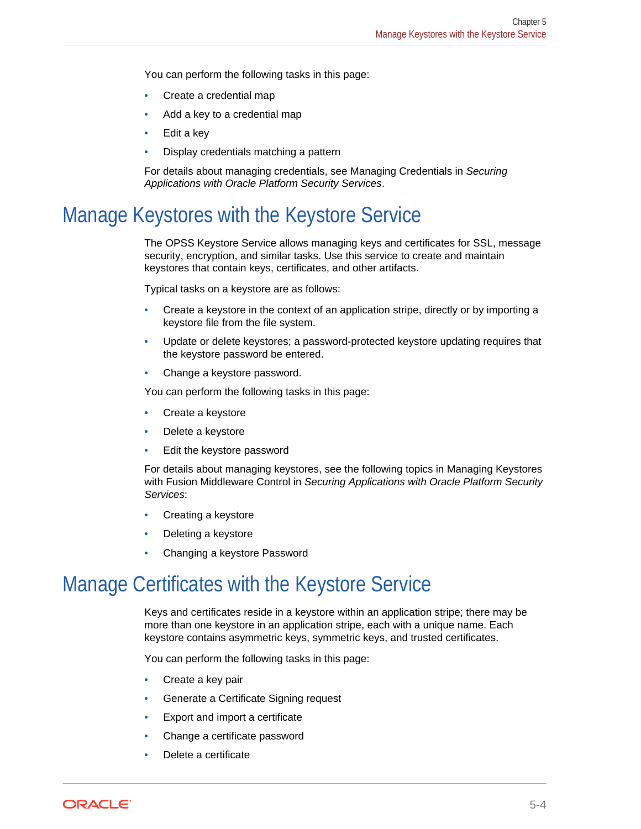<span id="page-32-0"></span>You can perform the following tasks in this page:

- Create a credential map
- Add a key to a credential map
- Edit a key
- Display credentials matching a pattern

For details about managing credentials, see Managing Credentials in *Securing Applications with Oracle Platform Security Services*.

## Manage Keystores with the Keystore Service

The OPSS Keystore Service allows managing keys and certificates for SSL, message security, encryption, and similar tasks. Use this service to create and maintain keystores that contain keys, certificates, and other artifacts.

Typical tasks on a keystore are as follows:

- Create a keystore in the context of an application stripe, directly or by importing a keystore file from the file system.
- Update or delete keystores; a password-protected keystore updating requires that the keystore password be entered.
- Change a keystore password.

You can perform the following tasks in this page:

- Create a keystore
- Delete a keystore
- Edit the keystore password

For details about managing keystores, see the following topics in Managing Keystores with Fusion Middleware Control in *Securing Applications with Oracle Platform Security Services*:

- Creating a keystore
- Deleting a keystore
- Changing a keystore Password

#### Manage Certificates with the Keystore Service

Keys and certificates reside in a keystore within an application stripe; there may be more than one keystore in an application stripe, each with a unique name. Each keystore contains asymmetric keys, symmetric keys, and trusted certificates.

You can perform the following tasks in this page:

- Create a key pair
- Generate a Certificate Signing request
- Export and import a certificate
- Change a certificate password
- Delete a certificate

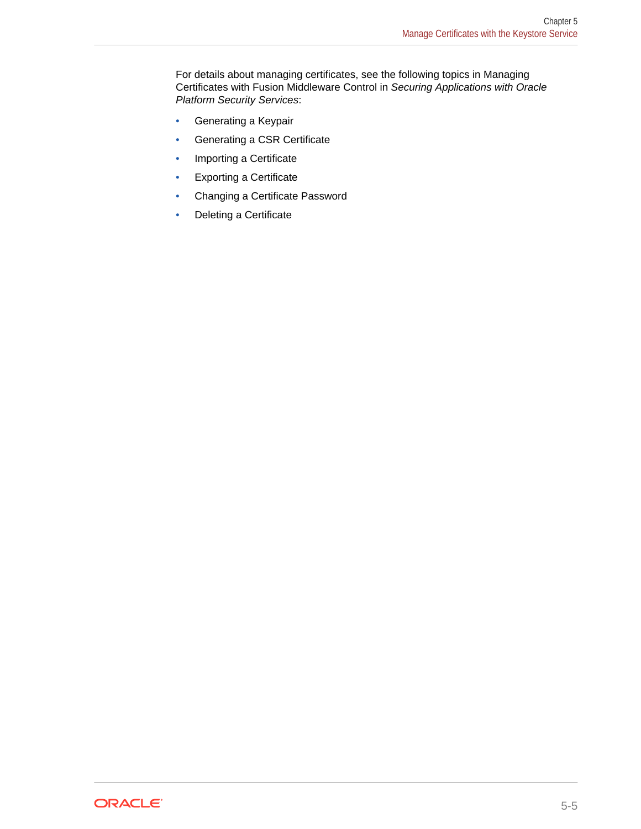For details about managing certificates, see the following topics in Managing Certificates with Fusion Middleware Control in *Securing Applications with Oracle Platform Security Services*:

- Generating a Keypair
- Generating a CSR Certificate
- Importing a Certificate
- **Exporting a Certificate**
- Changing a Certificate Password
- Deleting a Certificate

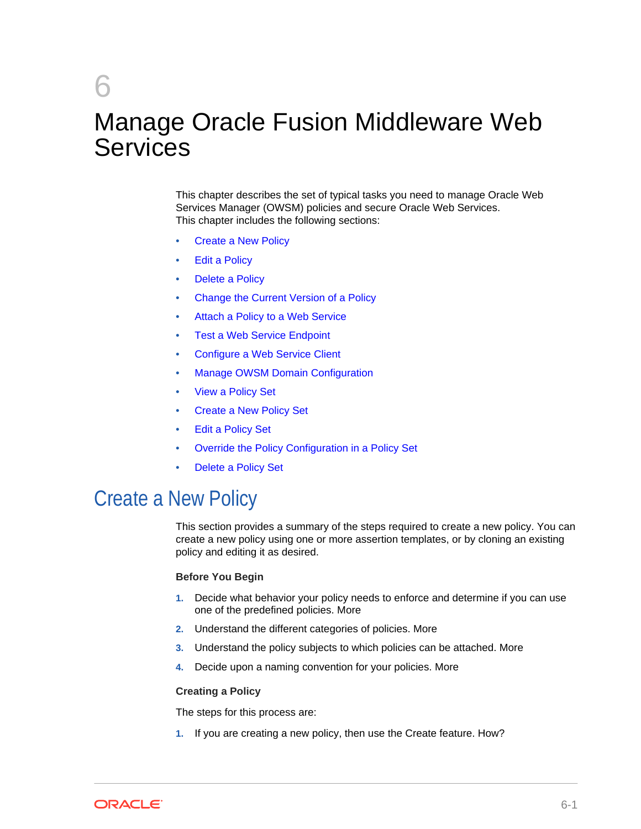# <span id="page-34-0"></span>6 Manage Oracle Fusion Middleware Web **Services**

This chapter describes the set of typical tasks you need to manage Oracle Web Services Manager (OWSM) policies and secure Oracle Web Services. This chapter includes the following sections:

- **Create a New Policy**
- **[Edit a Policy](#page-35-0)**
- [Delete a Policy](#page-35-0)
- [Change the Current Version of a Policy](#page-35-0)
- [Attach a Policy to a Web Service](#page-36-0)
- **[Test a Web Service Endpoint](#page-36-0)**
- [Configure a Web Service Client](#page-37-0)
- [Manage OWSM Domain Configuration](#page-37-0)
- [View a Policy Set](#page-38-0)
- [Create a New Policy Set](#page-38-0)
- [Edit a Policy Set](#page-39-0)
- [Override the Policy Configuration in a Policy Set](#page-39-0)
- **[Delete a Policy Set](#page-39-0)**

### Create a New Policy

This section provides a summary of the steps required to create a new policy. You can create a new policy using one or more assertion templates, or by cloning an existing policy and editing it as desired.

#### **Before You Begin**

- **1.** Decide what behavior your policy needs to enforce and determine if you can use one of the predefined policies. More
- **2.** Understand the different categories of policies. More
- **3.** Understand the policy subjects to which policies can be attached. More
- **4.** Decide upon a naming convention for your policies. More

#### **Creating a Policy**

The steps for this process are:

**1.** If you are creating a new policy, then use the Create feature. How?

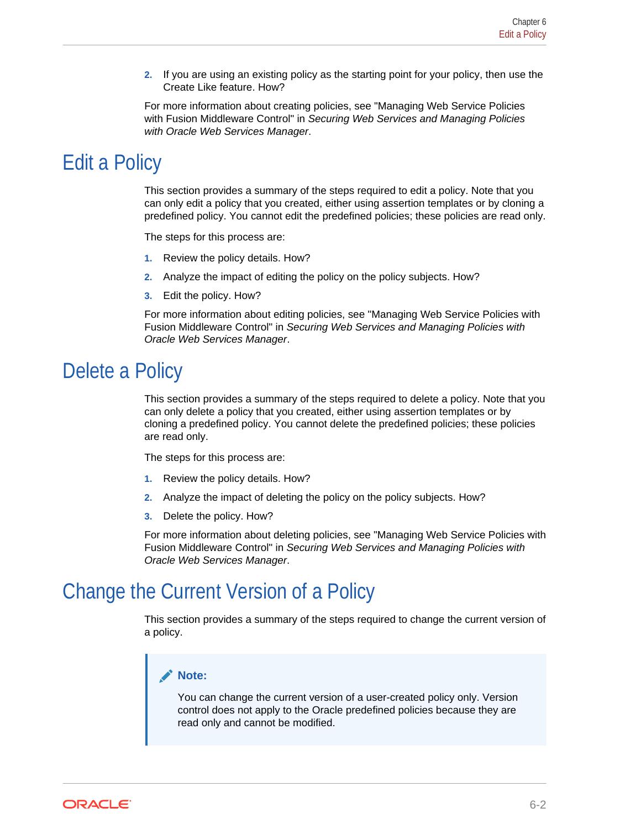<span id="page-35-0"></span>**2.** If you are using an existing policy as the starting point for your policy, then use the Create Like feature. How?

For more information about creating policies, see "Managing Web Service Policies with Fusion Middleware Control" in *Securing Web Services and Managing Policies with Oracle Web Services Manager*.

# Edit a Policy

This section provides a summary of the steps required to edit a policy. Note that you can only edit a policy that you created, either using assertion templates or by cloning a predefined policy. You cannot edit the predefined policies; these policies are read only.

The steps for this process are:

- **1.** Review the policy details. How?
- **2.** Analyze the impact of editing the policy on the policy subjects. How?
- **3.** Edit the policy. How?

For more information about editing policies, see "Managing Web Service Policies with Fusion Middleware Control" in *Securing Web Services and Managing Policies with Oracle Web Services Manager*.

## Delete a Policy

This section provides a summary of the steps required to delete a policy. Note that you can only delete a policy that you created, either using assertion templates or by cloning a predefined policy. You cannot delete the predefined policies; these policies are read only.

The steps for this process are:

- **1.** Review the policy details. How?
- **2.** Analyze the impact of deleting the policy on the policy subjects. How?
- **3.** Delete the policy. How?

For more information about deleting policies, see "Managing Web Service Policies with Fusion Middleware Control" in *Securing Web Services and Managing Policies with Oracle Web Services Manager*.

## Change the Current Version of a Policy

This section provides a summary of the steps required to change the current version of a policy.

#### **Note:**

You can change the current version of a user-created policy only. Version control does not apply to the Oracle predefined policies because they are read only and cannot be modified.

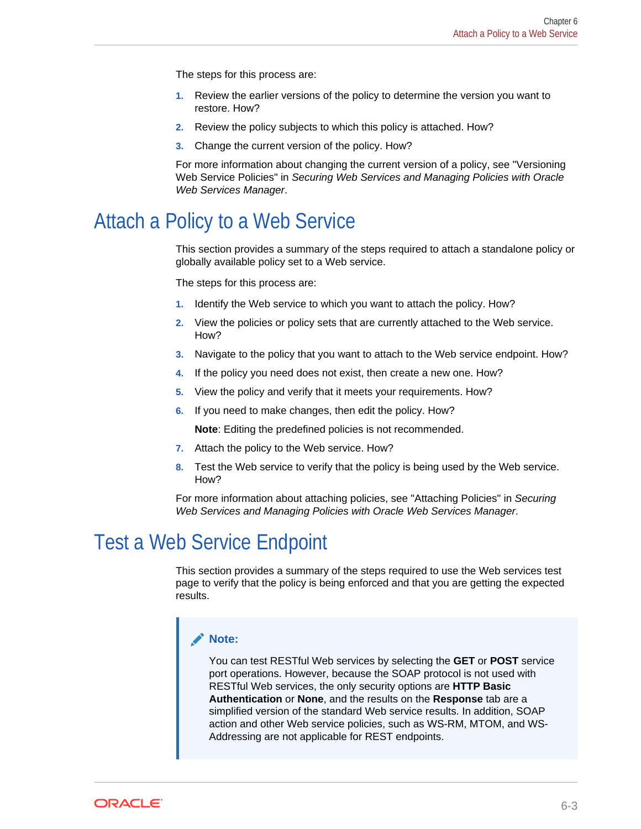The steps for this process are:

- **1.** Review the earlier versions of the policy to determine the version you want to restore. How?
- **2.** Review the policy subjects to which this policy is attached. How?
- **3.** Change the current version of the policy. How?

For more information about changing the current version of a policy, see "Versioning Web Service Policies" in *Securing Web Services and Managing Policies with Oracle Web Services Manager*.

## Attach a Policy to a Web Service

This section provides a summary of the steps required to attach a standalone policy or globally available policy set to a Web service.

The steps for this process are:

- **1.** Identify the Web service to which you want to attach the policy. How?
- **2.** View the policies or policy sets that are currently attached to the Web service. How?
- **3.** Navigate to the policy that you want to attach to the Web service endpoint. How?
- **4.** If the policy you need does not exist, then create a new one. How?
- **5.** View the policy and verify that it meets your requirements. How?
- **6.** If you need to make changes, then edit the policy. How?

**Note**: Editing the predefined policies is not recommended.

- **7.** Attach the policy to the Web service. How?
- **8.** Test the Web service to verify that the policy is being used by the Web service. How?

For more information about attaching policies, see "Attaching Policies" in *Securing Web Services and Managing Policies with Oracle Web Services Manager*.

### Test a Web Service Endpoint

This section provides a summary of the steps required to use the Web services test page to verify that the policy is being enforced and that you are getting the expected results.

#### **Note:**

You can test RESTful Web services by selecting the **GET** or **POST** service port operations. However, because the SOAP protocol is not used with RESTful Web services, the only security options are **HTTP Basic Authentication** or **None**, and the results on the **Response** tab are a simplified version of the standard Web service results. In addition, SOAP action and other Web service policies, such as WS-RM, MTOM, and WS-Addressing are not applicable for REST endpoints.

ORACLE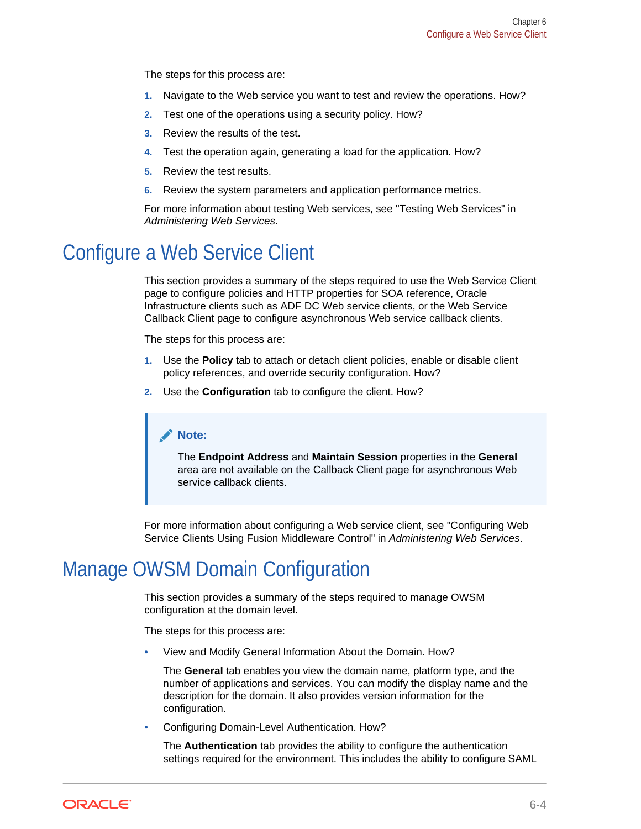The steps for this process are:

- **1.** Navigate to the Web service you want to test and review the operations. How?
- **2.** Test one of the operations using a security policy. How?
- **3.** Review the results of the test.
- **4.** Test the operation again, generating a load for the application. How?
- **5.** Review the test results.
- **6.** Review the system parameters and application performance metrics.

For more information about testing Web services, see "Testing Web Services" in *Administering Web Services*.

## Configure a Web Service Client

This section provides a summary of the steps required to use the Web Service Client page to configure policies and HTTP properties for SOA reference, Oracle Infrastructure clients such as ADF DC Web service clients, or the Web Service Callback Client page to configure asynchronous Web service callback clients.

The steps for this process are:

- **1.** Use the **Policy** tab to attach or detach client policies, enable or disable client policy references, and override security configuration. How?
- **2.** Use the **Configuration** tab to configure the client. How?

#### **Note:**

The **Endpoint Address** and **Maintain Session** properties in the **General** area are not available on the Callback Client page for asynchronous Web service callback clients.

For more information about configuring a Web service client, see "Configuring Web Service Clients Using Fusion Middleware Control" in *Administering Web Services*.

## Manage OWSM Domain Configuration

This section provides a summary of the steps required to manage OWSM configuration at the domain level.

The steps for this process are:

• View and Modify General Information About the Domain. How?

The **General** tab enables you view the domain name, platform type, and the number of applications and services. You can modify the display name and the description for the domain. It also provides version information for the configuration.

• Configuring Domain-Level Authentication. How?

The **Authentication** tab provides the ability to configure the authentication settings required for the environment. This includes the ability to configure SAML

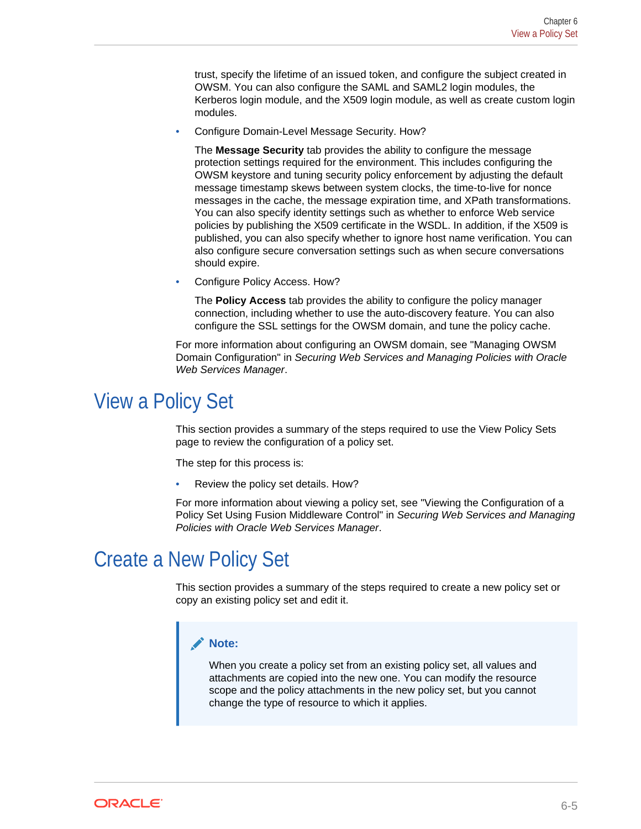trust, specify the lifetime of an issued token, and configure the subject created in OWSM. You can also configure the SAML and SAML2 login modules, the Kerberos login module, and the X509 login module, as well as create custom login modules.

• Configure Domain-Level Message Security. How?

The **Message Security** tab provides the ability to configure the message protection settings required for the environment. This includes configuring the OWSM keystore and tuning security policy enforcement by adjusting the default message timestamp skews between system clocks, the time-to-live for nonce messages in the cache, the message expiration time, and XPath transformations. You can also specify identity settings such as whether to enforce Web service policies by publishing the X509 certificate in the WSDL. In addition, if the X509 is published, you can also specify whether to ignore host name verification. You can also configure secure conversation settings such as when secure conversations should expire.

Configure Policy Access. How?

The **Policy Access** tab provides the ability to configure the policy manager connection, including whether to use the auto-discovery feature. You can also configure the SSL settings for the OWSM domain, and tune the policy cache.

For more information about configuring an OWSM domain, see "Managing OWSM Domain Configuration" in *Securing Web Services and Managing Policies with Oracle Web Services Manager*.

### View a Policy Set

This section provides a summary of the steps required to use the View Policy Sets page to review the configuration of a policy set.

The step for this process is:

Review the policy set details. How?

For more information about viewing a policy set, see "Viewing the Configuration of a Policy Set Using Fusion Middleware Control" in *Securing Web Services and Managing Policies with Oracle Web Services Manager*.

### Create a New Policy Set

This section provides a summary of the steps required to create a new policy set or copy an existing policy set and edit it.

#### **Note:**

When you create a policy set from an existing policy set, all values and attachments are copied into the new one. You can modify the resource scope and the policy attachments in the new policy set, but you cannot change the type of resource to which it applies.

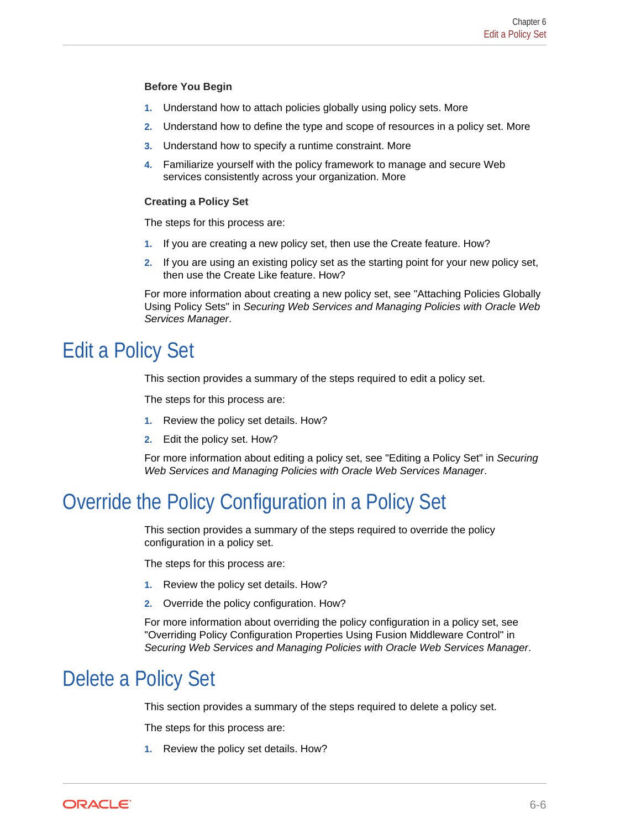#### **Before You Begin**

- **1.** Understand how to attach policies globally using policy sets. More
- **2.** Understand how to define the type and scope of resources in a policy set. More
- **3.** Understand how to specify a runtime constraint. More
- **4.** Familiarize yourself with the policy framework to manage and secure Web services consistently across your organization. More

#### **Creating a Policy Set**

The steps for this process are:

- **1.** If you are creating a new policy set, then use the Create feature. How?
- **2.** If you are using an existing policy set as the starting point for your new policy set, then use the Create Like feature. How?

For more information about creating a new policy set, see "Attaching Policies Globally Using Policy Sets" in *Securing Web Services and Managing Policies with Oracle Web Services Manager*.

#### Edit a Policy Set

This section provides a summary of the steps required to edit a policy set.

The steps for this process are:

- **1.** Review the policy set details. How?
- **2.** Edit the policy set. How?

For more information about editing a policy set, see "Editing a Policy Set" in *Securing Web Services and Managing Policies with Oracle Web Services Manager*.

## Override the Policy Configuration in a Policy Set

This section provides a summary of the steps required to override the policy configuration in a policy set.

The steps for this process are:

- **1.** Review the policy set details. How?
- **2.** Override the policy configuration. How?

For more information about overriding the policy configuration in a policy set, see "Overriding Policy Configuration Properties Using Fusion Middleware Control" in *Securing Web Services and Managing Policies with Oracle Web Services Manager*.

### Delete a Policy Set

This section provides a summary of the steps required to delete a policy set.

The steps for this process are:

**1.** Review the policy set details. How?

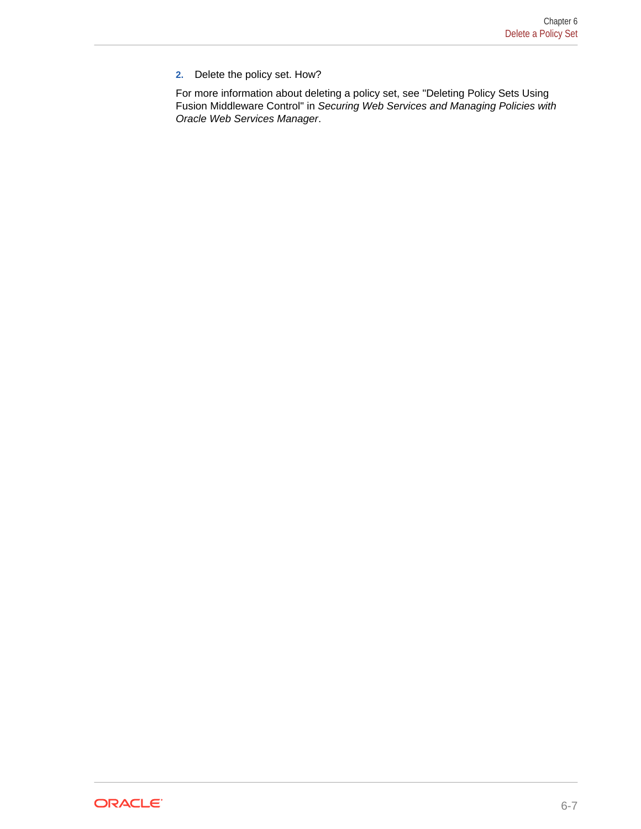**2.** Delete the policy set. How?

For more information about deleting a policy set, see "Deleting Policy Sets Using Fusion Middleware Control" in *Securing Web Services and Managing Policies with Oracle Web Services Manager*.

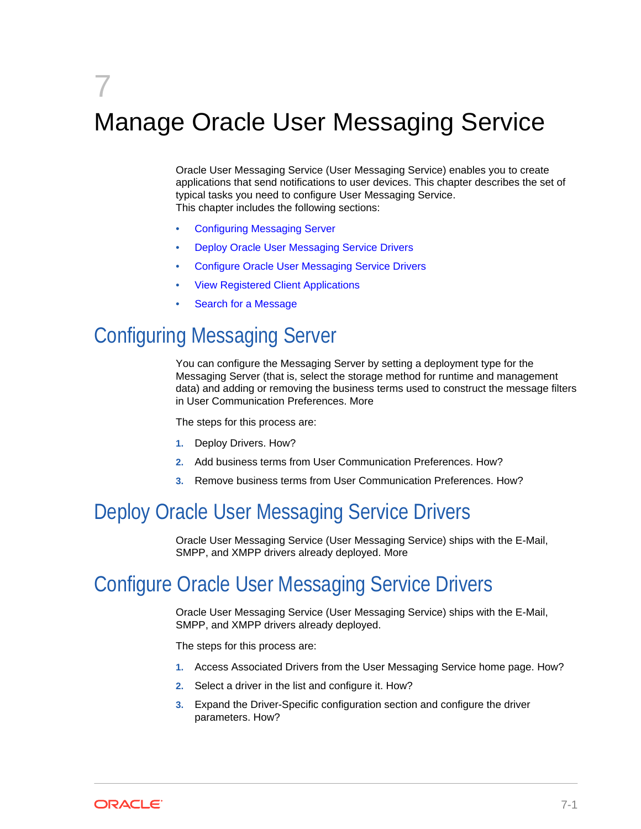# 7 Manage Oracle User Messaging Service

Oracle User Messaging Service (User Messaging Service) enables you to create applications that send notifications to user devices. This chapter describes the set of typical tasks you need to configure User Messaging Service. This chapter includes the following sections:

- Configuring Messaging Server
- Deploy Oracle User Messaging Service Drivers
- Configure Oracle User Messaging Service Drivers
- [View Registered Client Applications](#page-42-0)
- [Search for a Message](#page-42-0)

## Configuring Messaging Server

You can configure the Messaging Server by setting a deployment type for the Messaging Server (that is, select the storage method for runtime and management data) and adding or removing the business terms used to construct the message filters in User Communication Preferences. More

The steps for this process are:

- **1.** Deploy Drivers. How?
- **2.** Add business terms from User Communication Preferences. How?
- **3.** Remove business terms from User Communication Preferences. How?

## Deploy Oracle User Messaging Service Drivers

Oracle User Messaging Service (User Messaging Service) ships with the E-Mail, SMPP, and XMPP drivers already deployed. More

### Configure Oracle User Messaging Service Drivers

Oracle User Messaging Service (User Messaging Service) ships with the E-Mail, SMPP, and XMPP drivers already deployed.

- **1.** Access Associated Drivers from the User Messaging Service home page. How?
- **2.** Select a driver in the list and configure it. How?
- **3.** Expand the Driver-Specific configuration section and configure the driver parameters. How?

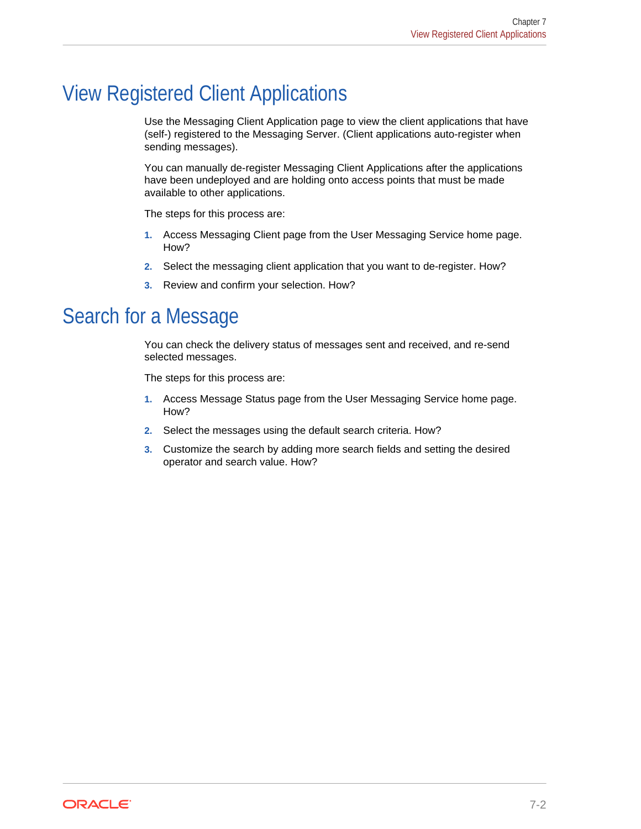## <span id="page-42-0"></span>View Registered Client Applications

Use the Messaging Client Application page to view the client applications that have (self-) registered to the Messaging Server. (Client applications auto-register when sending messages).

You can manually de-register Messaging Client Applications after the applications have been undeployed and are holding onto access points that must be made available to other applications.

The steps for this process are:

- **1.** Access Messaging Client page from the User Messaging Service home page. How?
- **2.** Select the messaging client application that you want to de-register. How?
- **3.** Review and confirm your selection. How?

### Search for a Message

You can check the delivery status of messages sent and received, and re-send selected messages.

- **1.** Access Message Status page from the User Messaging Service home page. How?
- **2.** Select the messages using the default search criteria. How?
- **3.** Customize the search by adding more search fields and setting the desired operator and search value. How?

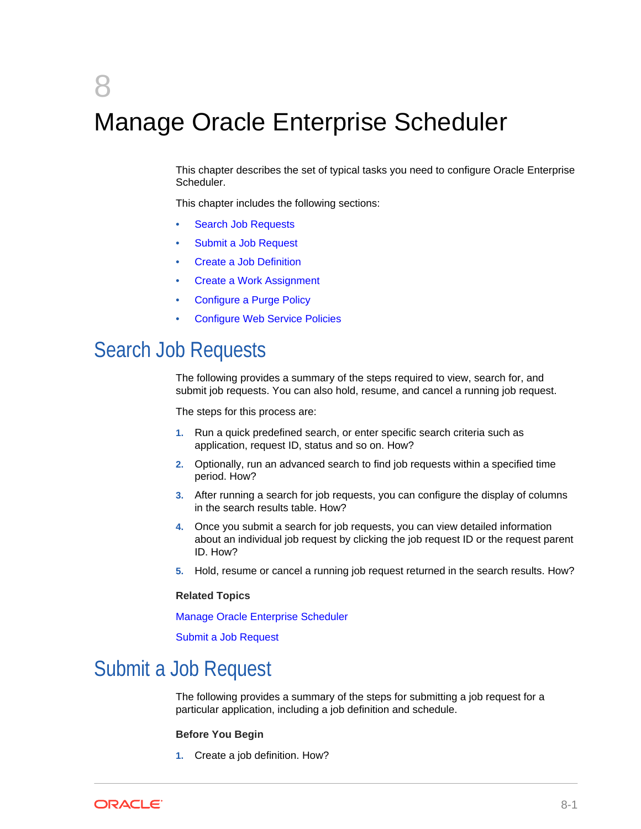# <span id="page-43-0"></span>8 Manage Oracle Enterprise Scheduler

This chapter describes the set of typical tasks you need to configure Oracle Enterprise Scheduler.

This chapter includes the following sections:

- **Search Job Requests**
- Submit a Job Request
- [Create a Job Definition](#page-44-0)
- [Create a Work Assignment](#page-44-0)
- [Configure a Purge Policy](#page-45-0)
- [Configure Web Service Policies](#page-45-0)

#### Search Job Requests

The following provides a summary of the steps required to view, search for, and submit job requests. You can also hold, resume, and cancel a running job request.

The steps for this process are:

- **1.** Run a quick predefined search, or enter specific search criteria such as application, request ID, status and so on. How?
- **2.** Optionally, run an advanced search to find job requests within a specified time period. How?
- **3.** After running a search for job requests, you can configure the display of columns in the search results table. How?
- **4.** Once you submit a search for job requests, you can view detailed information about an individual job request by clicking the job request ID or the request parent ID. How?
- **5.** Hold, resume or cancel a running job request returned in the search results. How?

#### **Related Topics**

Manage Oracle Enterprise Scheduler

Submit a Job Request

### Submit a Job Request

The following provides a summary of the steps for submitting a job request for a particular application, including a job definition and schedule.

#### **Before You Begin**

**1.** Create a job definition. How?

ORACLE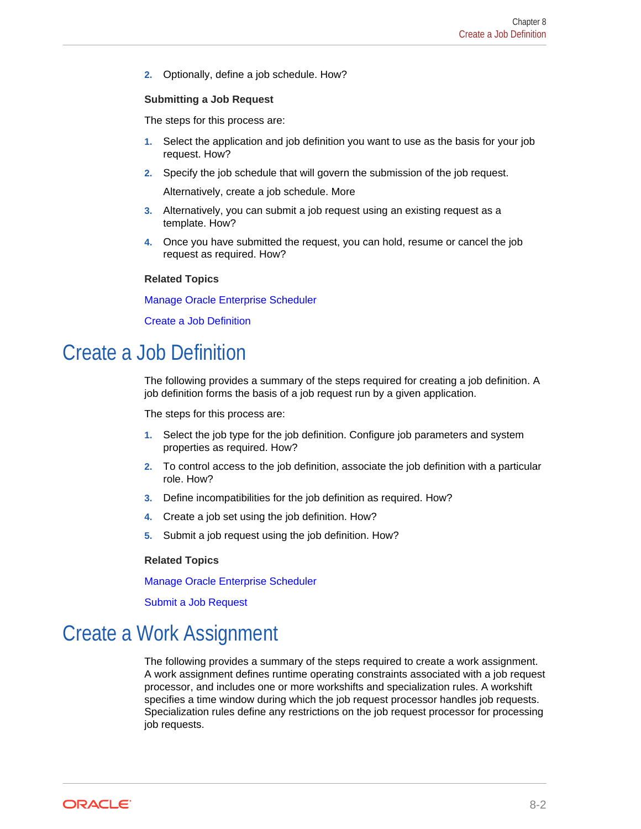<span id="page-44-0"></span>**2.** Optionally, define a job schedule. How?

#### **Submitting a Job Request**

The steps for this process are:

- **1.** Select the application and job definition you want to use as the basis for your job request. How?
- **2.** Specify the job schedule that will govern the submission of the job request.

Alternatively, create a job schedule. More

- **3.** Alternatively, you can submit a job request using an existing request as a template. How?
- **4.** Once you have submitted the request, you can hold, resume or cancel the job request as required. How?

#### **Related Topics**

[Manage Oracle Enterprise Scheduler](#page-43-0)

Create a Job Definition

## Create a Job Definition

The following provides a summary of the steps required for creating a job definition. A job definition forms the basis of a job request run by a given application.

The steps for this process are:

- **1.** Select the job type for the job definition. Configure job parameters and system properties as required. How?
- **2.** To control access to the job definition, associate the job definition with a particular role. How?
- **3.** Define incompatibilities for the job definition as required. How?
- **4.** Create a job set using the job definition. How?
- **5.** Submit a job request using the job definition. How?

#### **Related Topics**

[Manage Oracle Enterprise Scheduler](#page-43-0)

[Submit a Job Request](#page-43-0)

#### Create a Work Assignment

The following provides a summary of the steps required to create a work assignment. A work assignment defines runtime operating constraints associated with a job request processor, and includes one or more workshifts and specialization rules. A workshift specifies a time window during which the job request processor handles job requests. Specialization rules define any restrictions on the job request processor for processing job requests.

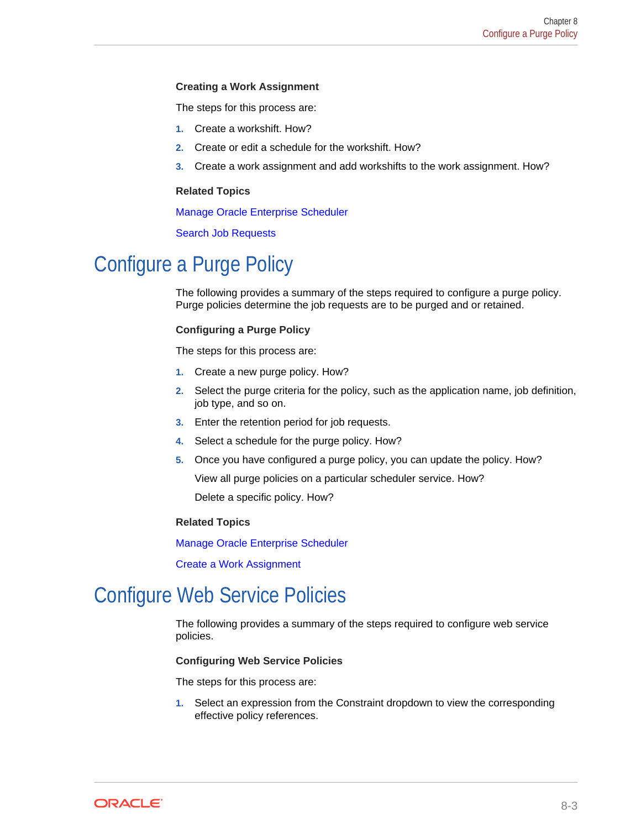#### <span id="page-45-0"></span>**Creating a Work Assignment**

The steps for this process are:

- **1.** Create a workshift. How?
- **2.** Create or edit a schedule for the workshift. How?
- **3.** Create a work assignment and add workshifts to the work assignment. How?

#### **Related Topics**

[Manage Oracle Enterprise Scheduler](#page-43-0)

[Search Job Requests](#page-43-0)

## Configure a Purge Policy

The following provides a summary of the steps required to configure a purge policy. Purge policies determine the job requests are to be purged and or retained.

#### **Configuring a Purge Policy**

The steps for this process are:

- **1.** Create a new purge policy. How?
- **2.** Select the purge criteria for the policy, such as the application name, job definition, job type, and so on.
- **3.** Enter the retention period for job requests.
- **4.** Select a schedule for the purge policy. How?
- **5.** Once you have configured a purge policy, you can update the policy. How?

View all purge policies on a particular scheduler service. How?

Delete a specific policy. How?

#### **Related Topics**

[Manage Oracle Enterprise Scheduler](#page-43-0)

[Create a Work Assignment](#page-44-0)

## Configure Web Service Policies

The following provides a summary of the steps required to configure web service policies.

#### **Configuring Web Service Policies**

The steps for this process are:

**1.** Select an expression from the Constraint dropdown to view the corresponding effective policy references.

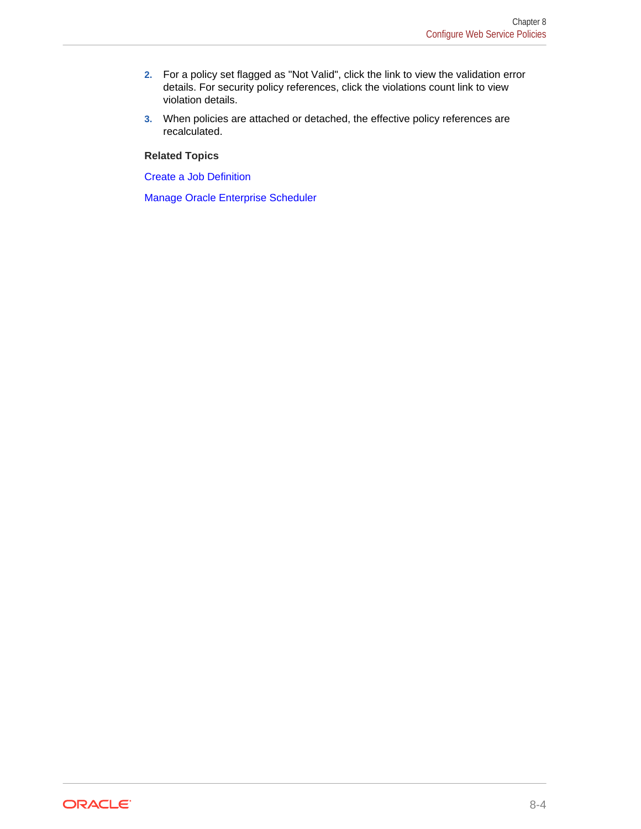- **2.** For a policy set flagged as "Not Valid", click the link to view the validation error details. For security policy references, click the violations count link to view violation details.
- **3.** When policies are attached or detached, the effective policy references are recalculated.

#### **Related Topics**

[Create a Job Definition](#page-44-0)

[Manage Oracle Enterprise Scheduler](#page-43-0)

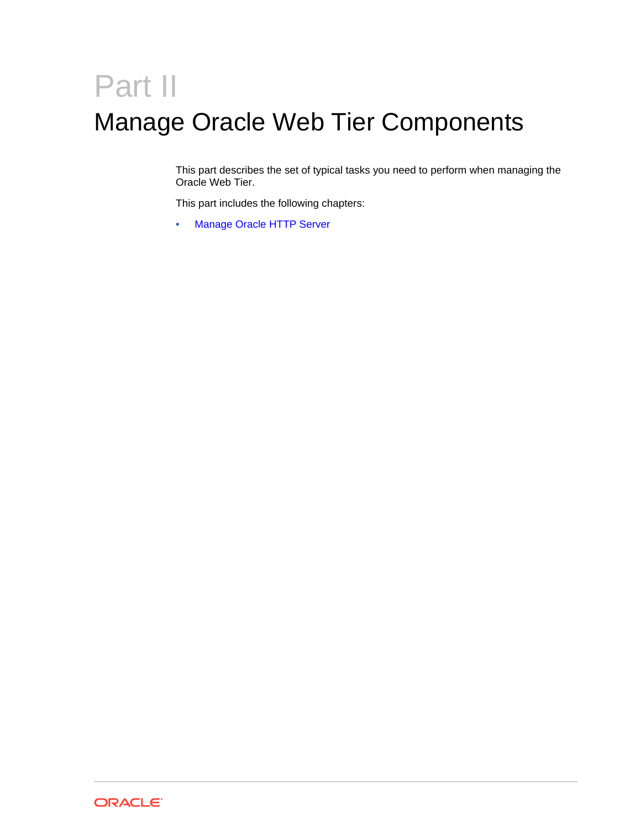# Part II Manage Oracle Web Tier Components

This part describes the set of typical tasks you need to perform when managing the Oracle Web Tier.

This part includes the following chapters:

• [Manage Oracle HTTP Server](#page-48-0)

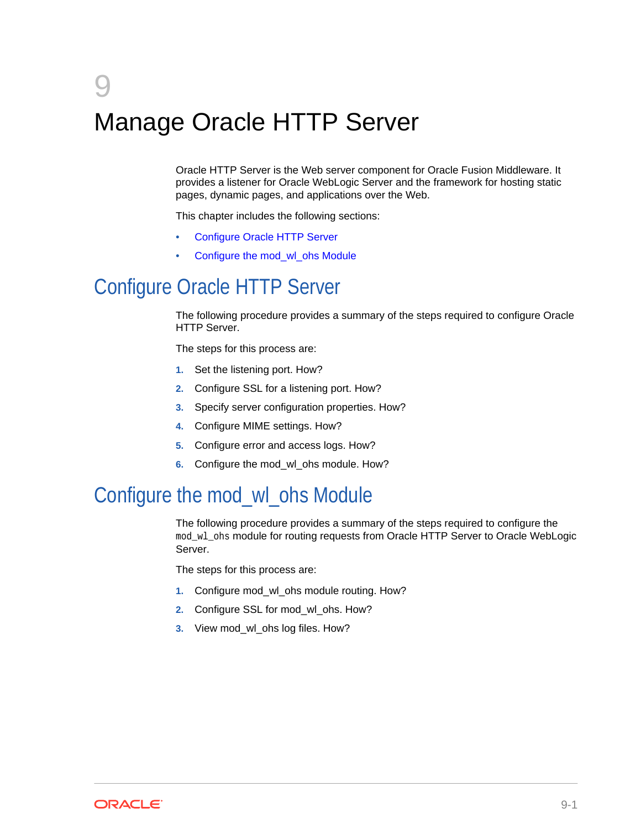# <span id="page-48-0"></span>9 Manage Oracle HTTP Server

Oracle HTTP Server is the Web server component for Oracle Fusion Middleware. It provides a listener for Oracle WebLogic Server and the framework for hosting static pages, dynamic pages, and applications over the Web.

This chapter includes the following sections:

- Configure Oracle HTTP Server
- Configure the mod\_wl\_ohs Module

## Configure Oracle HTTP Server

The following procedure provides a summary of the steps required to configure Oracle HTTP Server.

The steps for this process are:

- **1.** Set the listening port. How?
- **2.** Configure SSL for a listening port. How?
- **3.** Specify server configuration properties. How?
- **4.** Configure MIME settings. How?
- **5.** Configure error and access logs. How?
- **6.** Configure the mod\_wl\_ohs module. How?

## Configure the mod wl ohs Module

The following procedure provides a summary of the steps required to configure the mod\_wl\_ohs module for routing requests from Oracle HTTP Server to Oracle WebLogic Server.

- **1.** Configure mod wl ohs module routing. How?
- **2.** Configure SSL for mod wl ohs. How?
- **3.** View mod wl ohs log files. How?

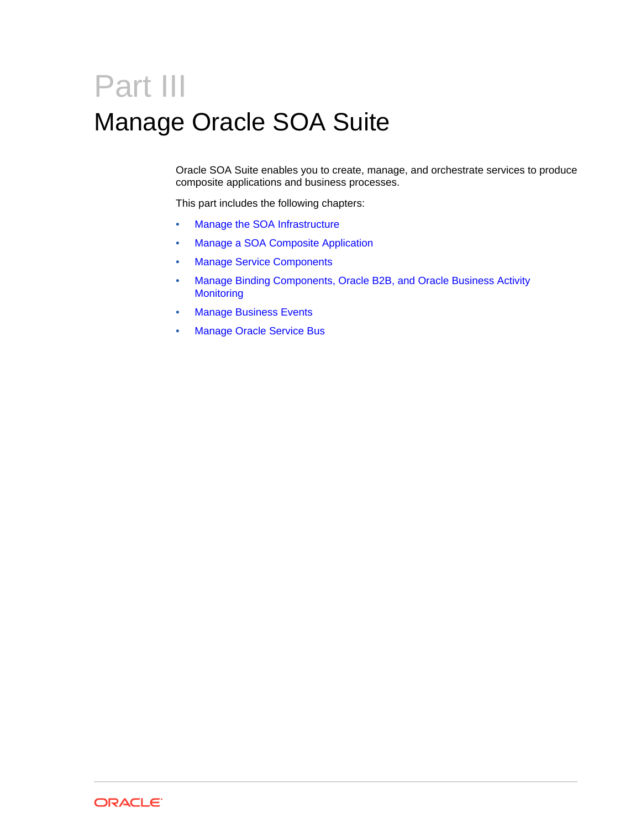# Part III Manage Oracle SOA Suite

Oracle SOA Suite enables you to create, manage, and orchestrate services to produce composite applications and business processes.

This part includes the following chapters:

- [Manage the SOA Infrastructure](#page-50-0)
- [Manage a SOA Composite Application](#page-55-0)
- [Manage Service Components](#page-58-0)
- [Manage Binding Components, Oracle B2B, and Oracle Business Activity](#page-68-0) **[Monitoring](#page-68-0)**
- **[Manage Business Events](#page-72-0)**
- [Manage Oracle Service Bus](#page-73-0)

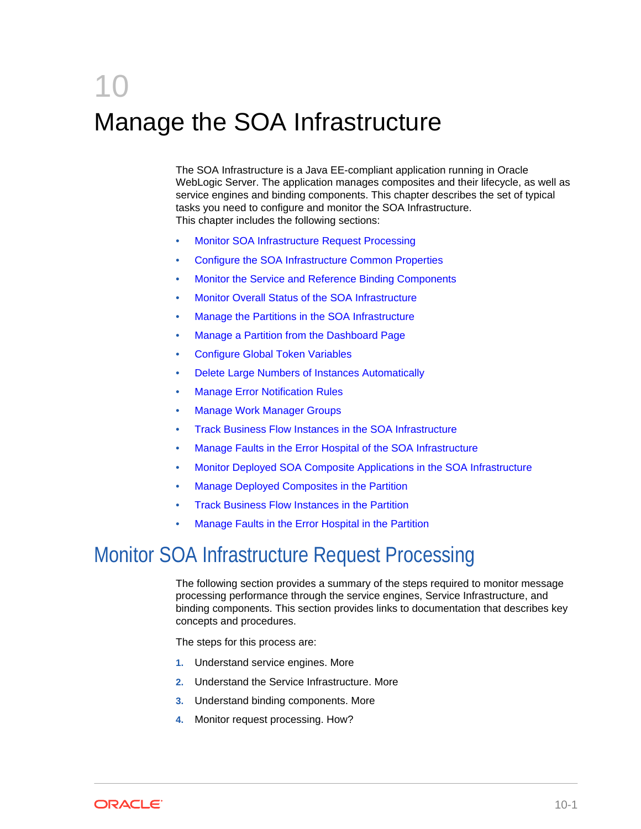# <span id="page-50-0"></span>10 Manage the SOA Infrastructure

The SOA Infrastructure is a Java EE-compliant application running in Oracle WebLogic Server. The application manages composites and their lifecycle, as well as service engines and binding components. This chapter describes the set of typical tasks you need to configure and monitor the SOA Infrastructure. This chapter includes the following sections:

- Monitor SOA Infrastructure Request Processing
- [Configure the SOA Infrastructure Common Properties](#page-51-0)
- [Monitor the Service and Reference Binding Components](#page-51-0)
- [Monitor Overall Status of the SOA Infrastructure](#page-51-0)
- [Manage the Partitions in the SOA Infrastructure](#page-51-0)
- [Manage a Partition from the Dashboard Page](#page-52-0)
- [Configure Global Token Variables](#page-52-0)
- [Delete Large Numbers of Instances Automatically](#page-52-0)
- [Manage Error Notification Rules](#page-52-0)
- [Manage Work Manager Groups](#page-52-0)
- [Track Business Flow Instances in the SOA Infrastructure](#page-53-0)
- [Manage Faults in the Error Hospital of the SOA Infrastructure](#page-53-0)
- [Monitor Deployed SOA Composite Applications in the SOA Infrastructure](#page-53-0)
- [Manage Deployed Composites in the Partition](#page-53-0)
- [Track Business Flow Instances in the Partition](#page-54-0)
- [Manage Faults in the Error Hospital in the Partition](#page-54-0)

## Monitor SOA Infrastructure Request Processing

The following section provides a summary of the steps required to monitor message processing performance through the service engines, Service Infrastructure, and binding components. This section provides links to documentation that describes key concepts and procedures.

- **1.** Understand service engines. More
- **2.** Understand the Service Infrastructure. More
- **3.** Understand binding components. More
- **4.** Monitor request processing. How?

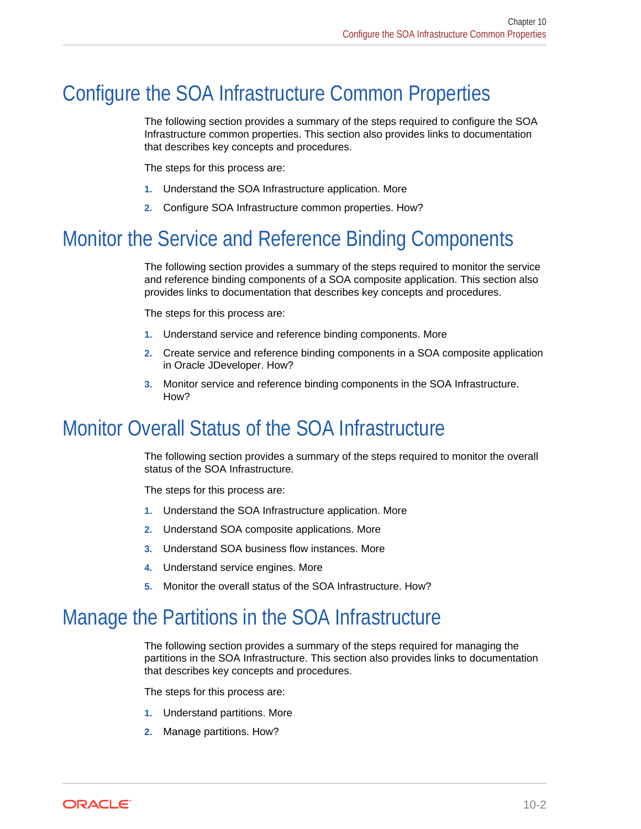## <span id="page-51-0"></span>Configure the SOA Infrastructure Common Properties

The following section provides a summary of the steps required to configure the SOA Infrastructure common properties. This section also provides links to documentation that describes key concepts and procedures.

The steps for this process are:

- **1.** Understand the SOA Infrastructure application. More
- **2.** Configure SOA Infrastructure common properties. How?

## Monitor the Service and Reference Binding Components

The following section provides a summary of the steps required to monitor the service and reference binding components of a SOA composite application. This section also provides links to documentation that describes key concepts and procedures.

The steps for this process are:

- **1.** Understand service and reference binding components. More
- **2.** Create service and reference binding components in a SOA composite application in Oracle JDeveloper. How?
- **3.** Monitor service and reference binding components in the SOA Infrastructure. How?

### Monitor Overall Status of the SOA Infrastructure

The following section provides a summary of the steps required to monitor the overall status of the SOA Infrastructure.

The steps for this process are:

- **1.** Understand the SOA Infrastructure application. More
- **2.** Understand SOA composite applications. More
- **3.** Understand SOA business flow instances. More
- **4.** Understand service engines. More
- **5.** Monitor the overall status of the SOA Infrastructure. How?

### Manage the Partitions in the SOA Infrastructure

The following section provides a summary of the steps required for managing the partitions in the SOA Infrastructure. This section also provides links to documentation that describes key concepts and procedures.

- **1.** Understand partitions. More
- **2.** Manage partitions. How?

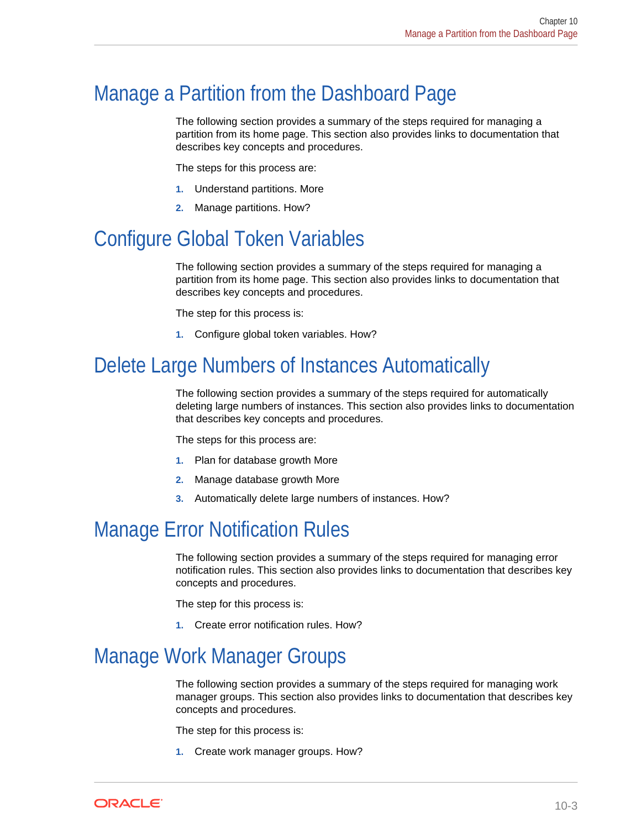## <span id="page-52-0"></span>Manage a Partition from the Dashboard Page

The following section provides a summary of the steps required for managing a partition from its home page. This section also provides links to documentation that describes key concepts and procedures.

The steps for this process are:

- **1.** Understand partitions. More
- **2.** Manage partitions. How?

## Configure Global Token Variables

The following section provides a summary of the steps required for managing a partition from its home page. This section also provides links to documentation that describes key concepts and procedures.

The step for this process is:

**1.** Configure global token variables. How?

### Delete Large Numbers of Instances Automatically

The following section provides a summary of the steps required for automatically deleting large numbers of instances. This section also provides links to documentation that describes key concepts and procedures.

The steps for this process are:

- **1.** Plan for database growth More
- **2.** Manage database growth More
- **3.** Automatically delete large numbers of instances. How?

### Manage Error Notification Rules

The following section provides a summary of the steps required for managing error notification rules. This section also provides links to documentation that describes key concepts and procedures.

The step for this process is:

**1.** Create error notification rules. How?

## Manage Work Manager Groups

The following section provides a summary of the steps required for managing work manager groups. This section also provides links to documentation that describes key concepts and procedures.

The step for this process is:

**1.** Create work manager groups. How?

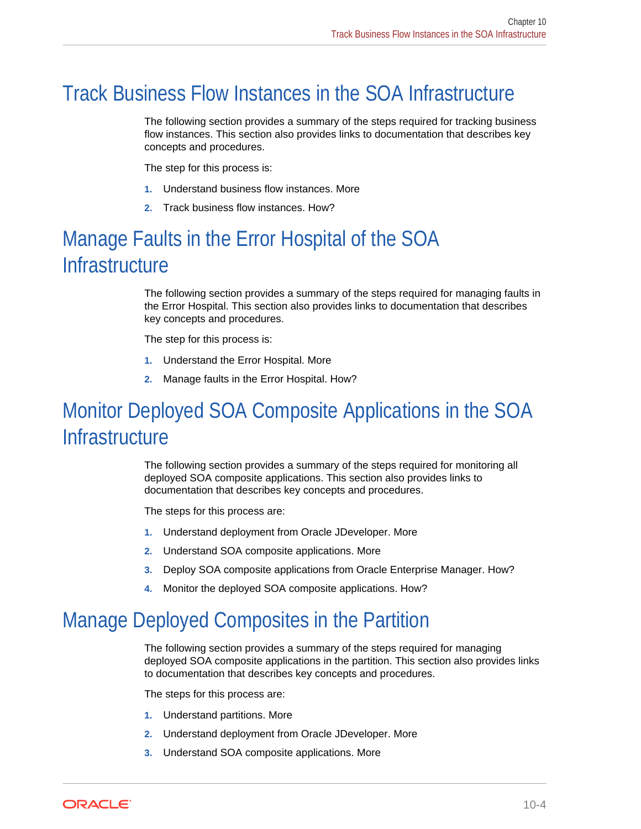## <span id="page-53-0"></span>Track Business Flow Instances in the SOA Infrastructure

The following section provides a summary of the steps required for tracking business flow instances. This section also provides links to documentation that describes key concepts and procedures.

The step for this process is:

- **1.** Understand business flow instances. More
- **2.** Track business flow instances. How?

## Manage Faults in the Error Hospital of the SOA **Infrastructure**

The following section provides a summary of the steps required for managing faults in the Error Hospital. This section also provides links to documentation that describes key concepts and procedures.

The step for this process is:

- **1.** Understand the Error Hospital. More
- **2.** Manage faults in the Error Hospital. How?

## Monitor Deployed SOA Composite Applications in the SOA **Infrastructure**

The following section provides a summary of the steps required for monitoring all deployed SOA composite applications. This section also provides links to documentation that describes key concepts and procedures.

The steps for this process are:

- **1.** Understand deployment from Oracle JDeveloper. More
- **2.** Understand SOA composite applications. More
- **3.** Deploy SOA composite applications from Oracle Enterprise Manager. How?
- **4.** Monitor the deployed SOA composite applications. How?

### Manage Deployed Composites in the Partition

The following section provides a summary of the steps required for managing deployed SOA composite applications in the partition. This section also provides links to documentation that describes key concepts and procedures.

- **1.** Understand partitions. More
- **2.** Understand deployment from Oracle JDeveloper. More
- **3.** Understand SOA composite applications. More

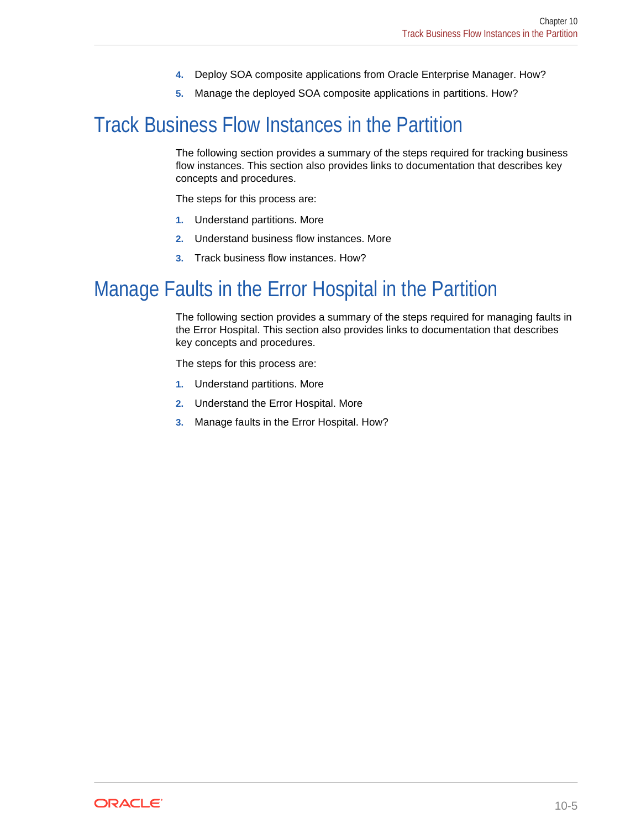- **4.** Deploy SOA composite applications from Oracle Enterprise Manager. How?
- **5.** Manage the deployed SOA composite applications in partitions. How?

## <span id="page-54-0"></span>Track Business Flow Instances in the Partition

The following section provides a summary of the steps required for tracking business flow instances. This section also provides links to documentation that describes key concepts and procedures.

The steps for this process are:

- **1.** Understand partitions. More
- **2.** Understand business flow instances. More
- **3.** Track business flow instances. How?

### Manage Faults in the Error Hospital in the Partition

The following section provides a summary of the steps required for managing faults in the Error Hospital. This section also provides links to documentation that describes key concepts and procedures.

- **1.** Understand partitions. More
- **2.** Understand the Error Hospital. More
- **3.** Manage faults in the Error Hospital. How?

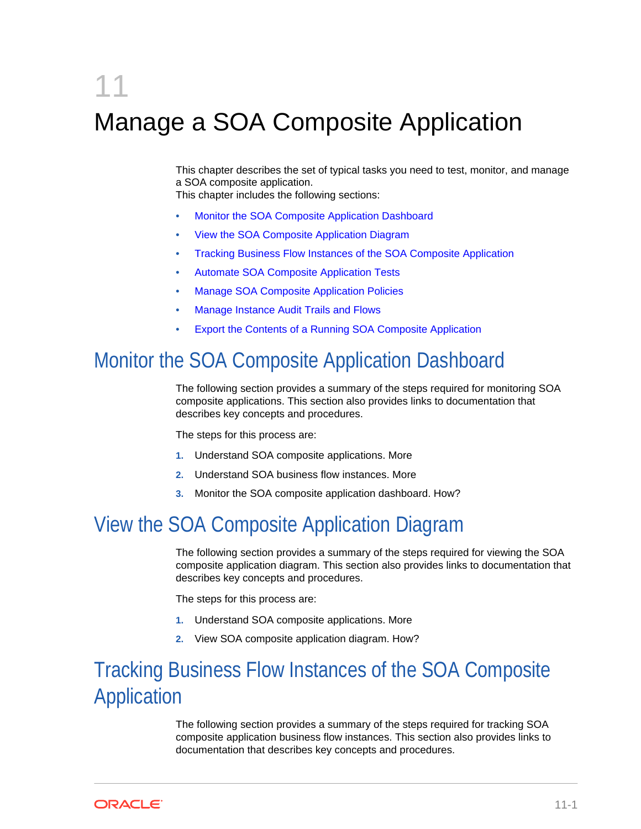# <span id="page-55-0"></span>11 Manage a SOA Composite Application

This chapter describes the set of typical tasks you need to test, monitor, and manage a SOA composite application.

This chapter includes the following sections:

- Monitor the SOA Composite Application Dashboard
- View the SOA Composite Application Diagram
- Tracking Business Flow Instances of the SOA Composite Application
- [Automate SOA Composite Application Tests](#page-56-0)
- [Manage SOA Composite Application Policies](#page-56-0)
- [Manage Instance Audit Trails and Flows](#page-56-0)
- [Export the Contents of a Running SOA Composite Application](#page-57-0)

## Monitor the SOA Composite Application Dashboard

The following section provides a summary of the steps required for monitoring SOA composite applications. This section also provides links to documentation that describes key concepts and procedures.

The steps for this process are:

- **1.** Understand SOA composite applications. More
- **2.** Understand SOA business flow instances. More
- **3.** Monitor the SOA composite application dashboard. How?

## View the SOA Composite Application Diagram

The following section provides a summary of the steps required for viewing the SOA composite application diagram. This section also provides links to documentation that describes key concepts and procedures.

The steps for this process are:

- **1.** Understand SOA composite applications. More
- **2.** View SOA composite application diagram. How?

## Tracking Business Flow Instances of the SOA Composite Application

The following section provides a summary of the steps required for tracking SOA composite application business flow instances. This section also provides links to documentation that describes key concepts and procedures.

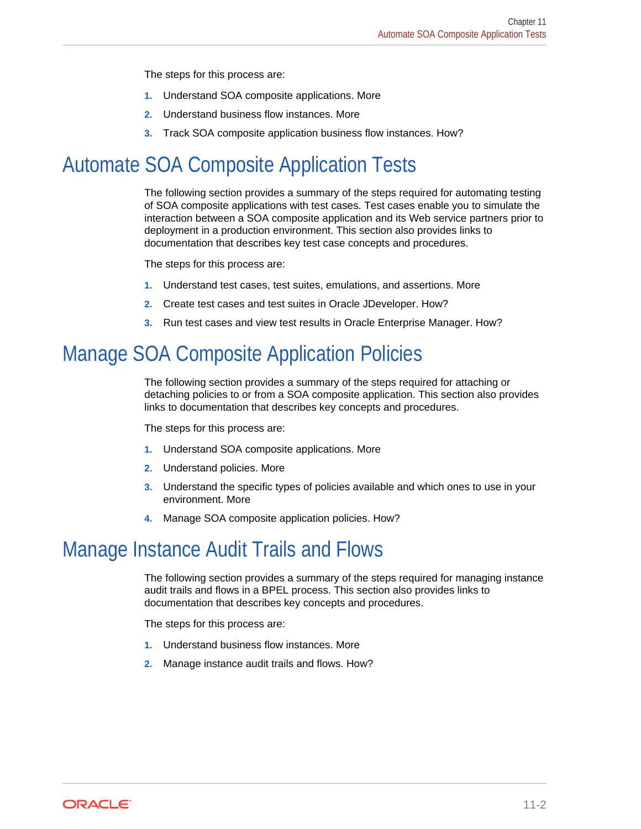<span id="page-56-0"></span>The steps for this process are:

- **1.** Understand SOA composite applications. More
- **2.** Understand business flow instances. More
- **3.** Track SOA composite application business flow instances. How?

## Automate SOA Composite Application Tests

The following section provides a summary of the steps required for automating testing of SOA composite applications with test cases. Test cases enable you to simulate the interaction between a SOA composite application and its Web service partners prior to deployment in a production environment. This section also provides links to documentation that describes key test case concepts and procedures.

The steps for this process are:

- **1.** Understand test cases, test suites, emulations, and assertions. More
- **2.** Create test cases and test suites in Oracle JDeveloper. How?
- **3.** Run test cases and view test results in Oracle Enterprise Manager. How?

## Manage SOA Composite Application Policies

The following section provides a summary of the steps required for attaching or detaching policies to or from a SOA composite application. This section also provides links to documentation that describes key concepts and procedures.

The steps for this process are:

- **1.** Understand SOA composite applications. More
- **2.** Understand policies. More
- **3.** Understand the specific types of policies available and which ones to use in your environment. More
- **4.** Manage SOA composite application policies. How?

### Manage Instance Audit Trails and Flows

The following section provides a summary of the steps required for managing instance audit trails and flows in a BPEL process. This section also provides links to documentation that describes key concepts and procedures.

- **1.** Understand business flow instances. More
- **2.** Manage instance audit trails and flows. How?

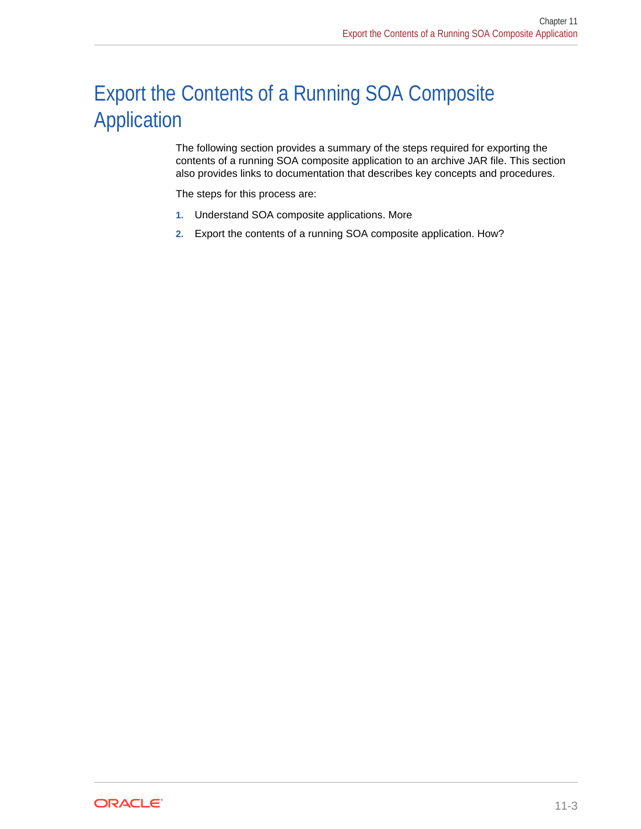## <span id="page-57-0"></span>Export the Contents of a Running SOA Composite Application

The following section provides a summary of the steps required for exporting the contents of a running SOA composite application to an archive JAR file. This section also provides links to documentation that describes key concepts and procedures.

- **1.** Understand SOA composite applications. More
- **2.** Export the contents of a running SOA composite application. How?

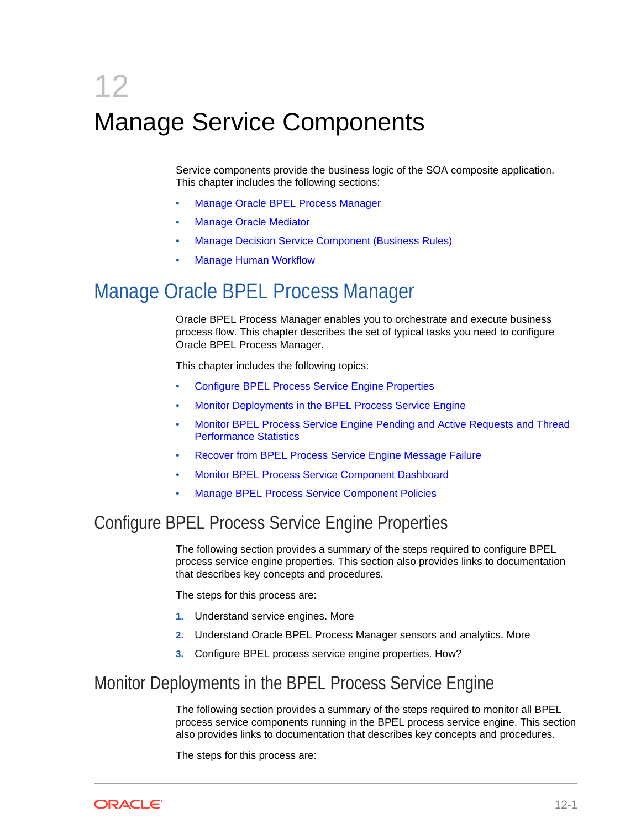# <span id="page-58-0"></span>12 Manage Service Components

Service components provide the business logic of the SOA composite application. This chapter includes the following sections:

- Manage Oracle BPEL Process Manager
- [Manage Oracle Mediator](#page-60-0)
- [Manage Decision Service Component \(Business Rules\)](#page-64-0)
- [Manage Human Workflow](#page-65-0)

### Manage Oracle BPEL Process Manager

Oracle BPEL Process Manager enables you to orchestrate and execute business process flow. This chapter describes the set of typical tasks you need to configure Oracle BPEL Process Manager.

This chapter includes the following topics:

- Configure BPEL Process Service Engine Properties
- Monitor Deployments in the BPEL Process Service Engine
- [Monitor BPEL Process Service Engine Pending and Active Requests and Thread](#page-59-0) [Performance Statistics](#page-59-0)
- [Recover from BPEL Process Service Engine Message Failure](#page-59-0)
- [Monitor BPEL Process Service Component Dashboard](#page-59-0)
- [Manage BPEL Process Service Component Policies](#page-59-0)

#### Configure BPEL Process Service Engine Properties

The following section provides a summary of the steps required to configure BPEL process service engine properties. This section also provides links to documentation that describes key concepts and procedures.

The steps for this process are:

- **1.** Understand service engines. More
- **2.** Understand Oracle BPEL Process Manager sensors and analytics. More
- **3.** Configure BPEL process service engine properties. How?

#### Monitor Deployments in the BPEL Process Service Engine

The following section provides a summary of the steps required to monitor all BPEL process service components running in the BPEL process service engine. This section also provides links to documentation that describes key concepts and procedures.

The steps for this process are:

ORACLE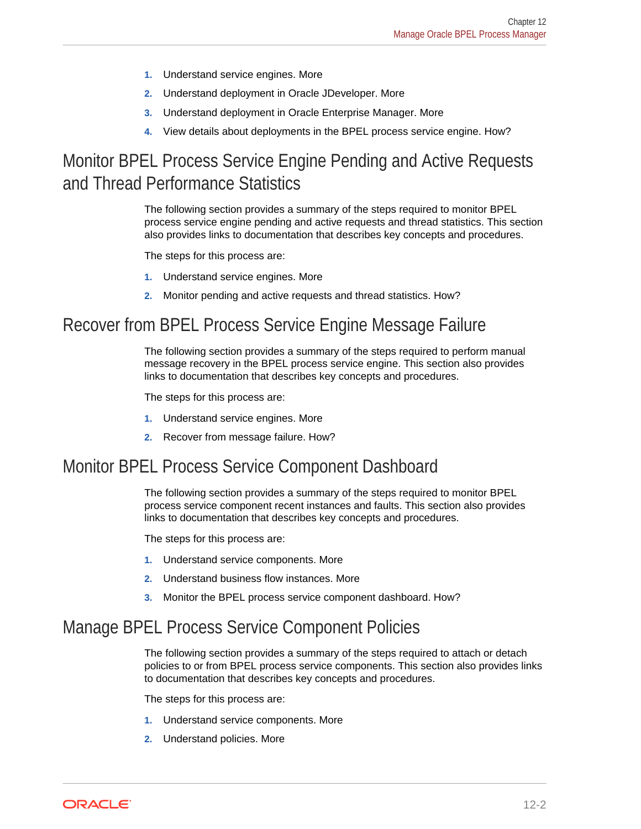- <span id="page-59-0"></span>**1.** Understand service engines. More
- **2.** Understand deployment in Oracle JDeveloper. More
- **3.** Understand deployment in Oracle Enterprise Manager. More
- **4.** View details about deployments in the BPEL process service engine. How?

#### Monitor BPEL Process Service Engine Pending and Active Requests and Thread Performance Statistics

The following section provides a summary of the steps required to monitor BPEL process service engine pending and active requests and thread statistics. This section also provides links to documentation that describes key concepts and procedures.

The steps for this process are:

- **1.** Understand service engines. More
- **2.** Monitor pending and active requests and thread statistics. How?

#### Recover from BPEL Process Service Engine Message Failure

The following section provides a summary of the steps required to perform manual message recovery in the BPEL process service engine. This section also provides links to documentation that describes key concepts and procedures.

The steps for this process are:

- **1.** Understand service engines. More
- **2.** Recover from message failure. How?

#### Monitor BPEL Process Service Component Dashboard

The following section provides a summary of the steps required to monitor BPEL process service component recent instances and faults. This section also provides links to documentation that describes key concepts and procedures.

The steps for this process are:

- **1.** Understand service components. More
- **2.** Understand business flow instances. More
- **3.** Monitor the BPEL process service component dashboard. How?

#### Manage BPEL Process Service Component Policies

The following section provides a summary of the steps required to attach or detach policies to or from BPEL process service components. This section also provides links to documentation that describes key concepts and procedures.

- **1.** Understand service components. More
- **2.** Understand policies. More

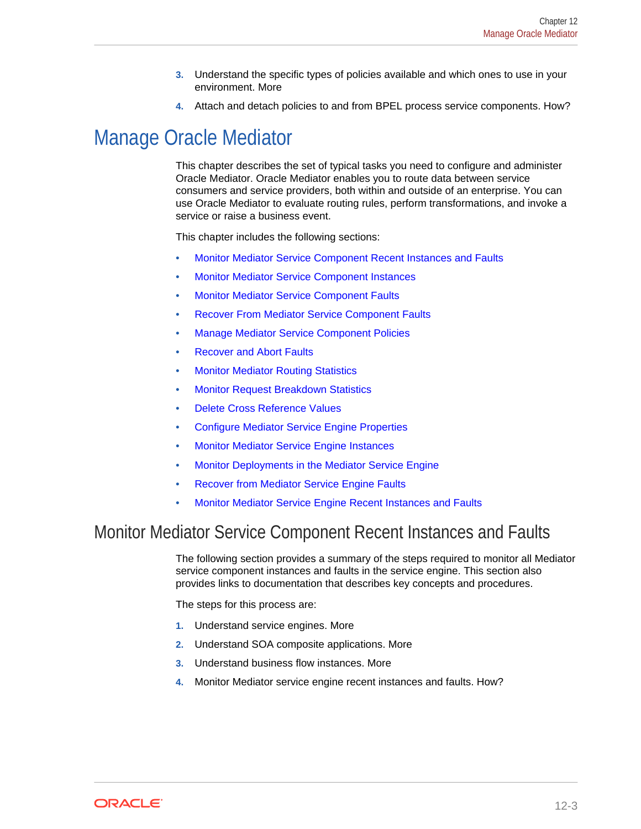- **3.** Understand the specific types of policies available and which ones to use in your environment. More
- **4.** Attach and detach policies to and from BPEL process service components. How?

## <span id="page-60-0"></span>Manage Oracle Mediator

This chapter describes the set of typical tasks you need to configure and administer Oracle Mediator. Oracle Mediator enables you to route data between service consumers and service providers, both within and outside of an enterprise. You can use Oracle Mediator to evaluate routing rules, perform transformations, and invoke a service or raise a business event.

This chapter includes the following sections:

- Monitor Mediator Service Component Recent Instances and Faults
- [Monitor Mediator Service Component Instances](#page-61-0)
- [Monitor Mediator Service Component Faults](#page-61-0)
- [Recover From Mediator Service Component Faults](#page-61-0)
- [Manage Mediator Service Component Policies](#page-61-0)
- [Recover and Abort Faults](#page-62-0)
- **[Monitor Mediator Routing Statistics](#page-62-0)**
- **[Monitor Request Breakdown Statistics](#page-62-0)**
- **[Delete Cross Reference Values](#page-62-0)**
- [Configure Mediator Service Engine Properties](#page-62-0)
- [Monitor Mediator Service Engine Instances](#page-63-0)
- [Monitor Deployments in the Mediator Service Engine](#page-63-0)
- [Recover from Mediator Service Engine Faults](#page-63-0)
- [Monitor Mediator Service Engine Recent Instances and Faults](#page-63-0)

#### Monitor Mediator Service Component Recent Instances and Faults

The following section provides a summary of the steps required to monitor all Mediator service component instances and faults in the service engine. This section also provides links to documentation that describes key concepts and procedures.

- **1.** Understand service engines. More
- **2.** Understand SOA composite applications. More
- **3.** Understand business flow instances. More
- **4.** Monitor Mediator service engine recent instances and faults. How?

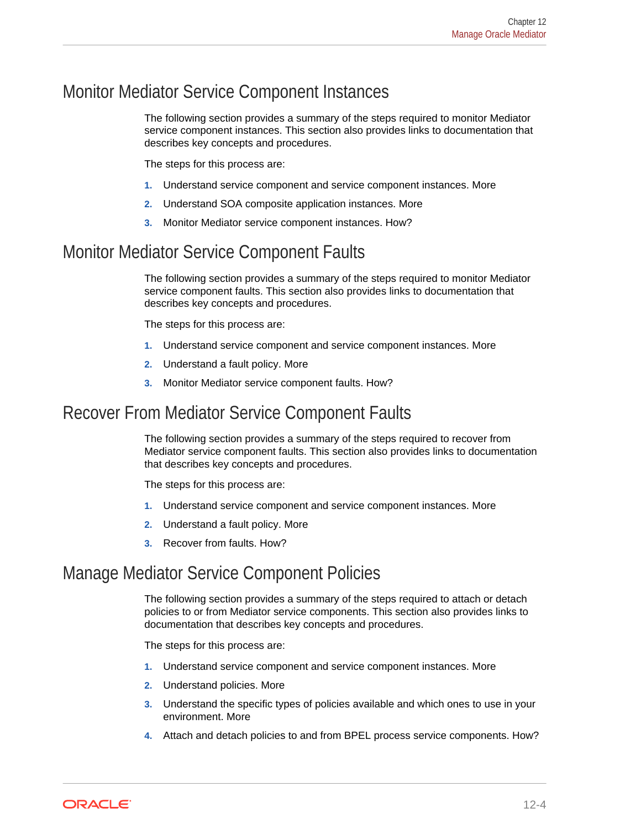#### <span id="page-61-0"></span>Monitor Mediator Service Component Instances

The following section provides a summary of the steps required to monitor Mediator service component instances. This section also provides links to documentation that describes key concepts and procedures.

The steps for this process are:

- **1.** Understand service component and service component instances. More
- **2.** Understand SOA composite application instances. More
- **3.** Monitor Mediator service component instances. How?

#### Monitor Mediator Service Component Faults

The following section provides a summary of the steps required to monitor Mediator service component faults. This section also provides links to documentation that describes key concepts and procedures.

The steps for this process are:

- **1.** Understand service component and service component instances. More
- **2.** Understand a fault policy. More
- **3.** Monitor Mediator service component faults. How?

#### Recover From Mediator Service Component Faults

The following section provides a summary of the steps required to recover from Mediator service component faults. This section also provides links to documentation that describes key concepts and procedures.

The steps for this process are:

- **1.** Understand service component and service component instances. More
- **2.** Understand a fault policy. More
- **3.** Recover from faults. How?

#### Manage Mediator Service Component Policies

The following section provides a summary of the steps required to attach or detach policies to or from Mediator service components. This section also provides links to documentation that describes key concepts and procedures.

- **1.** Understand service component and service component instances. More
- **2.** Understand policies. More
- **3.** Understand the specific types of policies available and which ones to use in your environment. More
- **4.** Attach and detach policies to and from BPEL process service components. How?

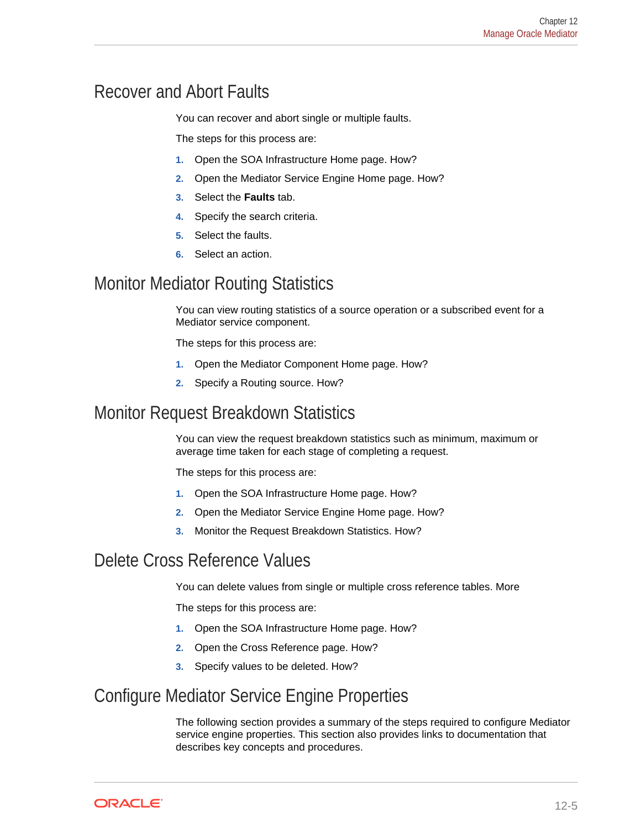#### <span id="page-62-0"></span>Recover and Abort Faults

You can recover and abort single or multiple faults.

The steps for this process are:

- **1.** Open the SOA Infrastructure Home page. How?
- **2.** Open the Mediator Service Engine Home page. How?
- **3.** Select the **Faults** tab.
- **4.** Specify the search criteria.
- **5.** Select the faults.
- **6.** Select an action.

#### Monitor Mediator Routing Statistics

You can view routing statistics of a source operation or a subscribed event for a Mediator service component.

The steps for this process are:

- **1.** Open the Mediator Component Home page. How?
- **2.** Specify a Routing source. How?

## Monitor Request Breakdown Statistics

You can view the request breakdown statistics such as minimum, maximum or average time taken for each stage of completing a request.

The steps for this process are:

- **1.** Open the SOA Infrastructure Home page. How?
- **2.** Open the Mediator Service Engine Home page. How?
- **3.** Monitor the Request Breakdown Statistics. How?

#### Delete Cross Reference Values

You can delete values from single or multiple cross reference tables. More

The steps for this process are:

- **1.** Open the SOA Infrastructure Home page. How?
- **2.** Open the Cross Reference page. How?
- **3.** Specify values to be deleted. How?

#### Configure Mediator Service Engine Properties

The following section provides a summary of the steps required to configure Mediator service engine properties. This section also provides links to documentation that describes key concepts and procedures.

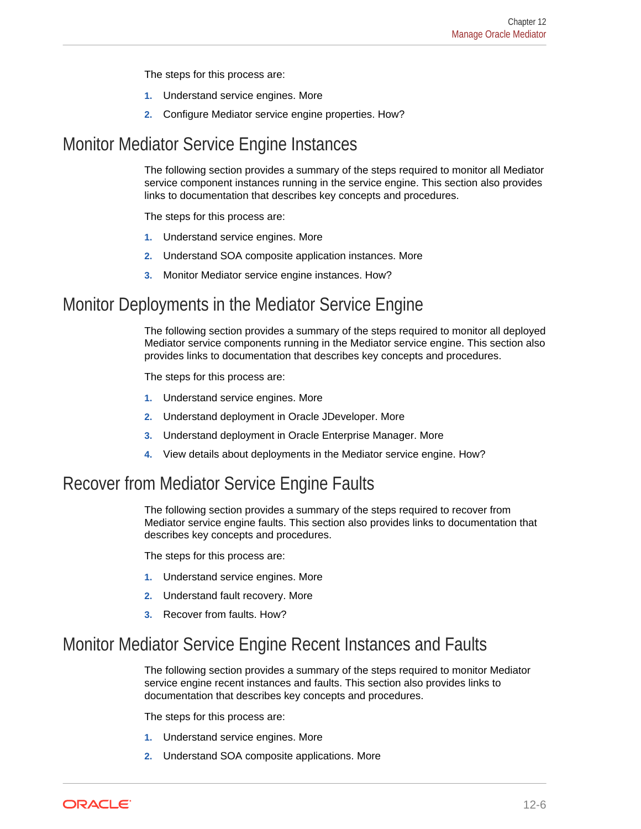The steps for this process are:

- **1.** Understand service engines. More
- **2.** Configure Mediator service engine properties. How?

#### <span id="page-63-0"></span>Monitor Mediator Service Engine Instances

The following section provides a summary of the steps required to monitor all Mediator service component instances running in the service engine. This section also provides links to documentation that describes key concepts and procedures.

The steps for this process are:

- **1.** Understand service engines. More
- **2.** Understand SOA composite application instances. More
- **3.** Monitor Mediator service engine instances. How?

#### Monitor Deployments in the Mediator Service Engine

The following section provides a summary of the steps required to monitor all deployed Mediator service components running in the Mediator service engine. This section also provides links to documentation that describes key concepts and procedures.

The steps for this process are:

- **1.** Understand service engines. More
- **2.** Understand deployment in Oracle JDeveloper. More
- **3.** Understand deployment in Oracle Enterprise Manager. More
- **4.** View details about deployments in the Mediator service engine. How?

#### Recover from Mediator Service Engine Faults

The following section provides a summary of the steps required to recover from Mediator service engine faults. This section also provides links to documentation that describes key concepts and procedures.

The steps for this process are:

- **1.** Understand service engines. More
- **2.** Understand fault recovery. More
- **3.** Recover from faults. How?

#### Monitor Mediator Service Engine Recent Instances and Faults

The following section provides a summary of the steps required to monitor Mediator service engine recent instances and faults. This section also provides links to documentation that describes key concepts and procedures.

- **1.** Understand service engines. More
- **2.** Understand SOA composite applications. More

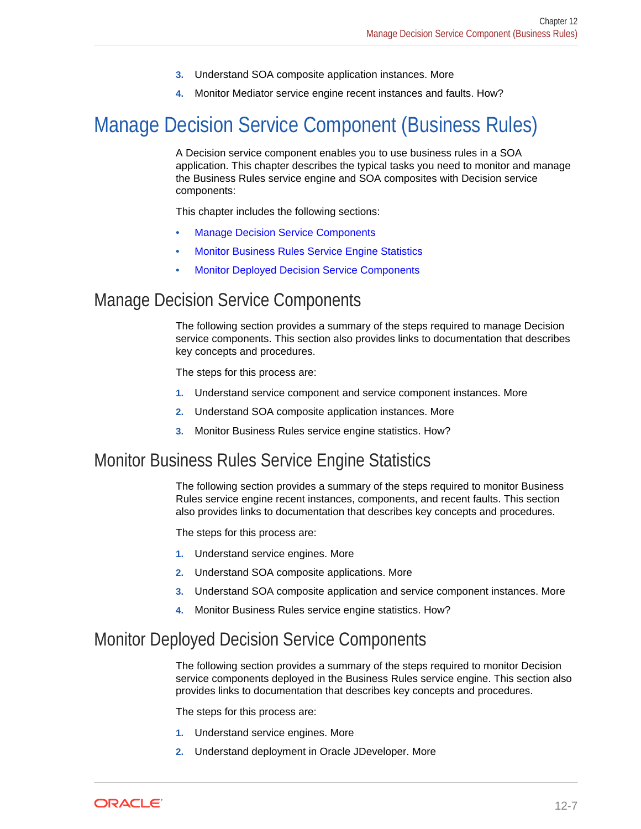- **3.** Understand SOA composite application instances. More
- **4.** Monitor Mediator service engine recent instances and faults. How?

## <span id="page-64-0"></span>Manage Decision Service Component (Business Rules)

A Decision service component enables you to use business rules in a SOA application. This chapter describes the typical tasks you need to monitor and manage the Business Rules service engine and SOA composites with Decision service components:

This chapter includes the following sections:

- **Manage Decision Service Components**
- **Monitor Business Rules Service Engine Statistics**
- Monitor Deployed Decision Service Components

#### Manage Decision Service Components

The following section provides a summary of the steps required to manage Decision service components. This section also provides links to documentation that describes key concepts and procedures.

The steps for this process are:

- **1.** Understand service component and service component instances. More
- **2.** Understand SOA composite application instances. More
- **3.** Monitor Business Rules service engine statistics. How?

#### Monitor Business Rules Service Engine Statistics

The following section provides a summary of the steps required to monitor Business Rules service engine recent instances, components, and recent faults. This section also provides links to documentation that describes key concepts and procedures.

The steps for this process are:

- **1.** Understand service engines. More
- **2.** Understand SOA composite applications. More
- **3.** Understand SOA composite application and service component instances. More
- **4.** Monitor Business Rules service engine statistics. How?

#### Monitor Deployed Decision Service Components

The following section provides a summary of the steps required to monitor Decision service components deployed in the Business Rules service engine. This section also provides links to documentation that describes key concepts and procedures.

The steps for this process are:

- **1.** Understand service engines. More
- **2.** Understand deployment in Oracle JDeveloper. More

ORACLE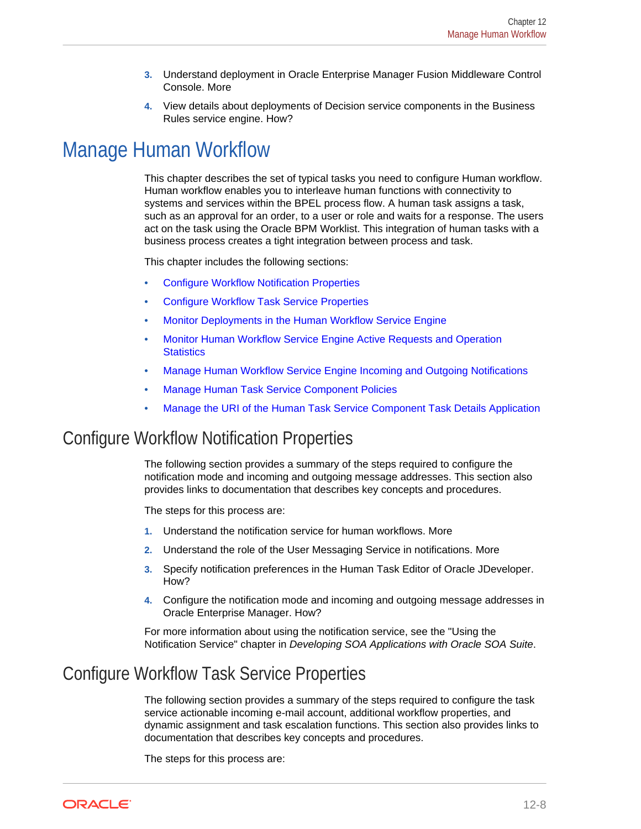- **3.** Understand deployment in Oracle Enterprise Manager Fusion Middleware Control Console. More
- **4.** View details about deployments of Decision service components in the Business Rules service engine. How?

## <span id="page-65-0"></span>Manage Human Workflow

This chapter describes the set of typical tasks you need to configure Human workflow. Human workflow enables you to interleave human functions with connectivity to systems and services within the BPEL process flow. A human task assigns a task, such as an approval for an order, to a user or role and waits for a response. The users act on the task using the Oracle BPM Worklist. This integration of human tasks with a business process creates a tight integration between process and task.

This chapter includes the following sections:

- Configure Workflow Notification Properties
- Configure Workflow Task Service Properties
- [Monitor Deployments in the Human Workflow Service Engine](#page-66-0)
- [Monitor Human Workflow Service Engine Active Requests and Operation](#page-66-0) **[Statistics](#page-66-0)**
- [Manage Human Workflow Service Engine Incoming and Outgoing Notifications](#page-66-0)
- [Manage Human Task Service Component Policies](#page-67-0)
- [Manage the URI of the Human Task Service Component Task Details Application](#page-67-0)

#### Configure Workflow Notification Properties

The following section provides a summary of the steps required to configure the notification mode and incoming and outgoing message addresses. This section also provides links to documentation that describes key concepts and procedures.

The steps for this process are:

- **1.** Understand the notification service for human workflows. More
- **2.** Understand the role of the User Messaging Service in notifications. More
- **3.** Specify notification preferences in the Human Task Editor of Oracle JDeveloper. How?
- **4.** Configure the notification mode and incoming and outgoing message addresses in Oracle Enterprise Manager. How?

For more information about using the notification service, see the "Using the Notification Service" chapter in *Developing SOA Applications with Oracle SOA Suite*.

#### Configure Workflow Task Service Properties

The following section provides a summary of the steps required to configure the task service actionable incoming e-mail account, additional workflow properties, and dynamic assignment and task escalation functions. This section also provides links to documentation that describes key concepts and procedures.

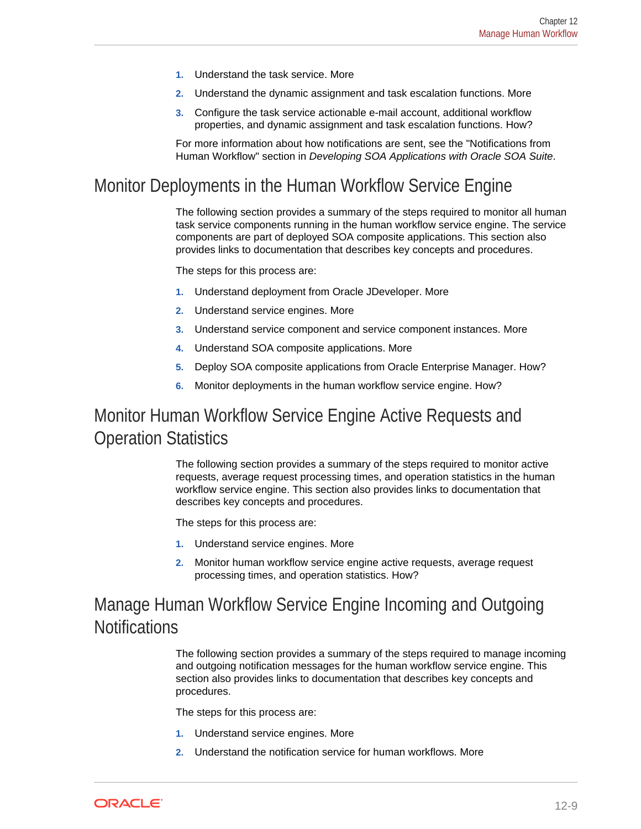- <span id="page-66-0"></span>**1.** Understand the task service. More
- **2.** Understand the dynamic assignment and task escalation functions. More
- **3.** Configure the task service actionable e-mail account, additional workflow properties, and dynamic assignment and task escalation functions. How?

For more information about how notifications are sent, see the "Notifications from Human Workflow" section in *Developing SOA Applications with Oracle SOA Suite*.

#### Monitor Deployments in the Human Workflow Service Engine

The following section provides a summary of the steps required to monitor all human task service components running in the human workflow service engine. The service components are part of deployed SOA composite applications. This section also provides links to documentation that describes key concepts and procedures.

The steps for this process are:

- **1.** Understand deployment from Oracle JDeveloper. More
- **2.** Understand service engines. More
- **3.** Understand service component and service component instances. More
- **4.** Understand SOA composite applications. More
- **5.** Deploy SOA composite applications from Oracle Enterprise Manager. How?
- **6.** Monitor deployments in the human workflow service engine. How?

#### Monitor Human Workflow Service Engine Active Requests and Operation Statistics

The following section provides a summary of the steps required to monitor active requests, average request processing times, and operation statistics in the human workflow service engine. This section also provides links to documentation that describes key concepts and procedures.

The steps for this process are:

- **1.** Understand service engines. More
- **2.** Monitor human workflow service engine active requests, average request processing times, and operation statistics. How?

#### Manage Human Workflow Service Engine Incoming and Outgoing **Notifications**

The following section provides a summary of the steps required to manage incoming and outgoing notification messages for the human workflow service engine. This section also provides links to documentation that describes key concepts and procedures.

- **1.** Understand service engines. More
- **2.** Understand the notification service for human workflows. More

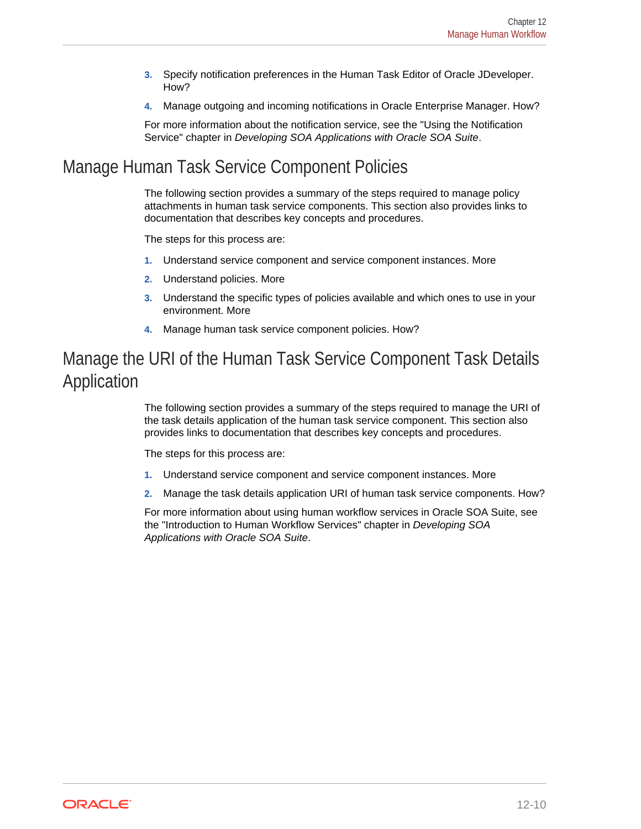- <span id="page-67-0"></span>**3.** Specify notification preferences in the Human Task Editor of Oracle JDeveloper. How?
- **4.** Manage outgoing and incoming notifications in Oracle Enterprise Manager. How?

For more information about the notification service, see the "Using the Notification Service" chapter in *Developing SOA Applications with Oracle SOA Suite*.

#### Manage Human Task Service Component Policies

The following section provides a summary of the steps required to manage policy attachments in human task service components. This section also provides links to documentation that describes key concepts and procedures.

The steps for this process are:

- **1.** Understand service component and service component instances. More
- **2.** Understand policies. More
- **3.** Understand the specific types of policies available and which ones to use in your environment. More
- **4.** Manage human task service component policies. How?

### Manage the URI of the Human Task Service Component Task Details Application

The following section provides a summary of the steps required to manage the URI of the task details application of the human task service component. This section also provides links to documentation that describes key concepts and procedures.

The steps for this process are:

- **1.** Understand service component and service component instances. More
- **2.** Manage the task details application URI of human task service components. How?

For more information about using human workflow services in Oracle SOA Suite, see the "Introduction to Human Workflow Services" chapter in *Developing SOA Applications with Oracle SOA Suite*.

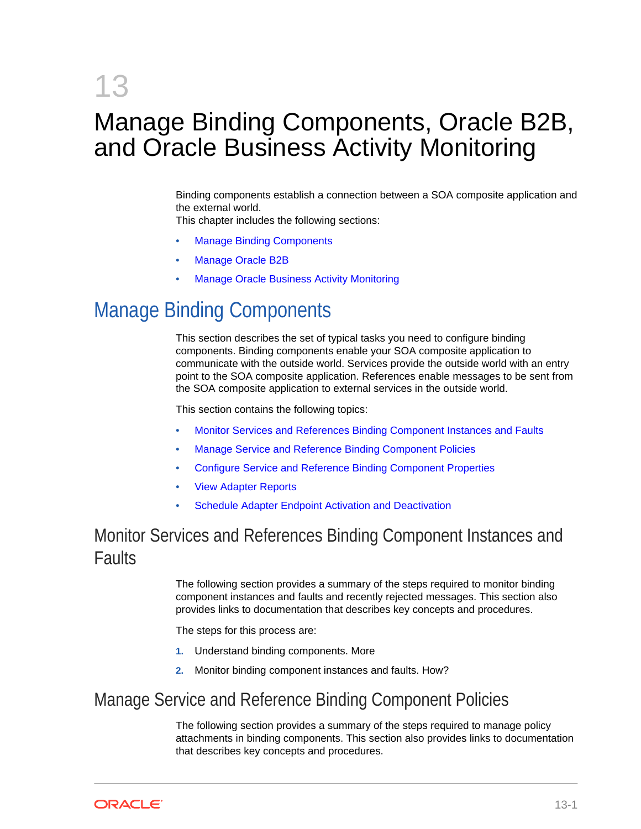# <span id="page-68-0"></span>13

## Manage Binding Components, Oracle B2B, and Oracle Business Activity Monitoring

Binding components establish a connection between a SOA composite application and the external world.

This chapter includes the following sections:

- Manage Binding Components
- [Manage Oracle B2B](#page-70-0)
- [Manage Oracle Business Activity Monitoring](#page-70-0)

## Manage Binding Components

This section describes the set of typical tasks you need to configure binding components. Binding components enable your SOA composite application to communicate with the outside world. Services provide the outside world with an entry point to the SOA composite application. References enable messages to be sent from the SOA composite application to external services in the outside world.

This section contains the following topics:

- Monitor Services and References Binding Component Instances and Faults
- Manage Service and Reference Binding Component Policies
- [Configure Service and Reference Binding Component Properties](#page-69-0)
- [View Adapter Reports](#page-69-0)
- [Schedule Adapter Endpoint Activation and Deactivation](#page-69-0)

### Monitor Services and References Binding Component Instances and **Faults**

The following section provides a summary of the steps required to monitor binding component instances and faults and recently rejected messages. This section also provides links to documentation that describes key concepts and procedures.

The steps for this process are:

- **1.** Understand binding components. More
- **2.** Monitor binding component instances and faults. How?

#### Manage Service and Reference Binding Component Policies

The following section provides a summary of the steps required to manage policy attachments in binding components. This section also provides links to documentation that describes key concepts and procedures.

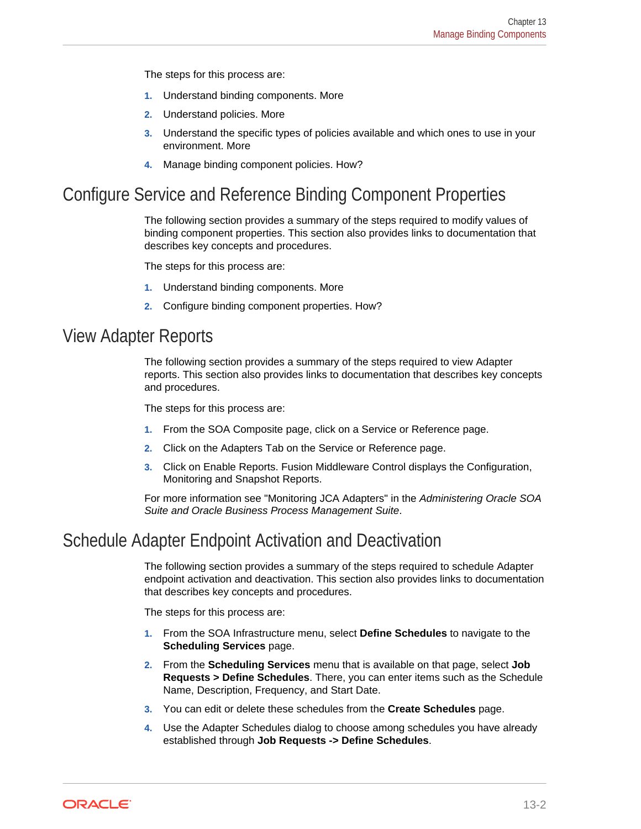<span id="page-69-0"></span>The steps for this process are:

- **1.** Understand binding components. More
- **2.** Understand policies. More
- **3.** Understand the specific types of policies available and which ones to use in your environment. More
- **4.** Manage binding component policies. How?

#### Configure Service and Reference Binding Component Properties

The following section provides a summary of the steps required to modify values of binding component properties. This section also provides links to documentation that describes key concepts and procedures.

The steps for this process are:

- **1.** Understand binding components. More
- **2.** Configure binding component properties. How?

#### View Adapter Reports

The following section provides a summary of the steps required to view Adapter reports. This section also provides links to documentation that describes key concepts and procedures.

The steps for this process are:

- **1.** From the SOA Composite page, click on a Service or Reference page.
- **2.** Click on the Adapters Tab on the Service or Reference page.
- **3.** Click on Enable Reports. Fusion Middleware Control displays the Configuration, Monitoring and Snapshot Reports.

For more information see "Monitoring JCA Adapters" in the *Administering Oracle SOA Suite and Oracle Business Process Management Suite*.

#### Schedule Adapter Endpoint Activation and Deactivation

The following section provides a summary of the steps required to schedule Adapter endpoint activation and deactivation. This section also provides links to documentation that describes key concepts and procedures.

- **1.** From the SOA Infrastructure menu, select **Define Schedules** to navigate to the **Scheduling Services** page.
- **2.** From the **Scheduling Services** menu that is available on that page, select **Job Requests > Define Schedules**. There, you can enter items such as the Schedule Name, Description, Frequency, and Start Date.
- **3.** You can edit or delete these schedules from the **Create Schedules** page.
- **4.** Use the Adapter Schedules dialog to choose among schedules you have already established through **Job Requests -> Define Schedules**.

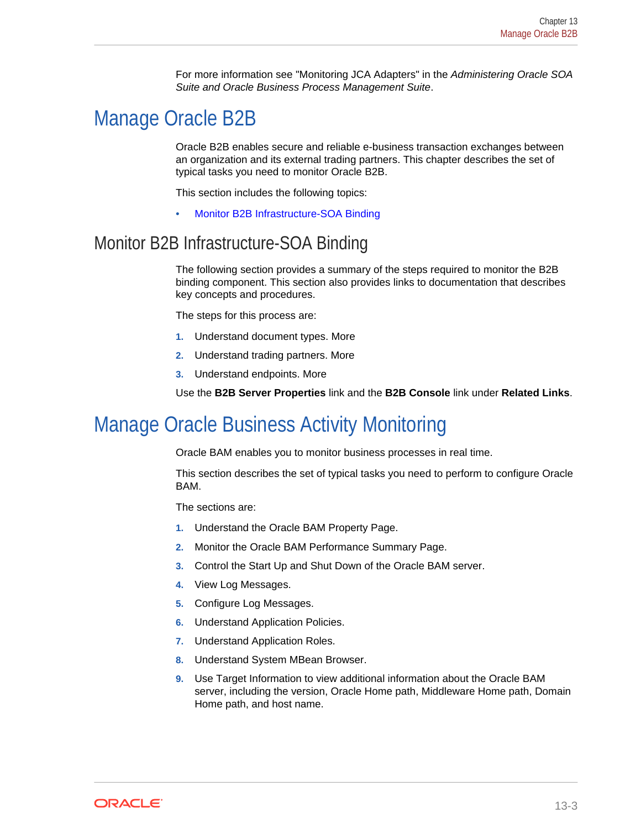For more information see "Monitoring JCA Adapters" in the *Administering Oracle SOA Suite and Oracle Business Process Management Suite*.

## <span id="page-70-0"></span>Manage Oracle B2B

Oracle B2B enables secure and reliable e-business transaction exchanges between an organization and its external trading partners. This chapter describes the set of typical tasks you need to monitor Oracle B2B.

This section includes the following topics:

• Monitor B2B Infrastructure-SOA Binding

#### Monitor B2B Infrastructure-SOA Binding

The following section provides a summary of the steps required to monitor the B2B binding component. This section also provides links to documentation that describes key concepts and procedures.

The steps for this process are:

- **1.** Understand document types. More
- **2.** Understand trading partners. More
- **3.** Understand endpoints. More

Use the **B2B Server Properties** link and the **B2B Console** link under **Related Links**.

## Manage Oracle Business Activity Monitoring

Oracle BAM enables you to monitor business processes in real time.

This section describes the set of typical tasks you need to perform to configure Oracle BAM.

The sections are:

- **1.** Understand the Oracle BAM Property Page.
- **2.** Monitor the Oracle BAM Performance Summary Page.
- **3.** Control the Start Up and Shut Down of the Oracle BAM server.
- **4.** View Log Messages.
- **5.** Configure Log Messages.
- **6.** Understand Application Policies.
- **7.** Understand Application Roles.
- **8.** Understand System MBean Browser.
- **9.** Use Target Information to view additional information about the Oracle BAM server, including the version, Oracle Home path, Middleware Home path, Domain Home path, and host name.

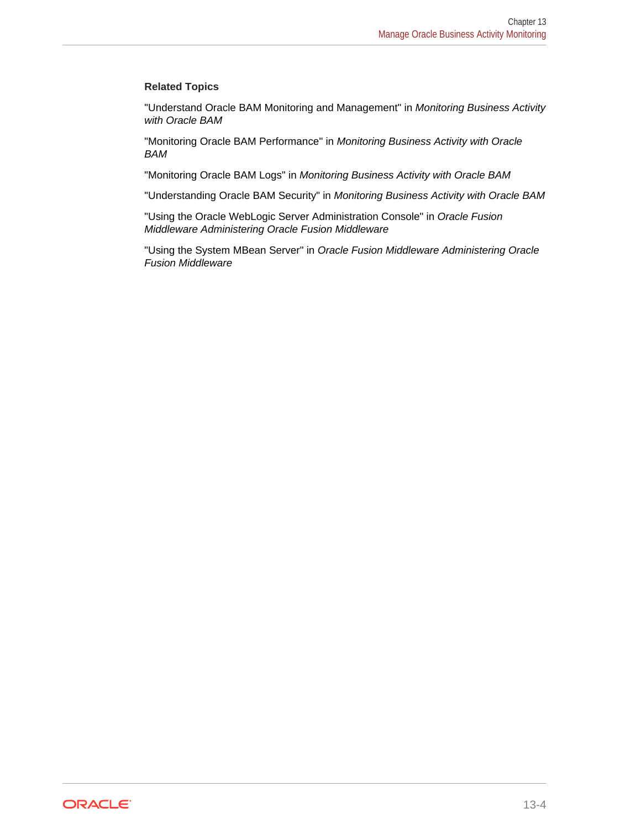#### **Related Topics**

"Understand Oracle BAM Monitoring and Management" in *Monitoring Business Activity with Oracle BAM*

"Monitoring Oracle BAM Performance" in *Monitoring Business Activity with Oracle BAM*

"Monitoring Oracle BAM Logs" in *Monitoring Business Activity with Oracle BAM*

"Understanding Oracle BAM Security" in *Monitoring Business Activity with Oracle BAM*

"Using the Oracle WebLogic Server Administration Console" in *Oracle Fusion Middleware Administering Oracle Fusion Middleware*

"Using the System MBean Server" in *Oracle Fusion Middleware Administering Oracle Fusion Middleware*

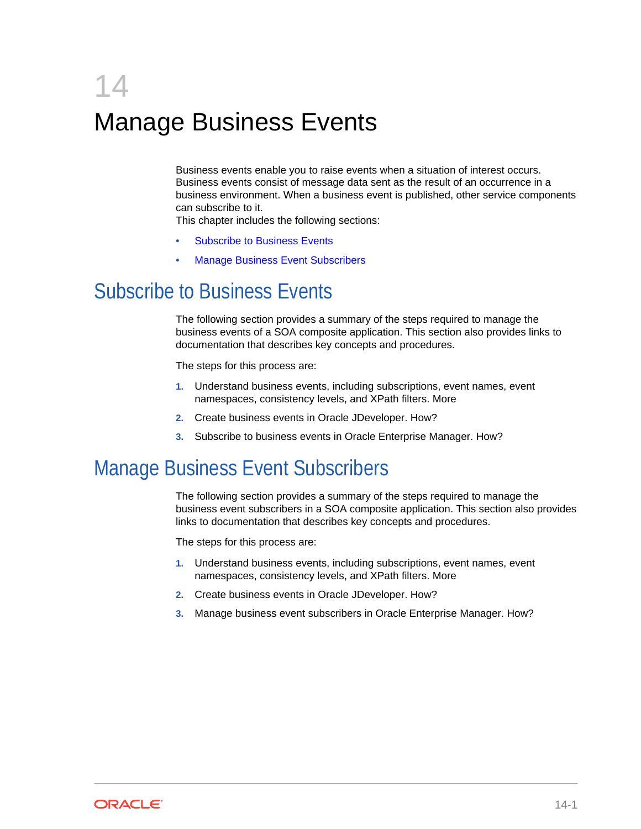# 14 Manage Business Events

Business events enable you to raise events when a situation of interest occurs. Business events consist of message data sent as the result of an occurrence in a business environment. When a business event is published, other service components can subscribe to it.

This chapter includes the following sections:

- **Subscribe to Business Events**
- **Manage Business Event Subscribers**

### Subscribe to Business Events

The following section provides a summary of the steps required to manage the business events of a SOA composite application. This section also provides links to documentation that describes key concepts and procedures.

The steps for this process are:

- **1.** Understand business events, including subscriptions, event names, event namespaces, consistency levels, and XPath filters. More
- **2.** Create business events in Oracle JDeveloper. How?
- **3.** Subscribe to business events in Oracle Enterprise Manager. How?

### Manage Business Event Subscribers

The following section provides a summary of the steps required to manage the business event subscribers in a SOA composite application. This section also provides links to documentation that describes key concepts and procedures.

- **1.** Understand business events, including subscriptions, event names, event namespaces, consistency levels, and XPath filters. More
- **2.** Create business events in Oracle JDeveloper. How?
- **3.** Manage business event subscribers in Oracle Enterprise Manager. How?

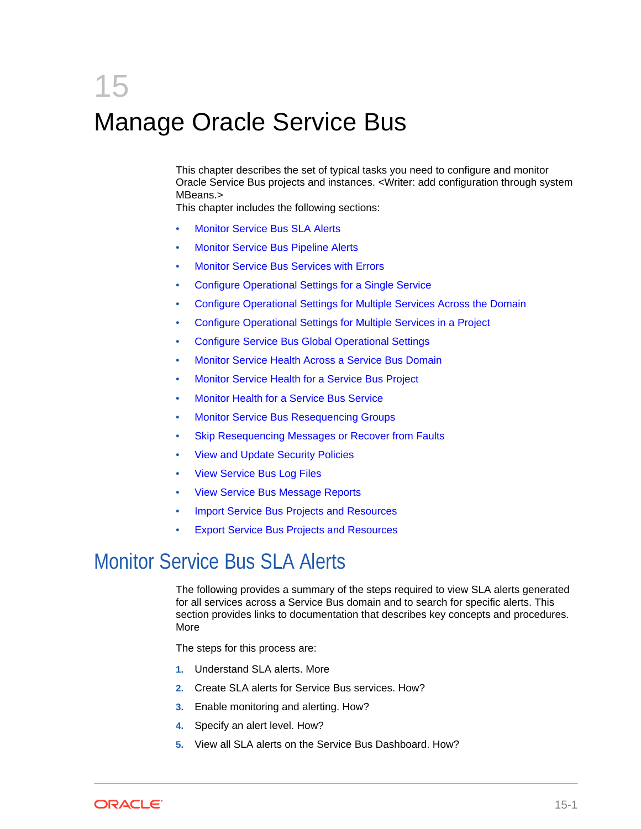# 15 Manage Oracle Service Bus

This chapter describes the set of typical tasks you need to configure and monitor Oracle Service Bus projects and instances. <Writer: add configuration through system MBeans.>

This chapter includes the following sections:

- **Monitor Service Bus SLA Alerts**
- **[Monitor Service Bus Pipeline Alerts](#page-74-0)**
- [Monitor Service Bus Services with Errors](#page-74-0)
- [Configure Operational Settings for a Single Service](#page-74-0)
- [Configure Operational Settings for Multiple Services Across the Domain](#page-74-0)
- [Configure Operational Settings for Multiple Services in a Project](#page-75-0)
- [Configure Service Bus Global Operational Settings](#page-75-0)
- [Monitor Service Health Across a Service Bus Domain](#page-75-0)
- [Monitor Service Health for a Service Bus Project](#page-75-0)
- [Monitor Health for a Service Bus Service](#page-76-0)
- [Monitor Service Bus Resequencing Groups](#page-76-0)
- **[Skip Resequencing Messages or Recover from Faults](#page-76-0)**
- [View and Update Security Policies](#page-76-0)
- [View Service Bus Log Files](#page-77-0)
- [View Service Bus Message Reports](#page-77-0)
- [Import Service Bus Projects and Resources](#page-77-0)
- [Export Service Bus Projects and Resources](#page-77-0)

### Monitor Service Bus SLA Alerts

The following provides a summary of the steps required to view SLA alerts generated for all services across a Service Bus domain and to search for specific alerts. This section provides links to documentation that describes key concepts and procedures. More

- **1.** Understand SLA alerts. More
- **2.** Create SLA alerts for Service Bus services. How?
- **3.** Enable monitoring and alerting. How?
- **4.** Specify an alert level. How?
- **5.** View all SLA alerts on the Service Bus Dashboard. How?

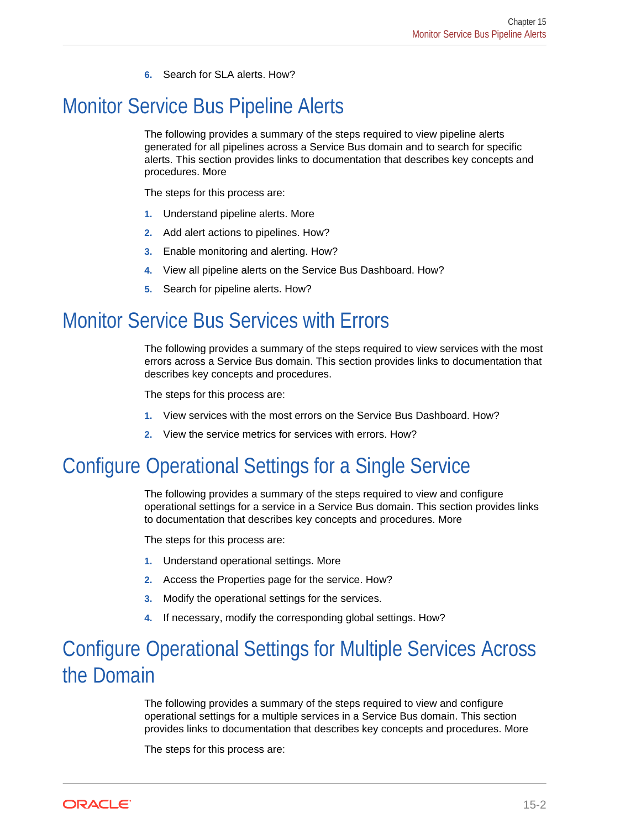**6.** Search for SLA alerts. How?

# <span id="page-74-0"></span>Monitor Service Bus Pipeline Alerts

The following provides a summary of the steps required to view pipeline alerts generated for all pipelines across a Service Bus domain and to search for specific alerts. This section provides links to documentation that describes key concepts and procedures. More

The steps for this process are:

- **1.** Understand pipeline alerts. More
- **2.** Add alert actions to pipelines. How?
- **3.** Enable monitoring and alerting. How?
- **4.** View all pipeline alerts on the Service Bus Dashboard. How?
- **5.** Search for pipeline alerts. How?

### Monitor Service Bus Services with Errors

The following provides a summary of the steps required to view services with the most errors across a Service Bus domain. This section provides links to documentation that describes key concepts and procedures.

The steps for this process are:

- **1.** View services with the most errors on the Service Bus Dashboard. How?
- **2.** View the service metrics for services with errors. How?

### Configure Operational Settings for a Single Service

The following provides a summary of the steps required to view and configure operational settings for a service in a Service Bus domain. This section provides links to documentation that describes key concepts and procedures. More

The steps for this process are:

- **1.** Understand operational settings. More
- **2.** Access the Properties page for the service. How?
- **3.** Modify the operational settings for the services.
- **4.** If necessary, modify the corresponding global settings. How?

# Configure Operational Settings for Multiple Services Across the Domain

The following provides a summary of the steps required to view and configure operational settings for a multiple services in a Service Bus domain. This section provides links to documentation that describes key concepts and procedures. More

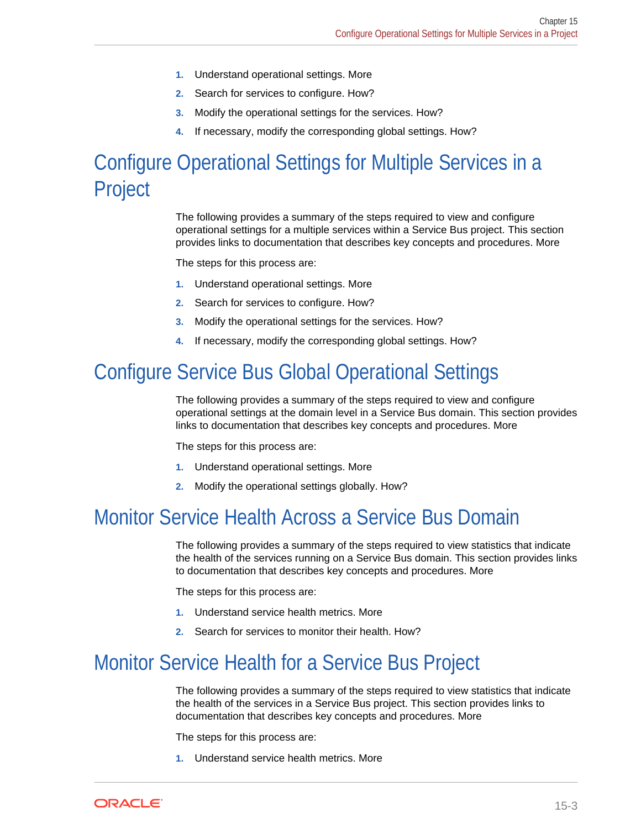- **1.** Understand operational settings. More
- **2.** Search for services to configure. How?
- **3.** Modify the operational settings for the services. How?
- **4.** If necessary, modify the corresponding global settings. How?

# <span id="page-75-0"></span>Configure Operational Settings for Multiple Services in a Project

The following provides a summary of the steps required to view and configure operational settings for a multiple services within a Service Bus project. This section provides links to documentation that describes key concepts and procedures. More

The steps for this process are:

- **1.** Understand operational settings. More
- **2.** Search for services to configure. How?
- **3.** Modify the operational settings for the services. How?
- **4.** If necessary, modify the corresponding global settings. How?

### Configure Service Bus Global Operational Settings

The following provides a summary of the steps required to view and configure operational settings at the domain level in a Service Bus domain. This section provides links to documentation that describes key concepts and procedures. More

The steps for this process are:

- **1.** Understand operational settings. More
- **2.** Modify the operational settings globally. How?

### Monitor Service Health Across a Service Bus Domain

The following provides a summary of the steps required to view statistics that indicate the health of the services running on a Service Bus domain. This section provides links to documentation that describes key concepts and procedures. More

The steps for this process are:

- **1.** Understand service health metrics. More
- **2.** Search for services to monitor their health. How?

### Monitor Service Health for a Service Bus Project

The following provides a summary of the steps required to view statistics that indicate the health of the services in a Service Bus project. This section provides links to documentation that describes key concepts and procedures. More

The steps for this process are:

**1.** Understand service health metrics. More

ORACLE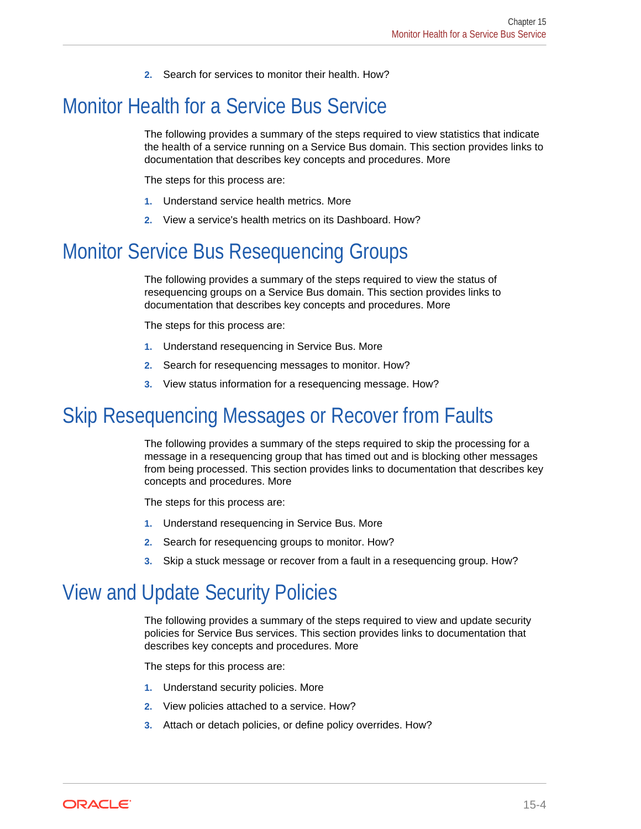**2.** Search for services to monitor their health. How?

### <span id="page-76-0"></span>Monitor Health for a Service Bus Service

The following provides a summary of the steps required to view statistics that indicate the health of a service running on a Service Bus domain. This section provides links to documentation that describes key concepts and procedures. More

The steps for this process are:

- **1.** Understand service health metrics. More
- **2.** View a service's health metrics on its Dashboard. How?

### Monitor Service Bus Resequencing Groups

The following provides a summary of the steps required to view the status of resequencing groups on a Service Bus domain. This section provides links to documentation that describes key concepts and procedures. More

The steps for this process are:

- **1.** Understand resequencing in Service Bus. More
- **2.** Search for resequencing messages to monitor. How?
- **3.** View status information for a resequencing message. How?

# Skip Resequencing Messages or Recover from Faults

The following provides a summary of the steps required to skip the processing for a message in a resequencing group that has timed out and is blocking other messages from being processed. This section provides links to documentation that describes key concepts and procedures. More

The steps for this process are:

- **1.** Understand resequencing in Service Bus. More
- **2.** Search for resequencing groups to monitor. How?
- **3.** Skip a stuck message or recover from a fault in a resequencing group. How?

### View and Update Security Policies

The following provides a summary of the steps required to view and update security policies for Service Bus services. This section provides links to documentation that describes key concepts and procedures. More

- **1.** Understand security policies. More
- **2.** View policies attached to a service. How?
- **3.** Attach or detach policies, or define policy overrides. How?

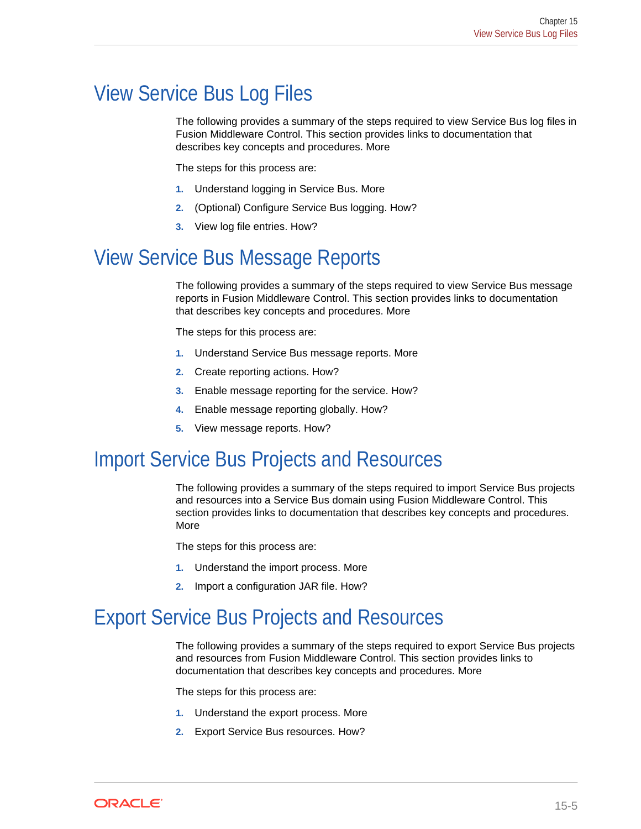### <span id="page-77-0"></span>View Service Bus Log Files

The following provides a summary of the steps required to view Service Bus log files in Fusion Middleware Control. This section provides links to documentation that describes key concepts and procedures. More

The steps for this process are:

- **1.** Understand logging in Service Bus. More
- **2.** (Optional) Configure Service Bus logging. How?
- **3.** View log file entries. How?

### View Service Bus Message Reports

The following provides a summary of the steps required to view Service Bus message reports in Fusion Middleware Control. This section provides links to documentation that describes key concepts and procedures. More

The steps for this process are:

- **1.** Understand Service Bus message reports. More
- **2.** Create reporting actions. How?
- **3.** Enable message reporting for the service. How?
- **4.** Enable message reporting globally. How?
- **5.** View message reports. How?

### Import Service Bus Projects and Resources

The following provides a summary of the steps required to import Service Bus projects and resources into a Service Bus domain using Fusion Middleware Control. This section provides links to documentation that describes key concepts and procedures. More

The steps for this process are:

- **1.** Understand the import process. More
- **2.** Import a configuration JAR file. How?

### Export Service Bus Projects and Resources

The following provides a summary of the steps required to export Service Bus projects and resources from Fusion Middleware Control. This section provides links to documentation that describes key concepts and procedures. More

- **1.** Understand the export process. More
- **2.** Export Service Bus resources. How?

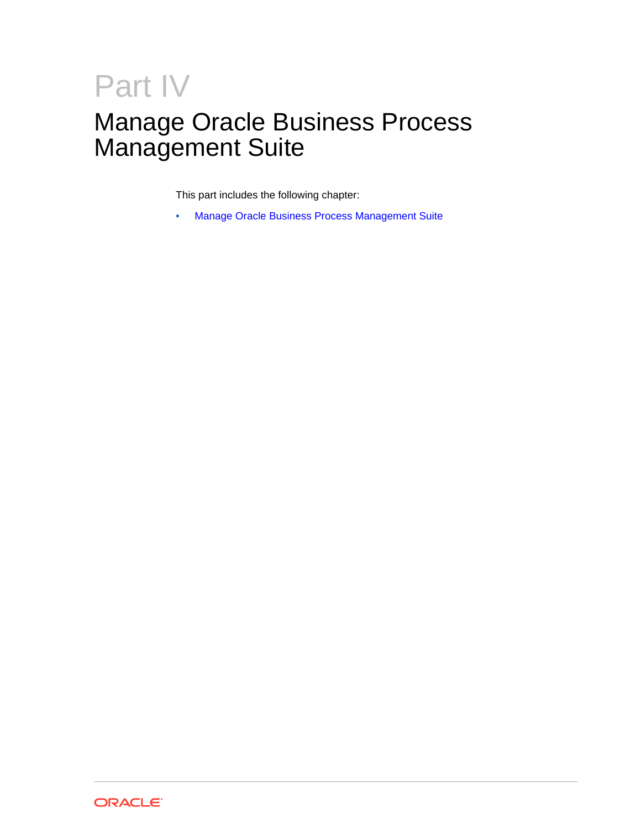# Part IV

# Manage Oracle Business Process Management Suite

This part includes the following chapter:

• [Manage Oracle Business Process Management Suite](#page-79-0)

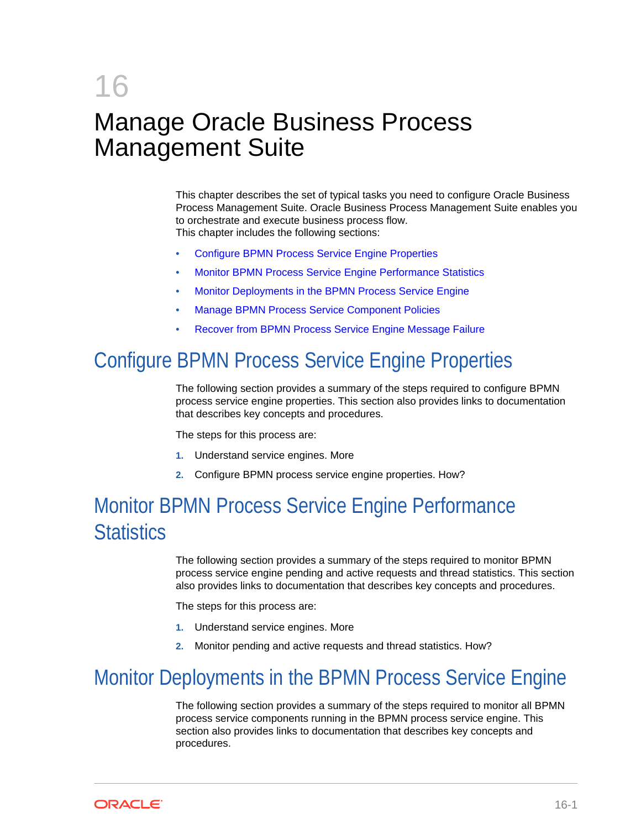# <span id="page-79-0"></span>16 Manage Oracle Business Process Management Suite

This chapter describes the set of typical tasks you need to configure Oracle Business Process Management Suite. Oracle Business Process Management Suite enables you to orchestrate and execute business process flow. This chapter includes the following sections:

- Configure BPMN Process Service Engine Properties
- Monitor BPMN Process Service Engine Performance Statistics
- Monitor Deployments in the BPMN Process Service Engine
- [Manage BPMN Process Service Component Policies](#page-80-0)
- [Recover from BPMN Process Service Engine Message Failure](#page-80-0)

### Configure BPMN Process Service Engine Properties

The following section provides a summary of the steps required to configure BPMN process service engine properties. This section also provides links to documentation that describes key concepts and procedures.

The steps for this process are:

- **1.** Understand service engines. More
- **2.** Configure BPMN process service engine properties. How?

# Monitor BPMN Process Service Engine Performance **Statistics**

The following section provides a summary of the steps required to monitor BPMN process service engine pending and active requests and thread statistics. This section also provides links to documentation that describes key concepts and procedures.

The steps for this process are:

- **1.** Understand service engines. More
- **2.** Monitor pending and active requests and thread statistics. How?

### Monitor Deployments in the BPMN Process Service Engine

The following section provides a summary of the steps required to monitor all BPMN process service components running in the BPMN process service engine. This section also provides links to documentation that describes key concepts and procedures.

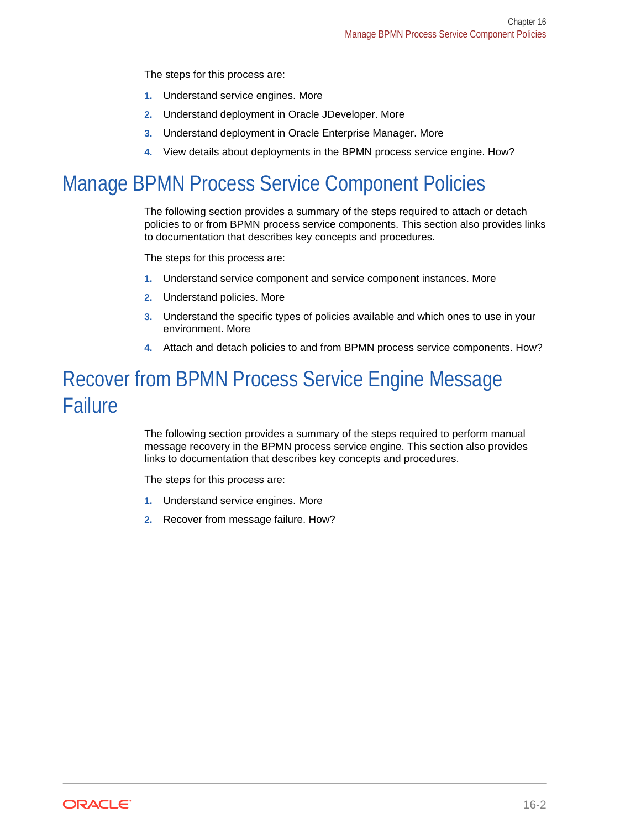<span id="page-80-0"></span>The steps for this process are:

- **1.** Understand service engines. More
- **2.** Understand deployment in Oracle JDeveloper. More
- **3.** Understand deployment in Oracle Enterprise Manager. More
- **4.** View details about deployments in the BPMN process service engine. How?

# Manage BPMN Process Service Component Policies

The following section provides a summary of the steps required to attach or detach policies to or from BPMN process service components. This section also provides links to documentation that describes key concepts and procedures.

The steps for this process are:

- **1.** Understand service component and service component instances. More
- **2.** Understand policies. More
- **3.** Understand the specific types of policies available and which ones to use in your environment. More
- **4.** Attach and detach policies to and from BPMN process service components. How?

# Recover from BPMN Process Service Engine Message **Failure**

The following section provides a summary of the steps required to perform manual message recovery in the BPMN process service engine. This section also provides links to documentation that describes key concepts and procedures.

- **1.** Understand service engines. More
- **2.** Recover from message failure. How?

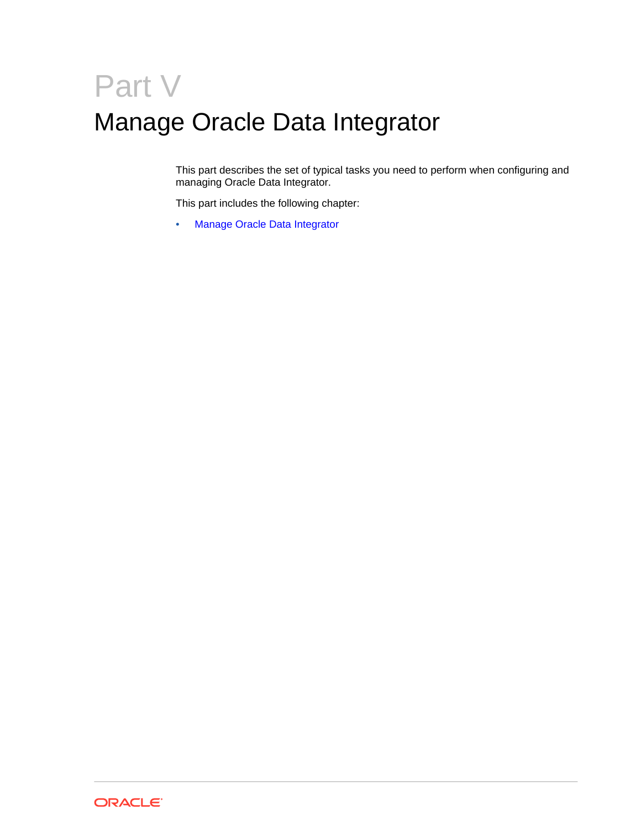# Part V Manage Oracle Data Integrator

This part describes the set of typical tasks you need to perform when configuring and managing Oracle Data Integrator.

This part includes the following chapter:

• [Manage Oracle Data Integrator](#page-82-0)

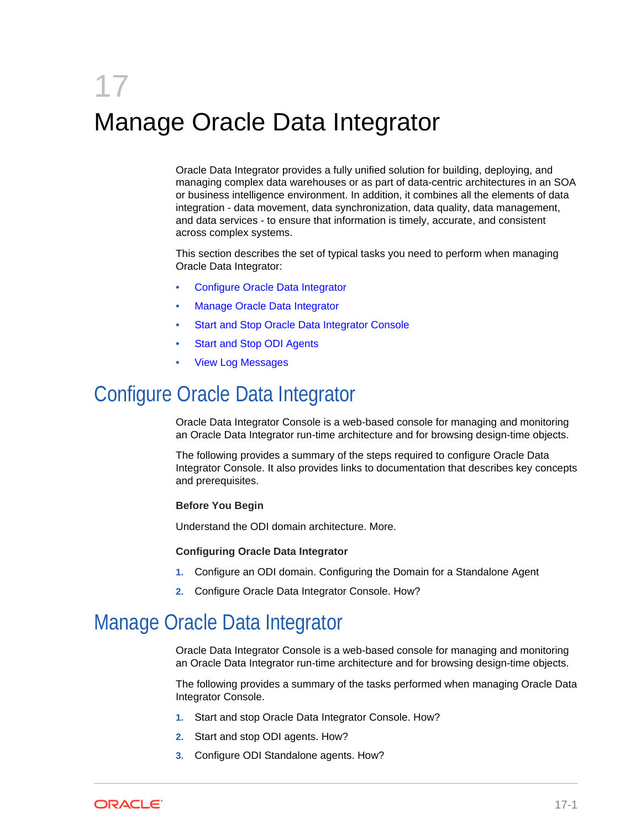# <span id="page-82-0"></span>17 Manage Oracle Data Integrator

Oracle Data Integrator provides a fully unified solution for building, deploying, and managing complex data warehouses or as part of data-centric architectures in an SOA or business intelligence environment. In addition, it combines all the elements of data integration - data movement, data synchronization, data quality, data management, and data services - to ensure that information is timely, accurate, and consistent across complex systems.

This section describes the set of typical tasks you need to perform when managing Oracle Data Integrator:

- Configure Oracle Data Integrator
- Manage Oracle Data Integrator
- **[Start and Stop Oracle Data Integrator Console](#page-83-0)**
- [Start and Stop ODI Agents](#page-83-0)
- **[View Log Messages](#page-83-0)**

# Configure Oracle Data Integrator

Oracle Data Integrator Console is a web-based console for managing and monitoring an Oracle Data Integrator run-time architecture and for browsing design-time objects.

The following provides a summary of the steps required to configure Oracle Data Integrator Console. It also provides links to documentation that describes key concepts and prerequisites.

### **Before You Begin**

Understand the ODI domain architecture. More.

### **Configuring Oracle Data Integrator**

- **1.** Configure an ODI domain. Configuring the Domain for a Standalone Agent
- **2.** Configure Oracle Data Integrator Console. How?

### Manage Oracle Data Integrator

Oracle Data Integrator Console is a web-based console for managing and monitoring an Oracle Data Integrator run-time architecture and for browsing design-time objects.

The following provides a summary of the tasks performed when managing Oracle Data Integrator Console.

- **1.** Start and stop Oracle Data Integrator Console. How?
- **2.** Start and stop ODI agents. How?
- **3.** Configure ODI Standalone agents. How?

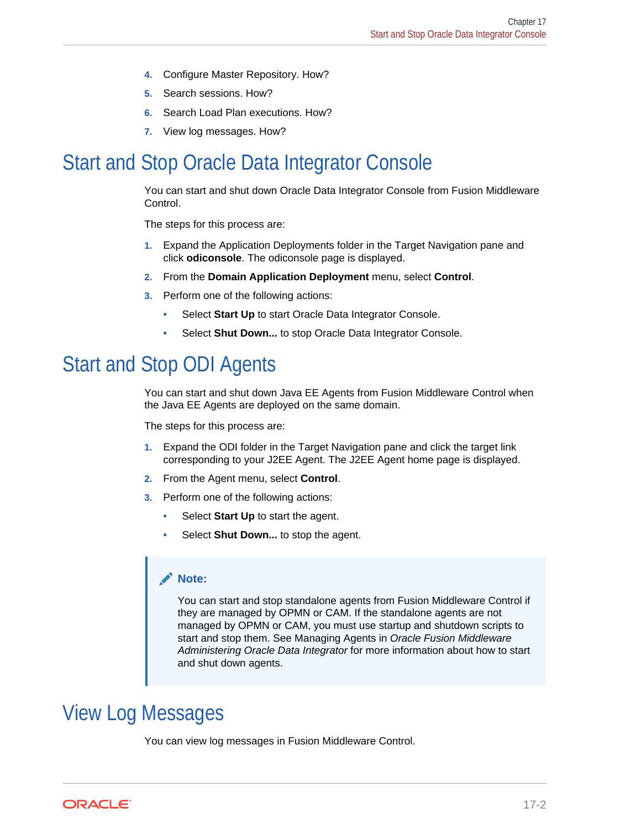- <span id="page-83-0"></span>**4.** Configure Master Repository. How?
- **5.** Search sessions. How?
- **6.** Search Load Plan executions. How?
- **7.** View log messages. How?

### Start and Stop Oracle Data Integrator Console

You can start and shut down Oracle Data Integrator Console from Fusion Middleware Control.

The steps for this process are:

- **1.** Expand the Application Deployments folder in the Target Navigation pane and click **odiconsole**. The odiconsole page is displayed.
- **2.** From the **Domain Application Deployment** menu, select **Control**.
- **3.** Perform one of the following actions:
	- Select Start Up to start Oracle Data Integrator Console.
	- Select **Shut Down...** to stop Oracle Data Integrator Console.

### Start and Stop ODI Agents

You can start and shut down Java EE Agents from Fusion Middleware Control when the Java EE Agents are deployed on the same domain.

The steps for this process are:

- **1.** Expand the ODI folder in the Target Navigation pane and click the target link corresponding to your J2EE Agent. The J2EE Agent home page is displayed.
- **2.** From the Agent menu, select **Control**.
- **3.** Perform one of the following actions:
	- Select **Start Up** to start the agent.
	- Select **Shut Down...** to stop the agent.

### **Note:**

You can start and stop standalone agents from Fusion Middleware Control if they are managed by OPMN or CAM. If the standalone agents are not managed by OPMN or CAM, you must use startup and shutdown scripts to start and stop them. See Managing Agents in *Oracle Fusion Middleware Administering Oracle Data Integrator* for more information about how to start and shut down agents.

### View Log Messages

You can view log messages in Fusion Middleware Control.

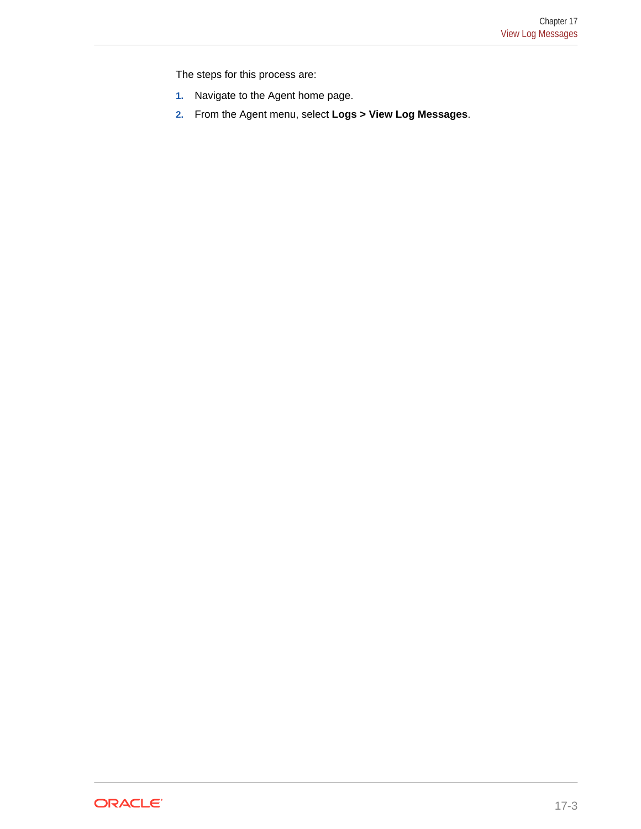- **1.** Navigate to the Agent home page.
- **2.** From the Agent menu, select **Logs > View Log Messages**.

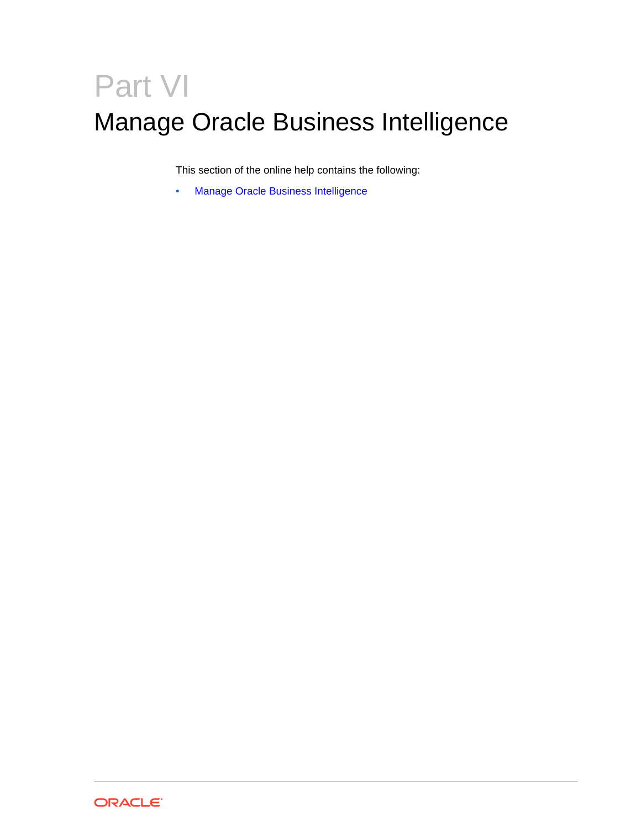# Part VI Manage Oracle Business Intelligence

This section of the online help contains the following:

• [Manage Oracle Business Intelligence](#page-86-0)

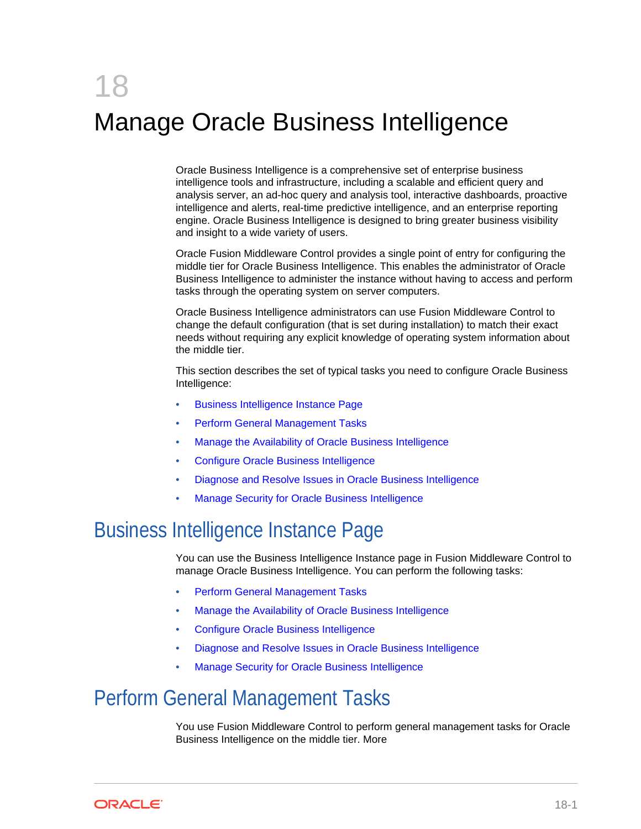# <span id="page-86-0"></span>18 Manage Oracle Business Intelligence

Oracle Business Intelligence is a comprehensive set of enterprise business intelligence tools and infrastructure, including a scalable and efficient query and analysis server, an ad-hoc query and analysis tool, interactive dashboards, proactive intelligence and alerts, real-time predictive intelligence, and an enterprise reporting engine. Oracle Business Intelligence is designed to bring greater business visibility and insight to a wide variety of users.

Oracle Fusion Middleware Control provides a single point of entry for configuring the middle tier for Oracle Business Intelligence. This enables the administrator of Oracle Business Intelligence to administer the instance without having to access and perform tasks through the operating system on server computers.

Oracle Business Intelligence administrators can use Fusion Middleware Control to change the default configuration (that is set during installation) to match their exact needs without requiring any explicit knowledge of operating system information about the middle tier.

This section describes the set of typical tasks you need to configure Oracle Business Intelligence:

- Business Intelligence Instance Page
- Perform General Management Tasks
- [Manage the Availability of Oracle Business Intelligence](#page-87-0)
- [Configure Oracle Business Intelligence](#page-87-0)
- [Diagnose and Resolve Issues in Oracle Business Intelligence](#page-88-0)
- **[Manage Security for Oracle Business Intelligence](#page-88-0)**

## Business Intelligence Instance Page

You can use the Business Intelligence Instance page in Fusion Middleware Control to manage Oracle Business Intelligence. You can perform the following tasks:

- Perform General Management Tasks
- [Manage the Availability of Oracle Business Intelligence](#page-87-0)
- [Configure Oracle Business Intelligence](#page-87-0)
- [Diagnose and Resolve Issues in Oracle Business Intelligence](#page-88-0)
- **[Manage Security for Oracle Business Intelligence](#page-88-0)**

### Perform General Management Tasks

You use Fusion Middleware Control to perform general management tasks for Oracle Business Intelligence on the middle tier. More

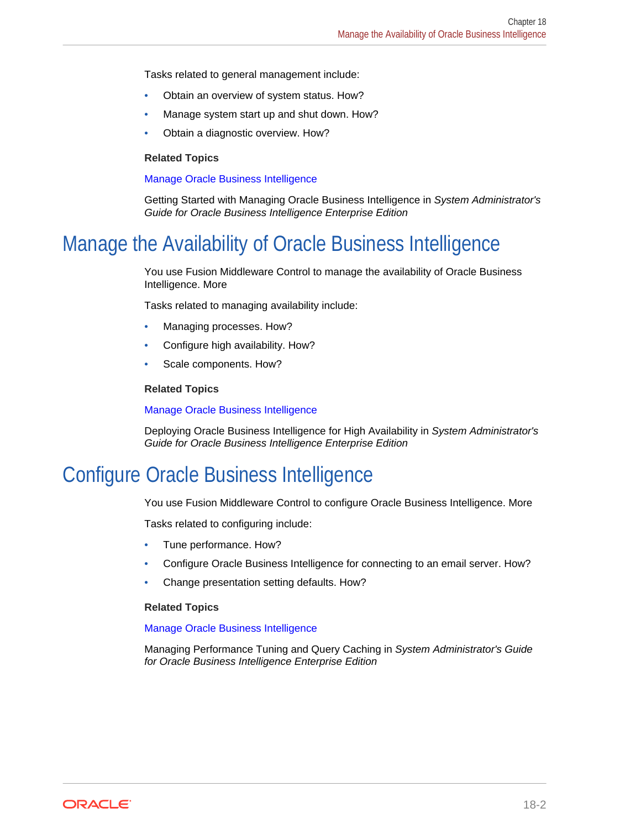<span id="page-87-0"></span>Tasks related to general management include:

- Obtain an overview of system status. How?
- Manage system start up and shut down. How?
- Obtain a diagnostic overview. How?

### **Related Topics**

[Manage Oracle Business Intelligence](#page-86-0)

Getting Started with Managing Oracle Business Intelligence in *System Administrator's Guide for Oracle Business Intelligence Enterprise Edition*

# Manage the Availability of Oracle Business Intelligence

You use Fusion Middleware Control to manage the availability of Oracle Business Intelligence. More

Tasks related to managing availability include:

- Managing processes. How?
- Configure high availability. How?
- Scale components. How?

### **Related Topics**

#### [Manage Oracle Business Intelligence](#page-86-0)

Deploying Oracle Business Intelligence for High Availability in *System Administrator's Guide for Oracle Business Intelligence Enterprise Edition*

### Configure Oracle Business Intelligence

You use Fusion Middleware Control to configure Oracle Business Intelligence. More

Tasks related to configuring include:

- Tune performance. How?
- Configure Oracle Business Intelligence for connecting to an email server. How?
- Change presentation setting defaults. How?

### **Related Topics**

### [Manage Oracle Business Intelligence](#page-86-0)

Managing Performance Tuning and Query Caching in *System Administrator's Guide for Oracle Business Intelligence Enterprise Edition*

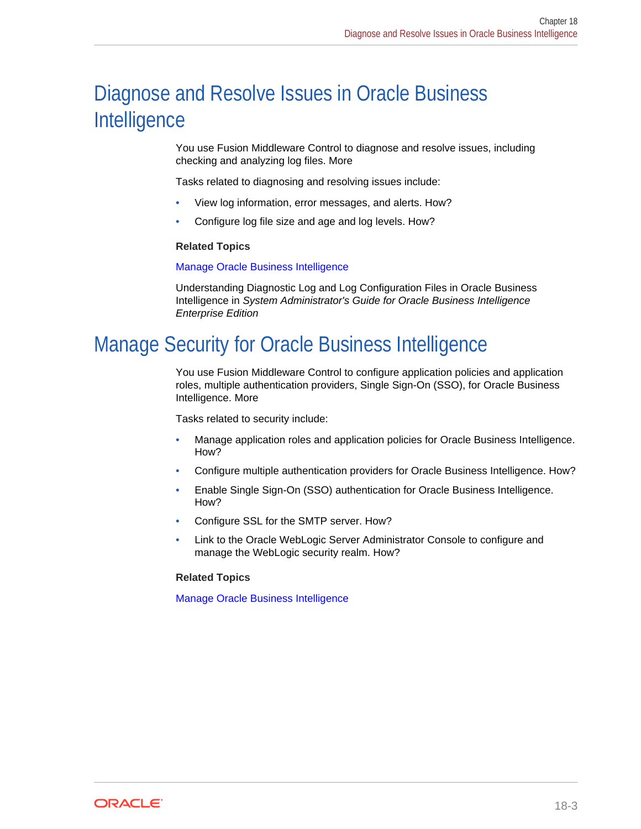# <span id="page-88-0"></span>Diagnose and Resolve Issues in Oracle Business **Intelligence**

You use Fusion Middleware Control to diagnose and resolve issues, including checking and analyzing log files. More

Tasks related to diagnosing and resolving issues include:

- View log information, error messages, and alerts. How?
- Configure log file size and age and log levels. How?

### **Related Topics**

### [Manage Oracle Business Intelligence](#page-86-0)

Understanding Diagnostic Log and Log Configuration Files in Oracle Business Intelligence in *System Administrator's Guide for Oracle Business Intelligence Enterprise Edition*

### Manage Security for Oracle Business Intelligence

You use Fusion Middleware Control to configure application policies and application roles, multiple authentication providers, Single Sign-On (SSO), for Oracle Business Intelligence. More

Tasks related to security include:

- Manage application roles and application policies for Oracle Business Intelligence. How?
- Configure multiple authentication providers for Oracle Business Intelligence. How?
- Enable Single Sign-On (SSO) authentication for Oracle Business Intelligence. How?
- Configure SSL for the SMTP server. How?
- Link to the Oracle WebLogic Server Administrator Console to configure and manage the WebLogic security realm. How?

### **Related Topics**

[Manage Oracle Business Intelligence](#page-86-0)

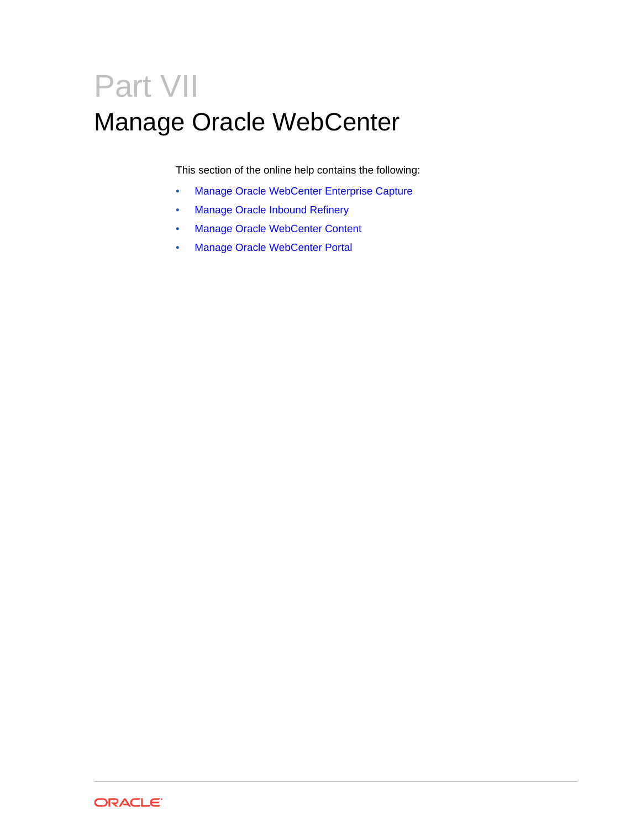# Part VII Manage Oracle WebCenter

This section of the online help contains the following:

- [Manage Oracle WebCenter Enterprise Capture](#page-90-0)
- [Manage Oracle Inbound Refinery](#page-93-0)
- [Manage Oracle WebCenter Content](#page-95-0)
- [Manage Oracle WebCenter Portal](#page-98-0)

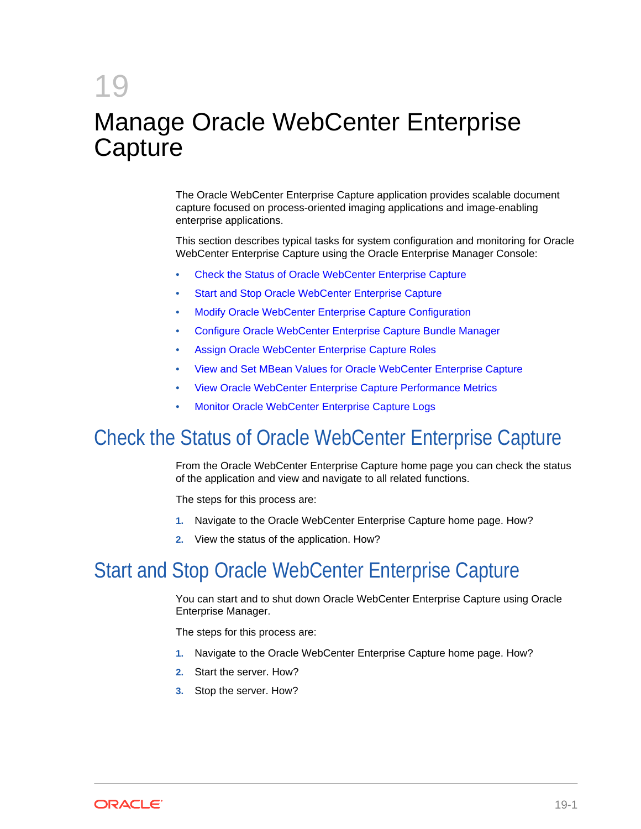# <span id="page-90-0"></span>19 Manage Oracle WebCenter Enterprise **Capture**

The Oracle WebCenter Enterprise Capture application provides scalable document capture focused on process-oriented imaging applications and image-enabling enterprise applications.

This section describes typical tasks for system configuration and monitoring for Oracle WebCenter Enterprise Capture using the Oracle Enterprise Manager Console:

- Check the Status of Oracle WebCenter Enterprise Capture
- Start and Stop Oracle WebCenter Enterprise Capture
- [Modify Oracle WebCenter Enterprise Capture Configuration](#page-91-0)
- [Configure Oracle WebCenter Enterprise Capture Bundle Manager](#page-91-0)
- [Assign Oracle WebCenter Enterprise Capture Roles](#page-91-0)
- [View and Set MBean Values for Oracle WebCenter Enterprise Capture](#page-91-0)
- [View Oracle WebCenter Enterprise Capture Performance Metrics](#page-91-0)
- [Monitor Oracle WebCenter Enterprise Capture Logs](#page-92-0)

## Check the Status of Oracle WebCenter Enterprise Capture

From the Oracle WebCenter Enterprise Capture home page you can check the status of the application and view and navigate to all related functions.

The steps for this process are:

- **1.** Navigate to the Oracle WebCenter Enterprise Capture home page. How?
- **2.** View the status of the application. How?

### Start and Stop Oracle WebCenter Enterprise Capture

You can start and to shut down Oracle WebCenter Enterprise Capture using Oracle Enterprise Manager.

- **1.** Navigate to the Oracle WebCenter Enterprise Capture home page. How?
- **2.** Start the server. How?
- **3.** Stop the server. How?

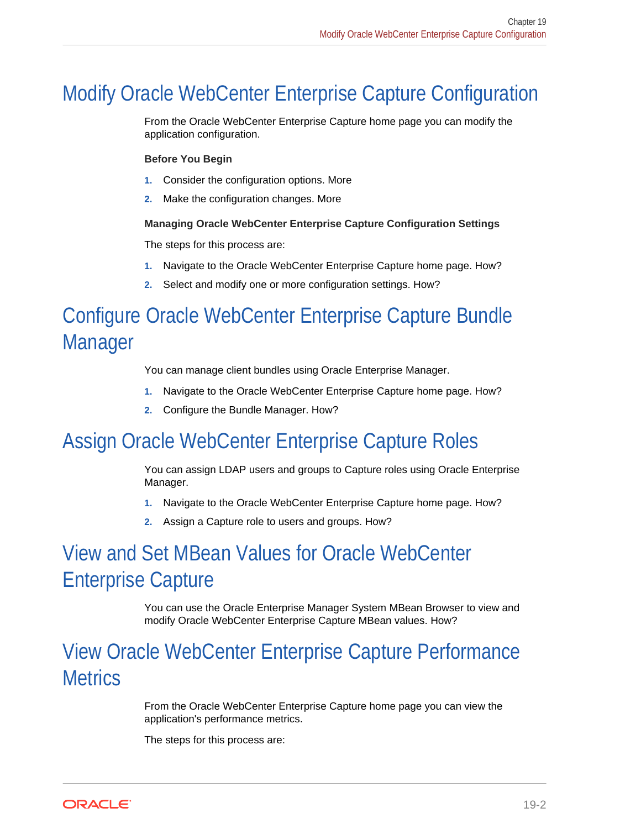# <span id="page-91-0"></span>Modify Oracle WebCenter Enterprise Capture Configuration

From the Oracle WebCenter Enterprise Capture home page you can modify the application configuration.

### **Before You Begin**

- **1.** Consider the configuration options. More
- **2.** Make the configuration changes. More

### **Managing Oracle WebCenter Enterprise Capture Configuration Settings**

The steps for this process are:

- **1.** Navigate to the Oracle WebCenter Enterprise Capture home page. How?
- **2.** Select and modify one or more configuration settings. How?

# Configure Oracle WebCenter Enterprise Capture Bundle Manager

You can manage client bundles using Oracle Enterprise Manager.

- **1.** Navigate to the Oracle WebCenter Enterprise Capture home page. How?
- **2.** Configure the Bundle Manager. How?

### Assign Oracle WebCenter Enterprise Capture Roles

You can assign LDAP users and groups to Capture roles using Oracle Enterprise Manager.

- **1.** Navigate to the Oracle WebCenter Enterprise Capture home page. How?
- **2.** Assign a Capture role to users and groups. How?

# View and Set MBean Values for Oracle WebCenter Enterprise Capture

You can use the Oracle Enterprise Manager System MBean Browser to view and modify Oracle WebCenter Enterprise Capture MBean values. How?

## View Oracle WebCenter Enterprise Capture Performance **Metrics**

From the Oracle WebCenter Enterprise Capture home page you can view the application's performance metrics.

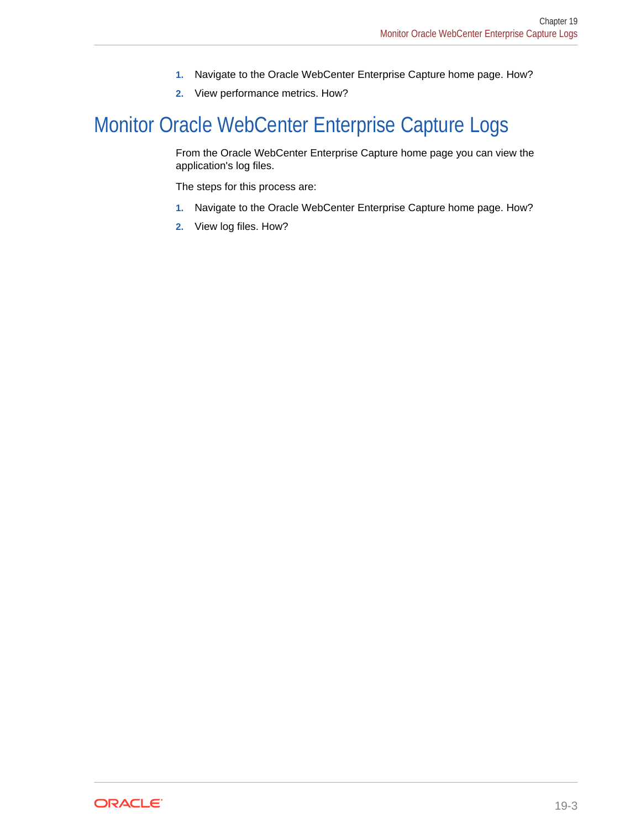- **1.** Navigate to the Oracle WebCenter Enterprise Capture home page. How?
- **2.** View performance metrics. How?

# <span id="page-92-0"></span>Monitor Oracle WebCenter Enterprise Capture Logs

From the Oracle WebCenter Enterprise Capture home page you can view the application's log files.

- **1.** Navigate to the Oracle WebCenter Enterprise Capture home page. How?
- **2.** View log files. How?

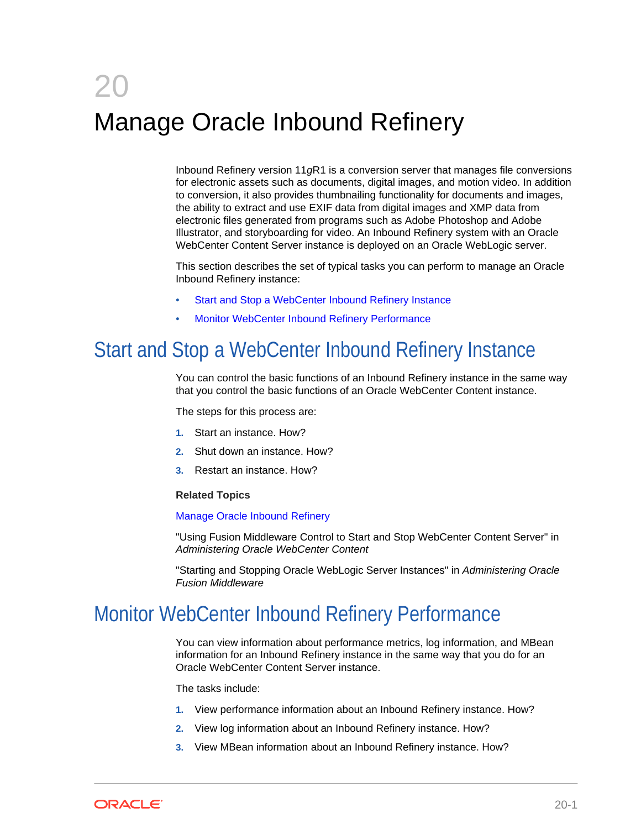# <span id="page-93-0"></span>20 Manage Oracle Inbound Refinery

Inbound Refinery version 11*g*R1 is a conversion server that manages file conversions for electronic assets such as documents, digital images, and motion video. In addition to conversion, it also provides thumbnailing functionality for documents and images, the ability to extract and use EXIF data from digital images and XMP data from electronic files generated from programs such as Adobe Photoshop and Adobe Illustrator, and storyboarding for video. An Inbound Refinery system with an Oracle WebCenter Content Server instance is deployed on an Oracle WebLogic server.

This section describes the set of typical tasks you can perform to manage an Oracle Inbound Refinery instance:

- Start and Stop a WebCenter Inbound Refinery Instance
- Monitor WebCenter Inbound Refinery Performance

### Start and Stop a WebCenter Inbound Refinery Instance

You can control the basic functions of an Inbound Refinery instance in the same way that you control the basic functions of an Oracle WebCenter Content instance.

The steps for this process are:

- **1.** Start an instance. How?
- **2.** Shut down an instance. How?
- **3.** Restart an instance. How?

### **Related Topics**

#### Manage Oracle Inbound Refinery

"Using Fusion Middleware Control to Start and Stop WebCenter Content Server" in *Administering Oracle WebCenter Content*

"Starting and Stopping Oracle WebLogic Server Instances" in *Administering Oracle Fusion Middleware*

### Monitor WebCenter Inbound Refinery Performance

You can view information about performance metrics, log information, and MBean information for an Inbound Refinery instance in the same way that you do for an Oracle WebCenter Content Server instance.

The tasks include:

- **1.** View performance information about an Inbound Refinery instance. How?
- **2.** View log information about an Inbound Refinery instance. How?
- **3.** View MBean information about an Inbound Refinery instance. How?

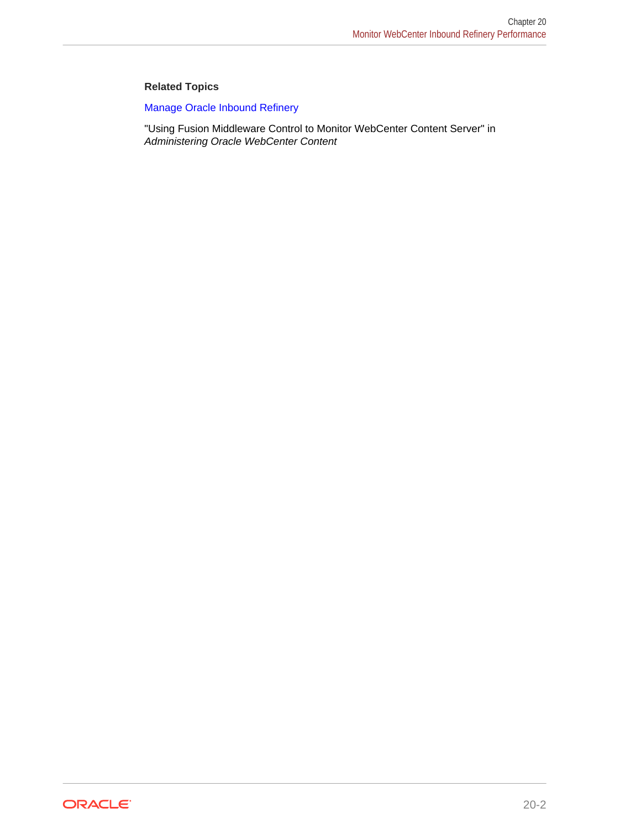### **Related Topics**

### [Manage Oracle Inbound Refinery](#page-93-0)

"Using Fusion Middleware Control to Monitor WebCenter Content Server" in *Administering Oracle WebCenter Content*

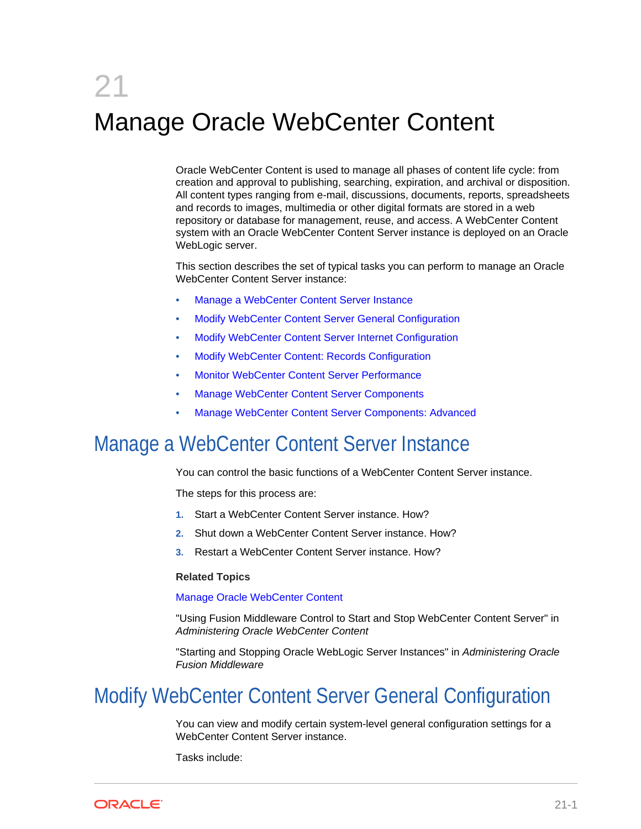# <span id="page-95-0"></span>21 Manage Oracle WebCenter Content

Oracle WebCenter Content is used to manage all phases of content life cycle: from creation and approval to publishing, searching, expiration, and archival or disposition. All content types ranging from e-mail, discussions, documents, reports, spreadsheets and records to images, multimedia or other digital formats are stored in a web repository or database for management, reuse, and access. A WebCenter Content system with an Oracle WebCenter Content Server instance is deployed on an Oracle WebLogic server.

This section describes the set of typical tasks you can perform to manage an Oracle WebCenter Content Server instance:

- Manage a WebCenter Content Server Instance
- Modify WebCenter Content Server General Configuration
- [Modify WebCenter Content Server Internet Configuration](#page-96-0)
- [Modify WebCenter Content: Records Configuration](#page-96-0)
- [Monitor WebCenter Content Server Performance](#page-96-0)
- [Manage WebCenter Content Server Components](#page-97-0)
- [Manage WebCenter Content Server Components: Advanced](#page-97-0)

### Manage a WebCenter Content Server Instance

You can control the basic functions of a WebCenter Content Server instance.

The steps for this process are:

- **1.** Start a WebCenter Content Server instance. How?
- **2.** Shut down a WebCenter Content Server instance. How?
- **3.** Restart a WebCenter Content Server instance. How?

### **Related Topics**

### Manage Oracle WebCenter Content

"Using Fusion Middleware Control to Start and Stop WebCenter Content Server" in *Administering Oracle WebCenter Content*

"Starting and Stopping Oracle WebLogic Server Instances" in *Administering Oracle Fusion Middleware*

### Modify WebCenter Content Server General Configuration

You can view and modify certain system-level general configuration settings for a WebCenter Content Server instance.

Tasks include:

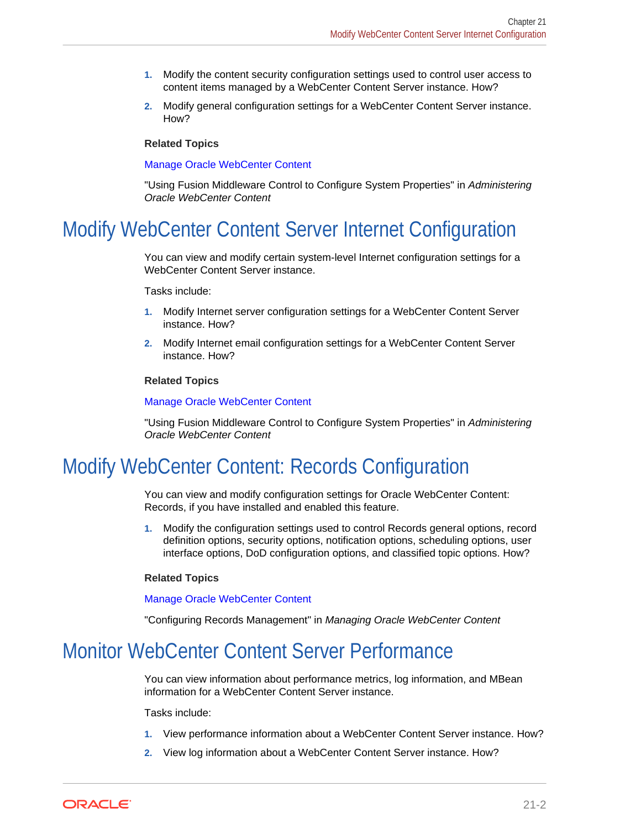- <span id="page-96-0"></span>**1.** Modify the content security configuration settings used to control user access to content items managed by a WebCenter Content Server instance. How?
- **2.** Modify general configuration settings for a WebCenter Content Server instance. How?

### **Related Topics**

### [Manage Oracle WebCenter Content](#page-95-0)

"Using Fusion Middleware Control to Configure System Properties" in *Administering Oracle WebCenter Content*

### Modify WebCenter Content Server Internet Configuration

You can view and modify certain system-level Internet configuration settings for a WebCenter Content Server instance.

Tasks include:

- **1.** Modify Internet server configuration settings for a WebCenter Content Server instance. How?
- **2.** Modify Internet email configuration settings for a WebCenter Content Server instance. How?

### **Related Topics**

### [Manage Oracle WebCenter Content](#page-95-0)

"Using Fusion Middleware Control to Configure System Properties" in *Administering Oracle WebCenter Content*

### Modify WebCenter Content: Records Configuration

You can view and modify configuration settings for Oracle WebCenter Content: Records, if you have installed and enabled this feature.

**1.** Modify the configuration settings used to control Records general options, record definition options, security options, notification options, scheduling options, user interface options, DoD configuration options, and classified topic options. How?

### **Related Topics**

### [Manage Oracle WebCenter Content](#page-95-0)

"Configuring Records Management" in *Managing Oracle WebCenter Content*

### Monitor WebCenter Content Server Performance

You can view information about performance metrics, log information, and MBean information for a WebCenter Content Server instance.

Tasks include:

- **1.** View performance information about a WebCenter Content Server instance. How?
- **2.** View log information about a WebCenter Content Server instance. How?

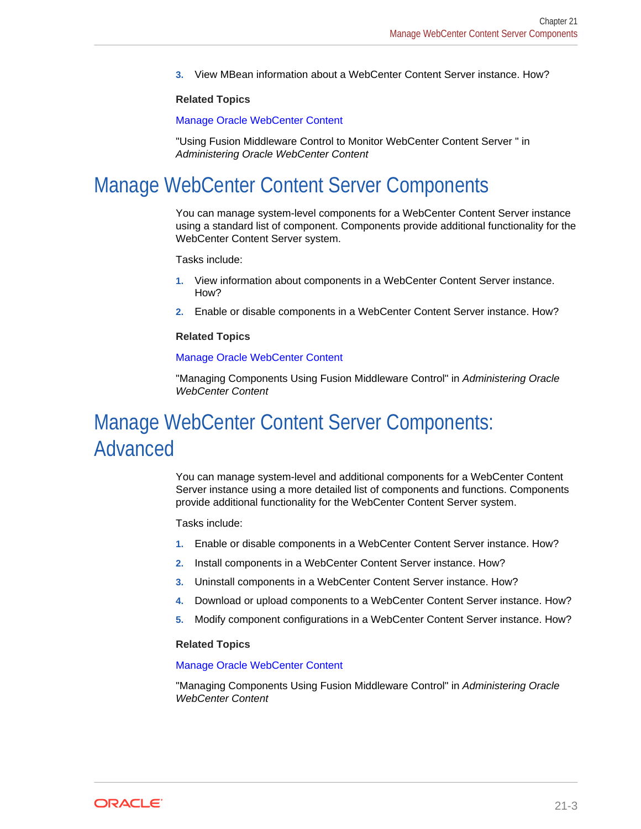<span id="page-97-0"></span>**3.** View MBean information about a WebCenter Content Server instance. How?

### **Related Topics**

[Manage Oracle WebCenter Content](#page-95-0)

"Using Fusion Middleware Control to Monitor WebCenter Content Server " in *Administering Oracle WebCenter Content*

### Manage WebCenter Content Server Components

You can manage system-level components for a WebCenter Content Server instance using a standard list of component. Components provide additional functionality for the WebCenter Content Server system.

Tasks include:

- **1.** View information about components in a WebCenter Content Server instance. How?
- **2.** Enable or disable components in a WebCenter Content Server instance. How?

### **Related Topics**

### [Manage Oracle WebCenter Content](#page-95-0)

"Managing Components Using Fusion Middleware Control" in *Administering Oracle WebCenter Content*

# Manage WebCenter Content Server Components: Advanced

You can manage system-level and additional components for a WebCenter Content Server instance using a more detailed list of components and functions. Components provide additional functionality for the WebCenter Content Server system.

Tasks include:

- **1.** Enable or disable components in a WebCenter Content Server instance. How?
- **2.** Install components in a WebCenter Content Server instance. How?
- **3.** Uninstall components in a WebCenter Content Server instance. How?
- **4.** Download or upload components to a WebCenter Content Server instance. How?
- **5.** Modify component configurations in a WebCenter Content Server instance. How?

### **Related Topics**

[Manage Oracle WebCenter Content](#page-95-0)

"Managing Components Using Fusion Middleware Control" in *Administering Oracle WebCenter Content*

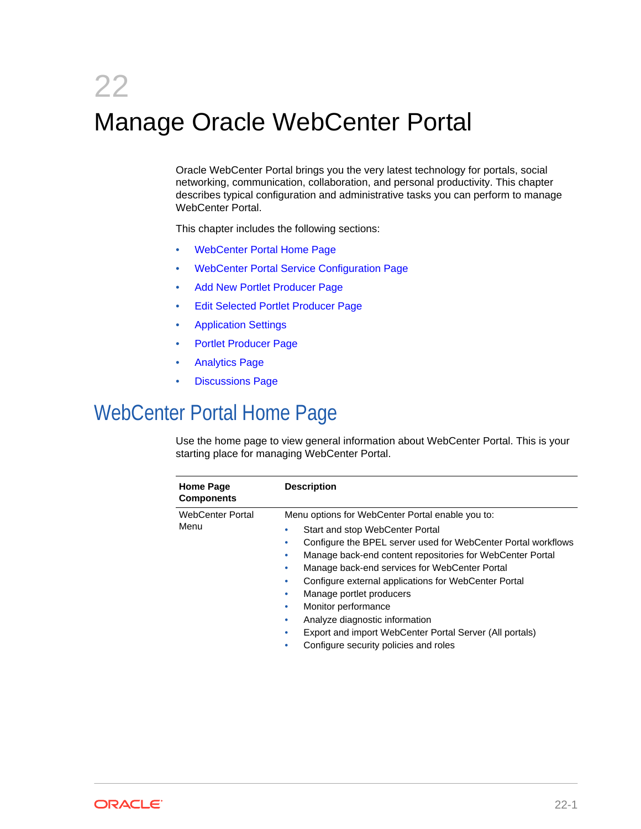# <span id="page-98-0"></span>22 Manage Oracle WebCenter Portal

Oracle WebCenter Portal brings you the very latest technology for portals, social networking, communication, collaboration, and personal productivity. This chapter describes typical configuration and administrative tasks you can perform to manage WebCenter Portal.

This chapter includes the following sections:

- WebCenter Portal Home Page
- [WebCenter Portal Service Configuration Page](#page-99-0)
- [Add New Portlet Producer Page](#page-100-0)
- [Edit Selected Portlet Producer Page](#page-100-0)
- [Application Settings](#page-100-0)
- [Portlet Producer Page](#page-101-0)
- [Analytics Page](#page-101-0)
- **[Discussions Page](#page-101-0)**

# WebCenter Portal Home Page

Use the home page to view general information about WebCenter Portal. This is your starting place for managing WebCenter Portal.

| <b>Home Page</b><br><b>Components</b> | <b>Description</b>                                            |
|---------------------------------------|---------------------------------------------------------------|
| <b>WebCenter Portal</b><br>Menu       | Menu options for WebCenter Portal enable you to:              |
|                                       | Start and stop WebCenter Portal                               |
|                                       | Configure the BPEL server used for WebCenter Portal workflows |
|                                       | Manage back-end content repositories for WebCenter Portal     |
|                                       | Manage back-end services for WebCenter Portal<br>۰            |
|                                       | Configure external applications for WebCenter Portal<br>۰     |
|                                       | Manage portlet producers                                      |
|                                       | Monitor performance                                           |
|                                       | Analyze diagnostic information<br>۰                           |
|                                       | Export and import WebCenter Portal Server (All portals)<br>٠  |
|                                       | Configure security policies and roles                         |

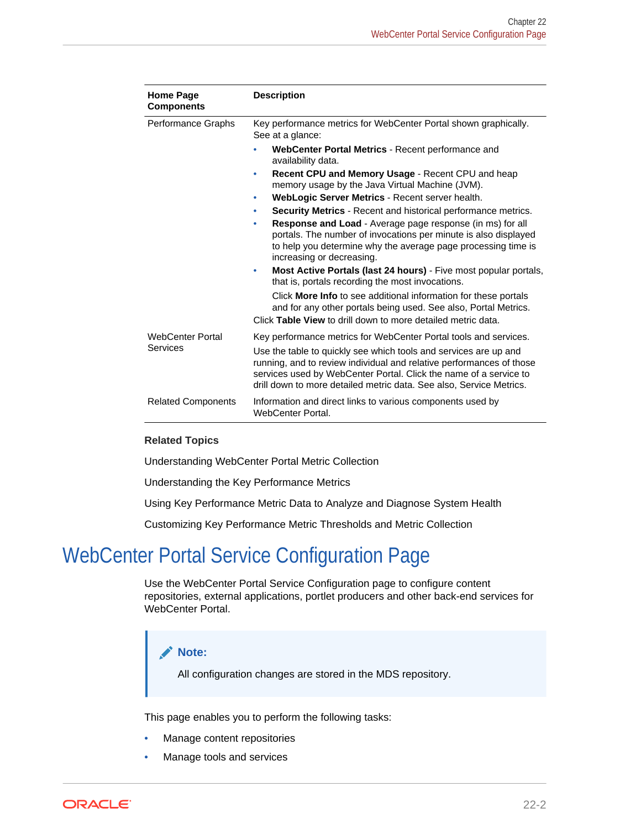<span id="page-99-0"></span>

| <b>Home Page</b><br><b>Components</b> | <b>Description</b>                                                                                                                                                                                                                                                                   |
|---------------------------------------|--------------------------------------------------------------------------------------------------------------------------------------------------------------------------------------------------------------------------------------------------------------------------------------|
| Performance Graphs                    | Key performance metrics for WebCenter Portal shown graphically.<br>See at a glance:                                                                                                                                                                                                  |
|                                       | WebCenter Portal Metrics - Recent performance and<br>$\bullet$<br>availability data.                                                                                                                                                                                                 |
|                                       | Recent CPU and Memory Usage - Recent CPU and heap<br>$\bullet$<br>memory usage by the Java Virtual Machine (JVM).                                                                                                                                                                    |
|                                       | WebLogic Server Metrics - Recent server health.<br>$\bullet$                                                                                                                                                                                                                         |
|                                       | Security Metrics - Recent and historical performance metrics.<br>$\bullet$                                                                                                                                                                                                           |
|                                       | Response and Load - Average page response (in ms) for all<br>$\bullet$<br>portals. The number of invocations per minute is also displayed<br>to help you determine why the average page processing time is<br>increasing or decreasing.                                              |
|                                       | Most Active Portals (last 24 hours) - Five most popular portals,<br>۰<br>that is, portals recording the most invocations.                                                                                                                                                            |
|                                       | Click More Info to see additional information for these portals<br>and for any other portals being used. See also, Portal Metrics.<br>Click Table View to drill down to more detailed metric data.                                                                                   |
| <b>WebCenter Portal</b><br>Services   | Key performance metrics for WebCenter Portal tools and services.                                                                                                                                                                                                                     |
|                                       | Use the table to quickly see which tools and services are up and<br>running, and to review individual and relative performances of those<br>services used by WebCenter Portal. Click the name of a service to<br>drill down to more detailed metric data. See also, Service Metrics. |
| <b>Related Components</b>             | Information and direct links to various components used by<br>WebCenter Portal.                                                                                                                                                                                                      |

### **Related Topics**

Understanding WebCenter Portal Metric Collection

Understanding the Key Performance Metrics

Using Key Performance Metric Data to Analyze and Diagnose System Health

Customizing Key Performance Metric Thresholds and Metric Collection

## WebCenter Portal Service Configuration Page

Use the WebCenter Portal Service Configuration page to configure content repositories, external applications, portlet producers and other back-end services for WebCenter Portal.

**Note:**

All configuration changes are stored in the MDS repository.

This page enables you to perform the following tasks:

- Manage content repositories
- Manage tools and services

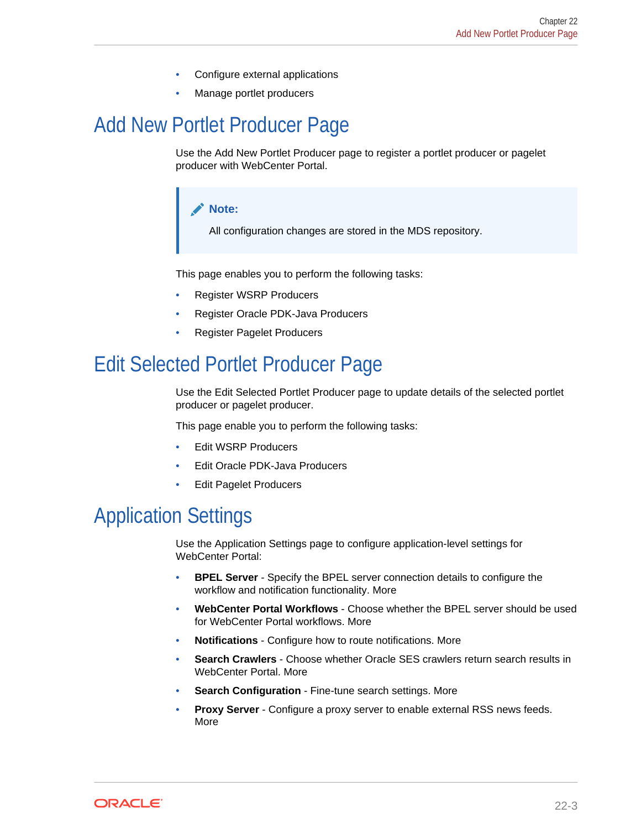- Configure external applications
- Manage portlet producers

# <span id="page-100-0"></span>Add New Portlet Producer Page

Use the Add New Portlet Producer page to register a portlet producer or pagelet producer with WebCenter Portal.

### **Note:**

All configuration changes are stored in the MDS repository.

This page enables you to perform the following tasks:

- Register WSRP Producers
- Register Oracle PDK-Java Producers
- Register Pagelet Producers

## Edit Selected Portlet Producer Page

Use the Edit Selected Portlet Producer page to update details of the selected portlet producer or pagelet producer.

This page enable you to perform the following tasks:

- Edit WSRP Producers
- Edit Oracle PDK-Java Producers
- **Edit Pagelet Producers**

## Application Settings

Use the Application Settings page to configure application-level settings for WebCenter Portal:

- **BPEL Server**  Specify the BPEL server connection details to configure the workflow and notification functionality. More
- **WebCenter Portal Workflows** Choose whether the BPEL server should be used for WebCenter Portal workflows. More
- **Notifications** Configure how to route notifications. More
- **Search Crawlers** Choose whether Oracle SES crawlers return search results in WebCenter Portal. More
- **Search Configuration** Fine-tune search settings. More
- **Proxy Server** Configure a proxy server to enable external RSS news feeds. More

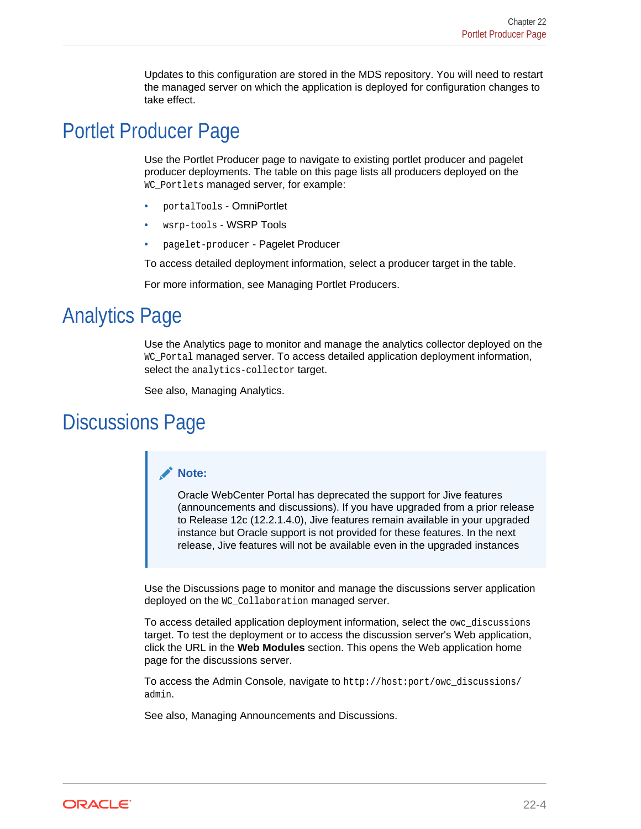Updates to this configuration are stored in the MDS repository. You will need to restart the managed server on which the application is deployed for configuration changes to take effect.

### <span id="page-101-0"></span>Portlet Producer Page

Use the Portlet Producer page to navigate to existing portlet producer and pagelet producer deployments. The table on this page lists all producers deployed on the WC\_Portlets managed server, for example:

- portalTools OmniPortlet
- wsrp-tools WSRP Tools
- pagelet-producer Pagelet Producer

To access detailed deployment information, select a producer target in the table.

For more information, see Managing Portlet Producers.

## Analytics Page

Use the Analytics page to monitor and manage the analytics collector deployed on the WC\_Portal managed server. To access detailed application deployment information, select the analytics-collector target.

See also, Managing Analytics.

## Discussions Page

### **Note:**

Oracle WebCenter Portal has deprecated the support for Jive features (announcements and discussions). If you have upgraded from a prior release to Release 12c (12.2.1.4.0), Jive features remain available in your upgraded instance but Oracle support is not provided for these features. In the next release, Jive features will not be available even in the upgraded instances

Use the Discussions page to monitor and manage the discussions server application deployed on the WC Collaboration managed server.

To access detailed application deployment information, select the owc\_discussions target. To test the deployment or to access the discussion server's Web application, click the URL in the **Web Modules** section. This opens the Web application home page for the discussions server.

To access the Admin Console, navigate to http://host:port/owc\_discussions/ admin.

See also, Managing Announcements and Discussions.

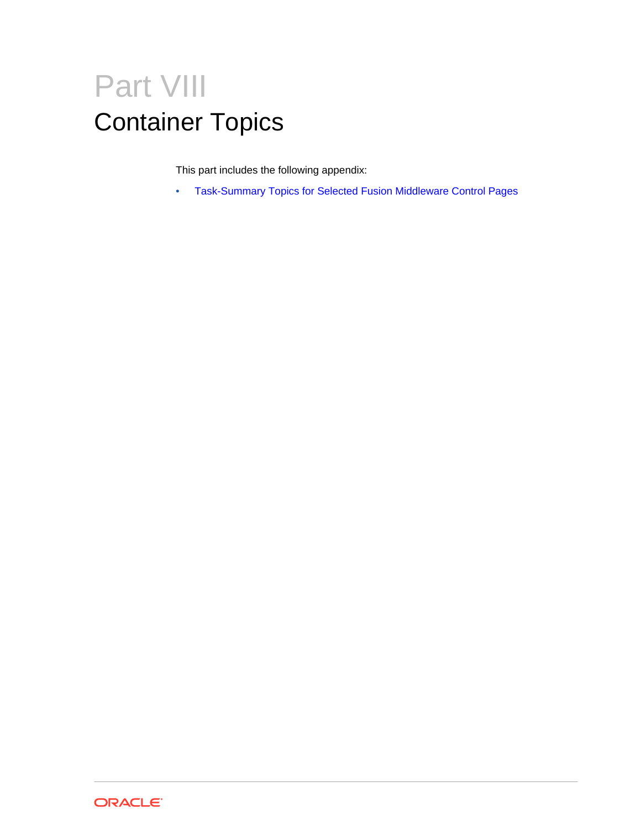# Part VIII Container Topics

This part includes the following appendix:

• [Task-Summary Topics for Selected Fusion Middleware Control Pages](#page-103-0)

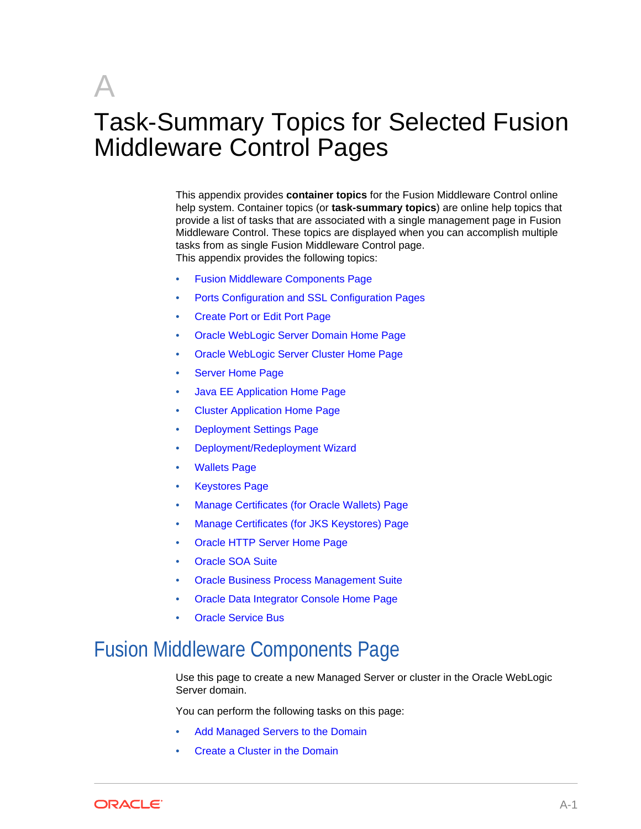# <span id="page-103-0"></span>A

# Task-Summary Topics for Selected Fusion Middleware Control Pages

This appendix provides **container topics** for the Fusion Middleware Control online help system. Container topics (or **task-summary topics**) are online help topics that provide a list of tasks that are associated with a single management page in Fusion Middleware Control. These topics are displayed when you can accomplish multiple tasks from as single Fusion Middleware Control page. This appendix provides the following topics:

- Fusion Middleware Components Page
- [Ports Configuration and SSL Configuration Pages](#page-104-0)
- [Create Port or Edit Port Page](#page-104-0)
- [Oracle WebLogic Server Domain Home Page](#page-104-0)
- [Oracle WebLogic Server Cluster Home Page](#page-104-0)
- **[Server Home Page](#page-105-0)**
- [Java EE Application Home Page](#page-105-0)
- [Cluster Application Home Page](#page-106-0)
- [Deployment Settings Page](#page-106-0)
- [Deployment/Redeployment Wizard](#page-106-0)
- **[Wallets Page](#page-106-0)**
- [Keystores Page](#page-107-0)
- [Manage Certificates \(for Oracle Wallets\) Page](#page-107-0)
- [Manage Certificates \(for JKS Keystores\) Page](#page-107-0)
- [Oracle HTTP Server Home Page](#page-108-0)
- [Oracle SOA Suite](#page-108-0)
- [Oracle Business Process Management Suite](#page-113-0)
- [Oracle Data Integrator Console Home Page](#page-113-0)
- [Oracle Service Bus](#page-114-0)

# Fusion Middleware Components Page

Use this page to create a new Managed Server or cluster in the Oracle WebLogic Server domain.

You can perform the following tasks on this page:

- [Add Managed Servers to the Domain](#page-15-0)
- [Create a Cluster in the Domain](#page-16-0)

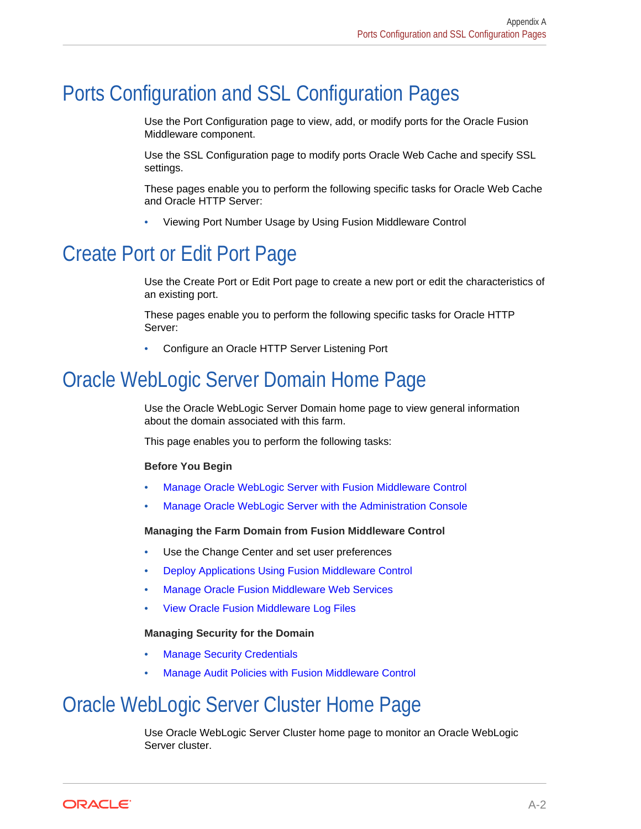# <span id="page-104-0"></span>Ports Configuration and SSL Configuration Pages

Use the Port Configuration page to view, add, or modify ports for the Oracle Fusion Middleware component.

Use the SSL Configuration page to modify ports Oracle Web Cache and specify SSL settings.

These pages enable you to perform the following specific tasks for Oracle Web Cache and Oracle HTTP Server:

• Viewing Port Number Usage by Using Fusion Middleware Control

### Create Port or Edit Port Page

Use the Create Port or Edit Port page to create a new port or edit the characteristics of an existing port.

These pages enable you to perform the following specific tasks for Oracle HTTP Server:

• Configure an Oracle HTTP Server Listening Port

## Oracle WebLogic Server Domain Home Page

Use the Oracle WebLogic Server Domain home page to view general information about the domain associated with this farm.

This page enables you to perform the following tasks:

### **Before You Begin**

- [Manage Oracle WebLogic Server with Fusion Middleware Control](#page-21-0)
- [Manage Oracle WebLogic Server with the Administration Console](#page-22-0)

### **Managing the Farm Domain from Fusion Middleware Control**

- Use the Change Center and set user preferences
- [Deploy Applications Using Fusion Middleware Control](#page-23-0)
- [Manage Oracle Fusion Middleware Web Services](#page-34-0)
- [View Oracle Fusion Middleware Log Files](#page-15-0)

### **Managing Security for the Domain**

- **[Manage Security Credentials](#page-31-0)**
- [Manage Audit Policies with Fusion Middleware Control](#page-29-0)

## Oracle WebLogic Server Cluster Home Page

Use Oracle WebLogic Server Cluster home page to monitor an Oracle WebLogic Server cluster.

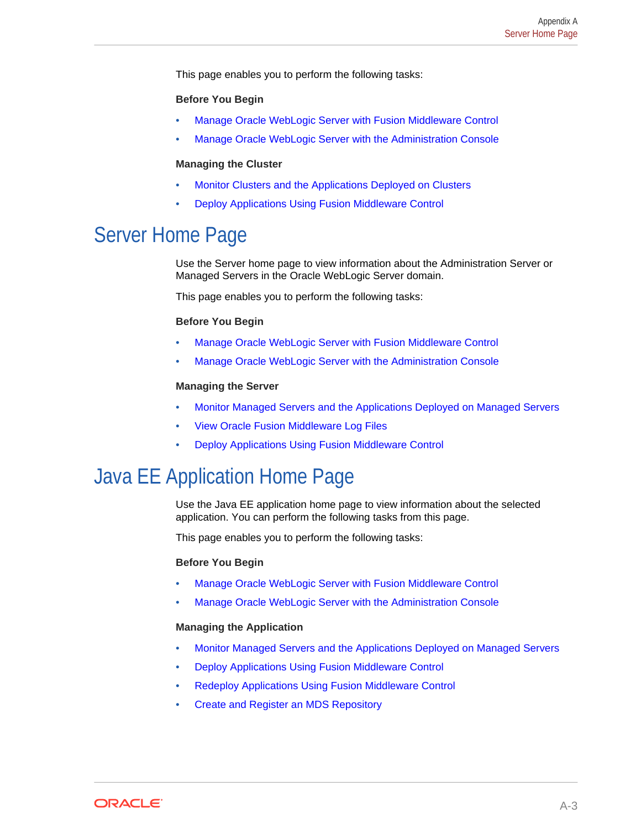<span id="page-105-0"></span>This page enables you to perform the following tasks:

### **Before You Begin**

- [Manage Oracle WebLogic Server with Fusion Middleware Control](#page-21-0)
- [Manage Oracle WebLogic Server with the Administration Console](#page-22-0)

### **Managing the Cluster**

- [Monitor Clusters and the Applications Deployed on Clusters](#page-26-0)
- [Deploy Applications Using Fusion Middleware Control](#page-23-0)

### Server Home Page

Use the Server home page to view information about the Administration Server or Managed Servers in the Oracle WebLogic Server domain.

This page enables you to perform the following tasks:

### **Before You Begin**

- [Manage Oracle WebLogic Server with Fusion Middleware Control](#page-21-0)
- [Manage Oracle WebLogic Server with the Administration Console](#page-22-0)

### **Managing the Server**

- [Monitor Managed Servers and the Applications Deployed on Managed Servers](#page-25-0)
- [View Oracle Fusion Middleware Log Files](#page-15-0)
- [Deploy Applications Using Fusion Middleware Control](#page-23-0)

# Java EE Application Home Page

Use the Java EE application home page to view information about the selected application. You can perform the following tasks from this page.

This page enables you to perform the following tasks:

### **Before You Begin**

- [Manage Oracle WebLogic Server with Fusion Middleware Control](#page-21-0)
- [Manage Oracle WebLogic Server with the Administration Console](#page-22-0)

### **Managing the Application**

- [Monitor Managed Servers and the Applications Deployed on Managed Servers](#page-25-0)
- [Deploy Applications Using Fusion Middleware Control](#page-23-0)
- [Redeploy Applications Using Fusion Middleware Control](#page-24-0)
- [Create and Register an MDS Repository](#page-18-0)

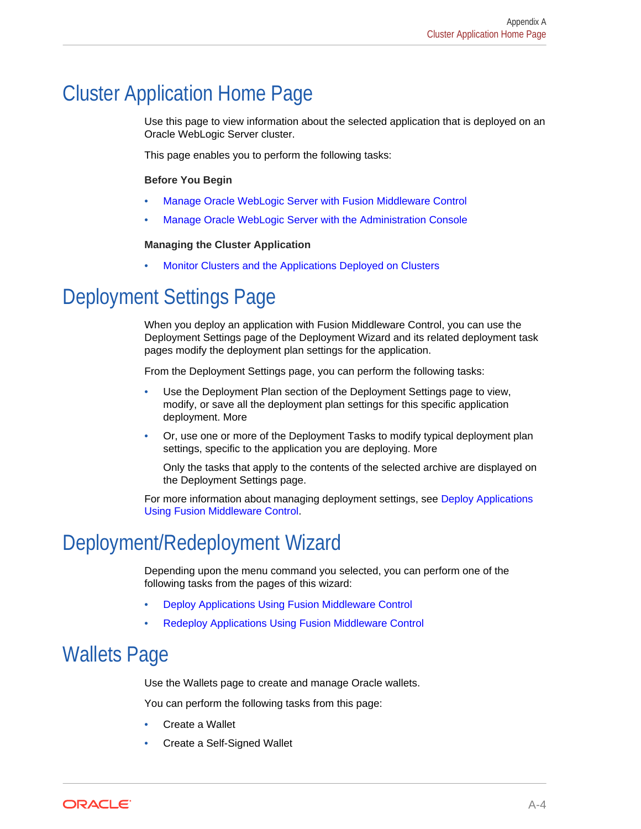## <span id="page-106-0"></span>Cluster Application Home Page

Use this page to view information about the selected application that is deployed on an Oracle WebLogic Server cluster.

This page enables you to perform the following tasks:

### **Before You Begin**

- [Manage Oracle WebLogic Server with Fusion Middleware Control](#page-21-0)
- [Manage Oracle WebLogic Server with the Administration Console](#page-22-0)

### **Managing the Cluster Application**

• [Monitor Clusters and the Applications Deployed on Clusters](#page-26-0)

### Deployment Settings Page

When you deploy an application with Fusion Middleware Control, you can use the Deployment Settings page of the Deployment Wizard and its related deployment task pages modify the deployment plan settings for the application.

From the Deployment Settings page, you can perform the following tasks:

- Use the Deployment Plan section of the Deployment Settings page to view, modify, or save all the deployment plan settings for this specific application deployment. More
- Or, use one or more of the Deployment Tasks to modify typical deployment plan settings, specific to the application you are deploying. More

Only the tasks that apply to the contents of the selected archive are displayed on the Deployment Settings page.

For more information about managing deployment settings, see [Deploy Applications](#page-23-0) [Using Fusion Middleware Control](#page-23-0).

### Deployment/Redeployment Wizard

Depending upon the menu command you selected, you can perform one of the following tasks from the pages of this wizard:

- [Deploy Applications Using Fusion Middleware Control](#page-23-0)
- [Redeploy Applications Using Fusion Middleware Control](#page-24-0)

## Wallets Page

Use the Wallets page to create and manage Oracle wallets.

You can perform the following tasks from this page:

- Create a Wallet
- Create a Self-Signed Wallet

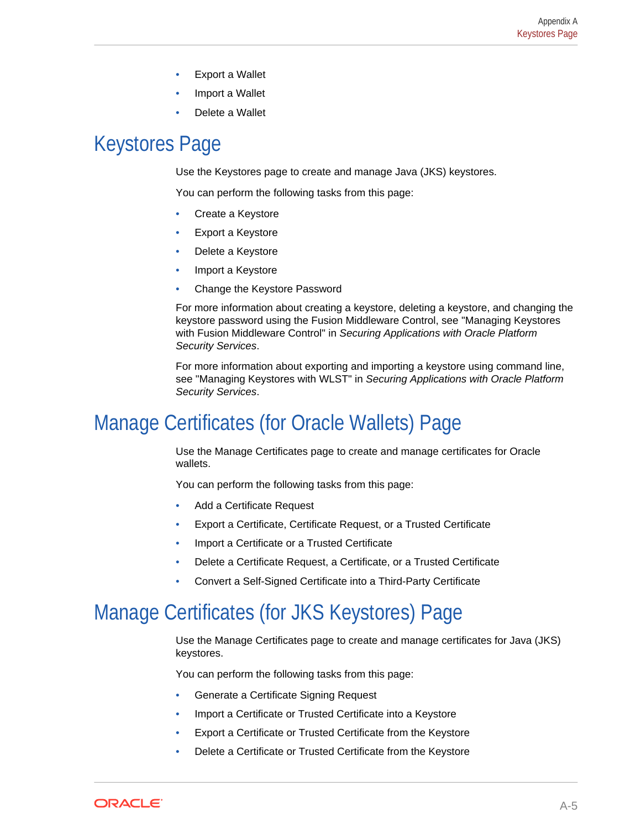- **Export a Wallet**
- Import a Wallet
- Delete a Wallet

# <span id="page-107-0"></span>Keystores Page

Use the Keystores page to create and manage Java (JKS) keystores.

You can perform the following tasks from this page:

- Create a Keystore
- Export a Keystore
- Delete a Keystore
- Import a Keystore
- Change the Keystore Password

For more information about creating a keystore, deleting a keystore, and changing the keystore password using the Fusion Middleware Control, see "Managing Keystores with Fusion Middleware Control" in *Securing Applications with Oracle Platform Security Services*.

For more information about exporting and importing a keystore using command line, see "Managing Keystores with WLST" in *Securing Applications with Oracle Platform Security Services*.

# Manage Certificates (for Oracle Wallets) Page

Use the Manage Certificates page to create and manage certificates for Oracle wallets.

You can perform the following tasks from this page:

- Add a Certificate Request
- Export a Certificate, Certificate Request, or a Trusted Certificate
- Import a Certificate or a Trusted Certificate
- Delete a Certificate Request, a Certificate, or a Trusted Certificate
- Convert a Self-Signed Certificate into a Third-Party Certificate

# Manage Certificates (for JKS Keystores) Page

Use the Manage Certificates page to create and manage certificates for Java (JKS) keystores.

You can perform the following tasks from this page:

- Generate a Certificate Signing Request
- Import a Certificate or Trusted Certificate into a Keystore
- Export a Certificate or Trusted Certificate from the Keystore
- Delete a Certificate or Trusted Certificate from the Keystore

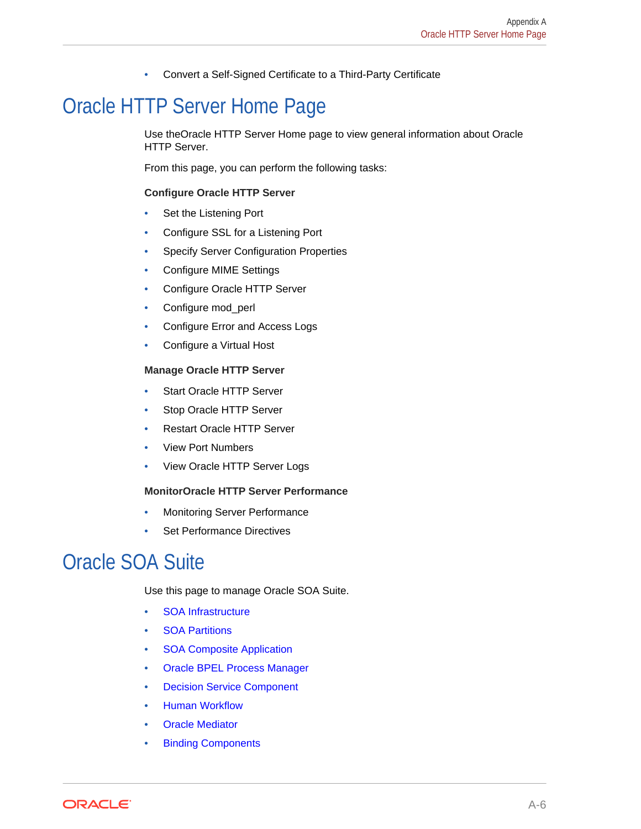• Convert a Self-Signed Certificate to a Third-Party Certificate

# Oracle HTTP Server Home Page

Use theOracle HTTP Server Home page to view general information about Oracle HTTP Server.

From this page, you can perform the following tasks:

#### **Configure Oracle HTTP Server**

- Set the Listening Port
- Configure SSL for a Listening Port
- Specify Server Configuration Properties
- Configure MIME Settings
- Configure Oracle HTTP Server
- Configure mod\_perl
- Configure Error and Access Logs
- Configure a Virtual Host

#### **Manage Oracle HTTP Server**

- Start Oracle HTTP Server
- Stop Oracle HTTP Server
- Restart Oracle HTTP Server
- View Port Numbers
- View Oracle HTTP Server Logs

#### **MonitorOracle HTTP Server Performance**

- Monitoring Server Performance
- **Set Performance Directives**

# Oracle SOA Suite

Use this page to manage Oracle SOA Suite.

- [SOA Infrastructure](#page-109-0)
- **[SOA Partitions](#page-109-0)**
- [SOA Composite Application](#page-109-0)
- [Oracle BPEL Process Manager](#page-110-0)
- **[Decision Service Component](#page-110-0)**
- [Human Workflow](#page-111-0)
- **[Oracle Mediator](#page-111-0)**
- **[Binding Components](#page-112-0)**

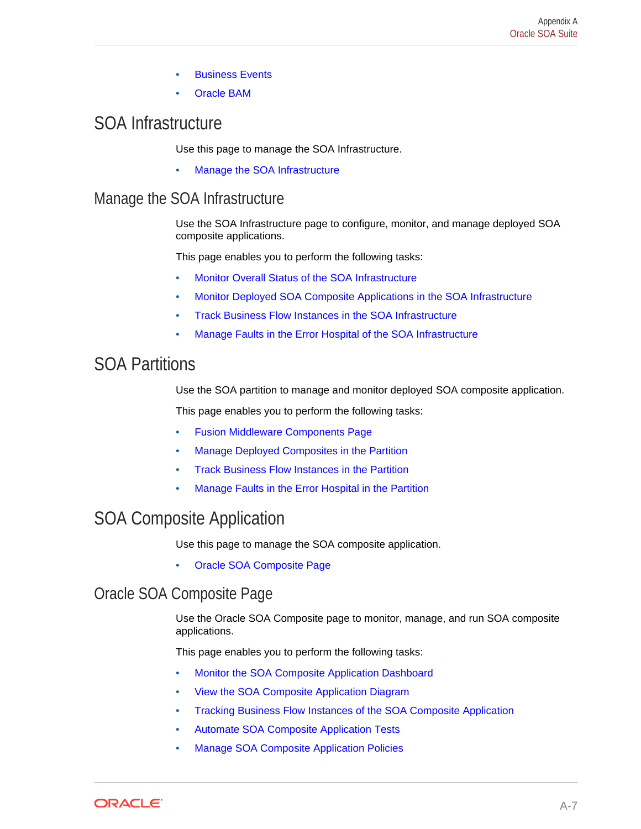- **[Business Events](#page-112-0)**
- **[Oracle BAM](#page-112-0)**

#### <span id="page-109-0"></span>SOA Infrastructure

Use this page to manage the SOA Infrastructure.

• Manage the SOA Infrastructure

### Manage the SOA Infrastructure

Use the SOA Infrastructure page to configure, monitor, and manage deployed SOA composite applications.

This page enables you to perform the following tasks:

- [Monitor Overall Status of the SOA Infrastructure](#page-51-0)
- [Monitor Deployed SOA Composite Applications in the SOA Infrastructure](#page-53-0)
- [Track Business Flow Instances in the SOA Infrastructure](#page-53-0)
- [Manage Faults in the Error Hospital of the SOA Infrastructure](#page-53-0)

#### SOA Partitions

Use the SOA partition to manage and monitor deployed SOA composite application.

This page enables you to perform the following tasks:

- [Fusion Middleware Components Page](#page-103-0)
- [Manage Deployed Composites in the Partition](#page-53-0)
- [Track Business Flow Instances in the Partition](#page-54-0)
- [Manage Faults in the Error Hospital in the Partition](#page-54-0)

## SOA Composite Application

Use this page to manage the SOA composite application.

• Oracle SOA Composite Page

#### Oracle SOA Composite Page

Use the Oracle SOA Composite page to monitor, manage, and run SOA composite applications.

This page enables you to perform the following tasks:

- [Monitor the SOA Composite Application Dashboard](#page-55-0)
- [View the SOA Composite Application Diagram](#page-55-0)
- [Tracking Business Flow Instances of the SOA Composite Application](#page-55-0)
- [Automate SOA Composite Application Tests](#page-56-0)
- [Manage SOA Composite Application Policies](#page-56-0)

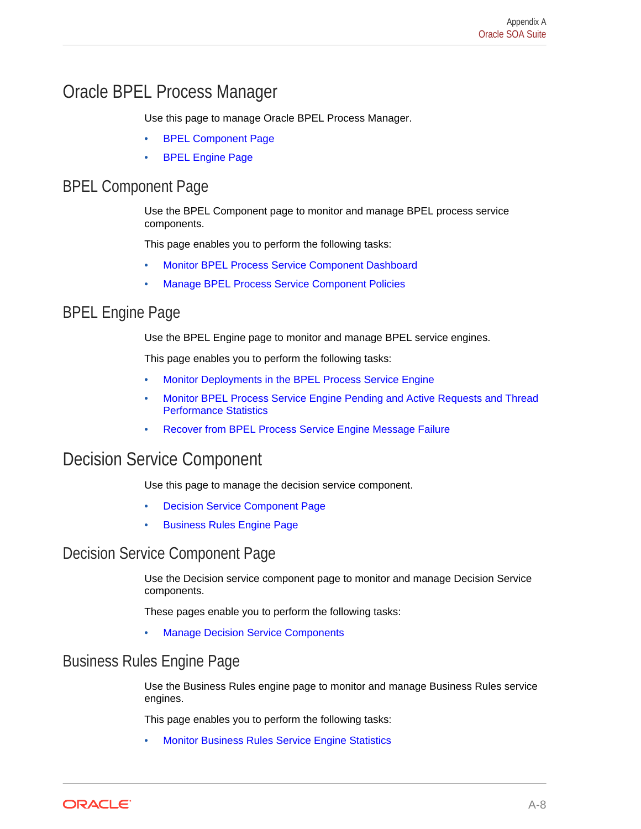## <span id="page-110-0"></span>Oracle BPEL Process Manager

Use this page to manage Oracle BPEL Process Manager.

- BPEL Component Page
- BPEL Engine Page

#### BPEL Component Page

Use the BPEL Component page to monitor and manage BPEL process service components.

This page enables you to perform the following tasks:

- [Monitor BPEL Process Service Component Dashboard](#page-59-0)
- [Manage BPEL Process Service Component Policies](#page-59-0)

#### BPEL Engine Page

Use the BPEL Engine page to monitor and manage BPEL service engines.

This page enables you to perform the following tasks:

- [Monitor Deployments in the BPEL Process Service Engine](#page-58-0)
- [Monitor BPEL Process Service Engine Pending and Active Requests and Thread](#page-59-0) [Performance Statistics](#page-59-0)
- [Recover from BPEL Process Service Engine Message Failure](#page-59-0)

#### Decision Service Component

Use this page to manage the decision service component.

- **Decision Service Component Page**
- Business Rules Engine Page

#### Decision Service Component Page

Use the Decision service component page to monitor and manage Decision Service components.

These pages enable you to perform the following tasks:

**[Manage Decision Service Components](#page-64-0)** 

#### Business Rules Engine Page

Use the Business Rules engine page to monitor and manage Business Rules service engines.

This page enables you to perform the following tasks:

**[Monitor Business Rules Service Engine Statistics](#page-64-0)** 

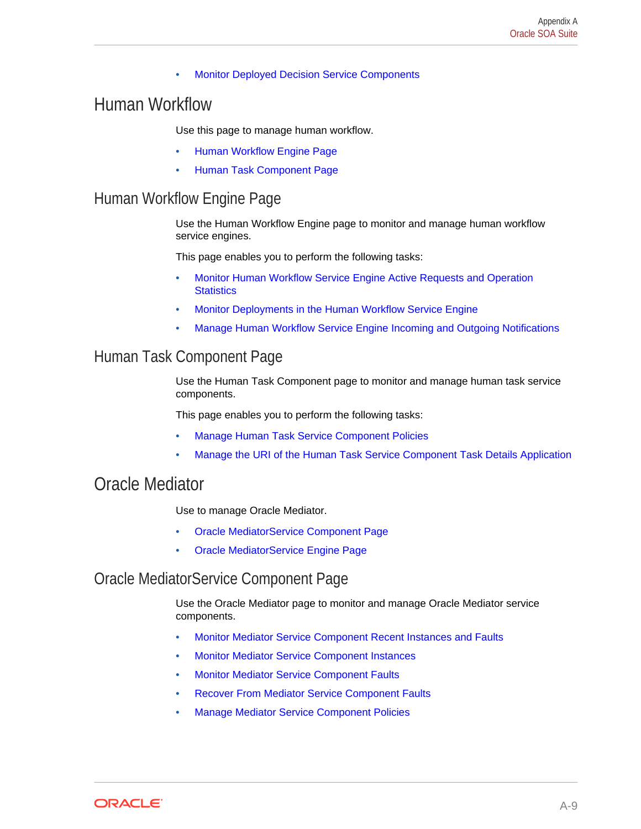• [Monitor Deployed Decision Service Components](#page-64-0)

### <span id="page-111-0"></span>Human Workflow

Use this page to manage human workflow.

- Human Workflow Engine Page
- Human Task Component Page

### Human Workflow Engine Page

Use the Human Workflow Engine page to monitor and manage human workflow service engines.

This page enables you to perform the following tasks:

- [Monitor Human Workflow Service Engine Active Requests and Operation](#page-66-0) **[Statistics](#page-66-0)**
- [Monitor Deployments in the Human Workflow Service Engine](#page-66-0)
- [Manage Human Workflow Service Engine Incoming and Outgoing Notifications](#page-66-0)

#### Human Task Component Page

Use the Human Task Component page to monitor and manage human task service components.

This page enables you to perform the following tasks:

- [Manage Human Task Service Component Policies](#page-67-0)
- [Manage the URI of the Human Task Service Component Task Details Application](#page-67-0)

#### Oracle Mediator

Use to manage Oracle Mediator.

- Oracle MediatorService Component Page
- [Oracle MediatorService Engine Page](#page-112-0)

### Oracle MediatorService Component Page

Use the Oracle Mediator page to monitor and manage Oracle Mediator service components.

- [Monitor Mediator Service Component Recent Instances and Faults](#page-60-0)
- [Monitor Mediator Service Component Instances](#page-61-0)
- [Monitor Mediator Service Component Faults](#page-61-0)
- [Recover From Mediator Service Component Faults](#page-61-0)
- [Manage Mediator Service Component Policies](#page-61-0)

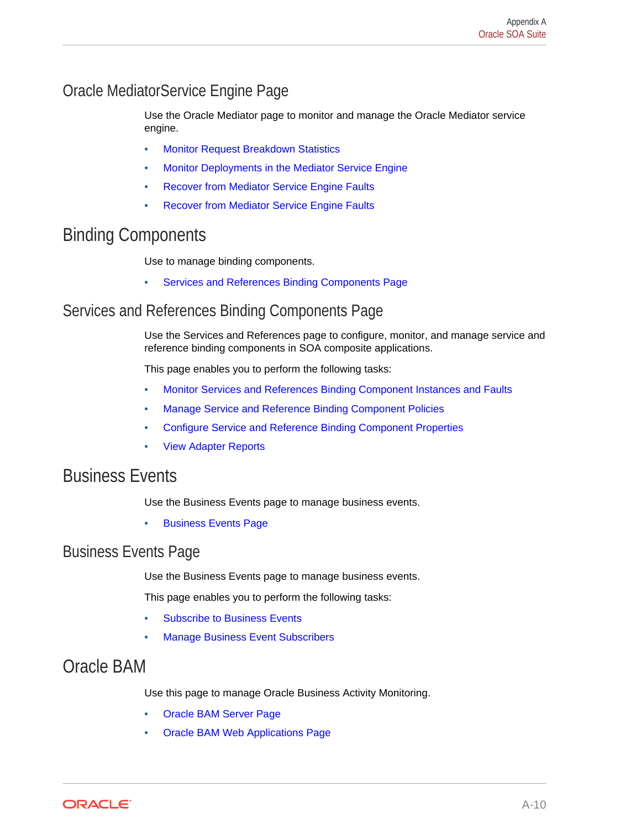#### <span id="page-112-0"></span>Oracle MediatorService Engine Page

Use the Oracle Mediator page to monitor and manage the Oracle Mediator service engine.

- **[Monitor Request Breakdown Statistics](#page-62-0)**
- [Monitor Deployments in the Mediator Service Engine](#page-63-0)
- [Recover from Mediator Service Engine Faults](#page-63-0)
- [Recover from Mediator Service Engine Faults](#page-63-0)

#### Binding Components

Use to manage binding components.

Services and References Binding Components Page

#### Services and References Binding Components Page

Use the Services and References page to configure, monitor, and manage service and reference binding components in SOA composite applications.

This page enables you to perform the following tasks:

- [Monitor Services and References Binding Component Instances and Faults](#page-68-0)
- [Manage Service and Reference Binding Component Policies](#page-68-0)
- [Configure Service and Reference Binding Component Properties](#page-69-0)
- [View Adapter Reports](#page-69-0)

## Business Events

Use the Business Events page to manage business events.

• Business Events Page

#### Business Events Page

Use the Business Events page to manage business events.

This page enables you to perform the following tasks:

- **[Subscribe to Business Events](#page-72-0)**
- [Manage Business Event Subscribers](#page-72-0)

## Oracle BAM

Use this page to manage Oracle Business Activity Monitoring.

- [Oracle BAM Server Page](#page-113-0)
- [Oracle BAM Web Applications Page](#page-113-0)

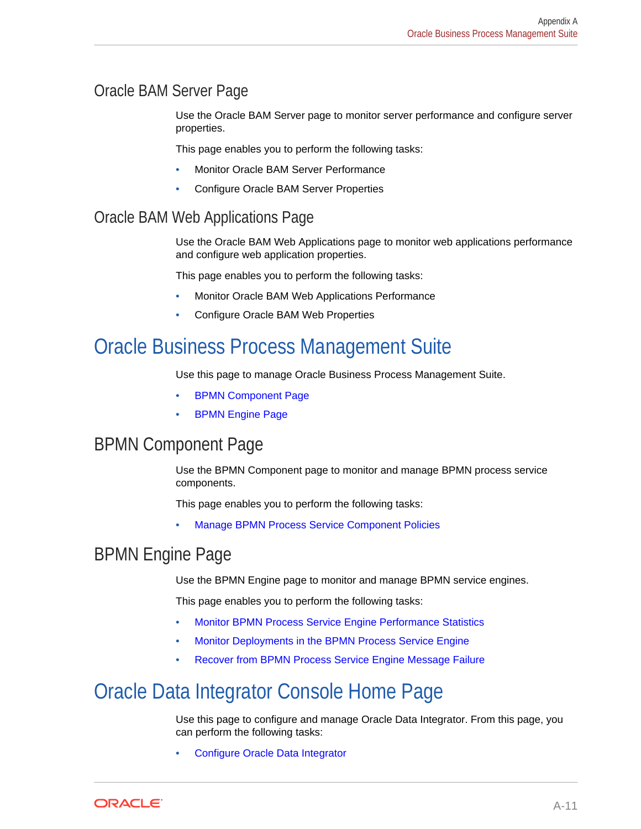#### <span id="page-113-0"></span>Oracle BAM Server Page

Use the Oracle BAM Server page to monitor server performance and configure server properties.

This page enables you to perform the following tasks:

- Monitor Oracle BAM Server Performance
- Configure Oracle BAM Server Properties

#### Oracle BAM Web Applications Page

Use the Oracle BAM Web Applications page to monitor web applications performance and configure web application properties.

This page enables you to perform the following tasks:

- Monitor Oracle BAM Web Applications Performance
- Configure Oracle BAM Web Properties

# Oracle Business Process Management Suite

Use this page to manage Oracle Business Process Management Suite.

- BPMN Component Page
- **BPMN Engine Page**

## BPMN Component Page

Use the BPMN Component page to monitor and manage BPMN process service components.

This page enables you to perform the following tasks:

• [Manage BPMN Process Service Component Policies](#page-80-0)

## BPMN Engine Page

Use the BPMN Engine page to monitor and manage BPMN service engines.

This page enables you to perform the following tasks:

- [Monitor BPMN Process Service Engine Performance Statistics](#page-79-0)
- [Monitor Deployments in the BPMN Process Service Engine](#page-79-0)
- [Recover from BPMN Process Service Engine Message Failure](#page-80-0)

# Oracle Data Integrator Console Home Page

Use this page to configure and manage Oracle Data Integrator. From this page, you can perform the following tasks:

• [Configure Oracle Data Integrator](#page-82-0)

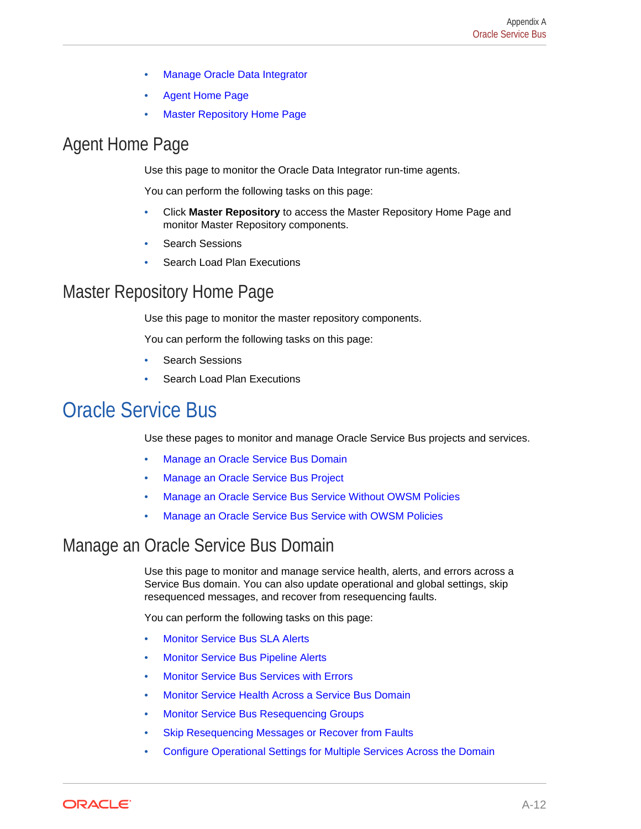- [Manage Oracle Data Integrator](#page-82-0)
- Agent Home Page
- Master Repository Home Page

## Agent Home Page

Use this page to monitor the Oracle Data Integrator run-time agents.

You can perform the following tasks on this page:

- Click **Master Repository** to access the Master Repository Home Page and monitor Master Repository components.
- Search Sessions
- Search Load Plan Executions

#### Master Repository Home Page

Use this page to monitor the master repository components.

You can perform the following tasks on this page:

- Search Sessions
- **Search Load Plan Executions**

## Oracle Service Bus

Use these pages to monitor and manage Oracle Service Bus projects and services.

- Manage an Oracle Service Bus Domain
- [Manage an Oracle Service Bus Project](#page-115-0)
- [Manage an Oracle Service Bus Service Without OWSM Policies](#page-115-0)
- [Manage an Oracle Service Bus Service with OWSM Policies](#page-115-0)

#### Manage an Oracle Service Bus Domain

Use this page to monitor and manage service health, alerts, and errors across a Service Bus domain. You can also update operational and global settings, skip resequenced messages, and recover from resequencing faults.

You can perform the following tasks on this page:

- **[Monitor Service Bus SLA Alerts](#page-73-0)**
- **[Monitor Service Bus Pipeline Alerts](#page-74-0)**
- [Monitor Service Bus Services with Errors](#page-74-0)
- [Monitor Service Health Across a Service Bus Domain](#page-75-0)
- [Monitor Service Bus Resequencing Groups](#page-76-0)
- **[Skip Resequencing Messages or Recover from Faults](#page-76-0)**
- [Configure Operational Settings for Multiple Services Across the Domain](#page-74-0)